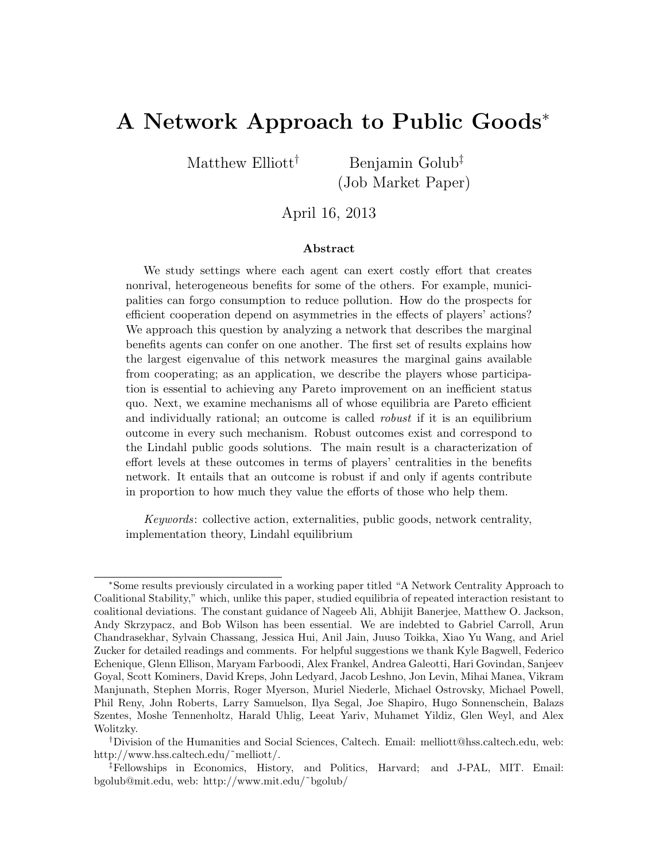# A Network Approach to Public Goods<sup>∗</sup>

Matthew Elliott<sup>†</sup> Benjamin Golub<sup>‡</sup>

(Job Market Paper)

April 16, 2013

#### Abstract

We study settings where each agent can exert costly effort that creates nonrival, heterogeneous benefits for some of the others. For example, municipalities can forgo consumption to reduce pollution. How do the prospects for efficient cooperation depend on asymmetries in the effects of players' actions? We approach this question by analyzing a network that describes the marginal benefits agents can confer on one another. The first set of results explains how the largest eigenvalue of this network measures the marginal gains available from cooperating; as an application, we describe the players whose participation is essential to achieving any Pareto improvement on an inefficient status quo. Next, we examine mechanisms all of whose equilibria are Pareto efficient and individually rational; an outcome is called robust if it is an equilibrium outcome in every such mechanism. Robust outcomes exist and correspond to the Lindahl public goods solutions. The main result is a characterization of effort levels at these outcomes in terms of players' centralities in the benefits network. It entails that an outcome is robust if and only if agents contribute in proportion to how much they value the efforts of those who help them.

Keywords: collective action, externalities, public goods, network centrality, implementation theory, Lindahl equilibrium

<sup>∗</sup>Some results previously circulated in a working paper titled "A Network Centrality Approach to Coalitional Stability," which, unlike this paper, studied equilibria of repeated interaction resistant to coalitional deviations. The constant guidance of Nageeb Ali, Abhijit Banerjee, Matthew O. Jackson, Andy Skrzypacz, and Bob Wilson has been essential. We are indebted to Gabriel Carroll, Arun Chandrasekhar, Sylvain Chassang, Jessica Hui, Anil Jain, Juuso Toikka, Xiao Yu Wang, and Ariel Zucker for detailed readings and comments. For helpful suggestions we thank Kyle Bagwell, Federico Echenique, Glenn Ellison, Maryam Farboodi, Alex Frankel, Andrea Galeotti, Hari Govindan, Sanjeev Goyal, Scott Kominers, David Kreps, John Ledyard, Jacob Leshno, Jon Levin, Mihai Manea, Vikram Manjunath, Stephen Morris, Roger Myerson, Muriel Niederle, Michael Ostrovsky, Michael Powell, Phil Reny, John Roberts, Larry Samuelson, Ilya Segal, Joe Shapiro, Hugo Sonnenschein, Balazs Szentes, Moshe Tennenholtz, Harald Uhlig, Leeat Yariv, Muhamet Yildiz, Glen Weyl, and Alex Wolitzky.

<sup>†</sup>Division of the Humanities and Social Sciences, Caltech. Email: melliott@hss.caltech.edu, web: http://www.hss.caltech.edu/˜melliott/.

<sup>‡</sup>Fellowships in Economics, History, and Politics, Harvard; and J-PAL, MIT. Email: bgolub@mit.edu, web: http://www.mit.edu/˜bgolub/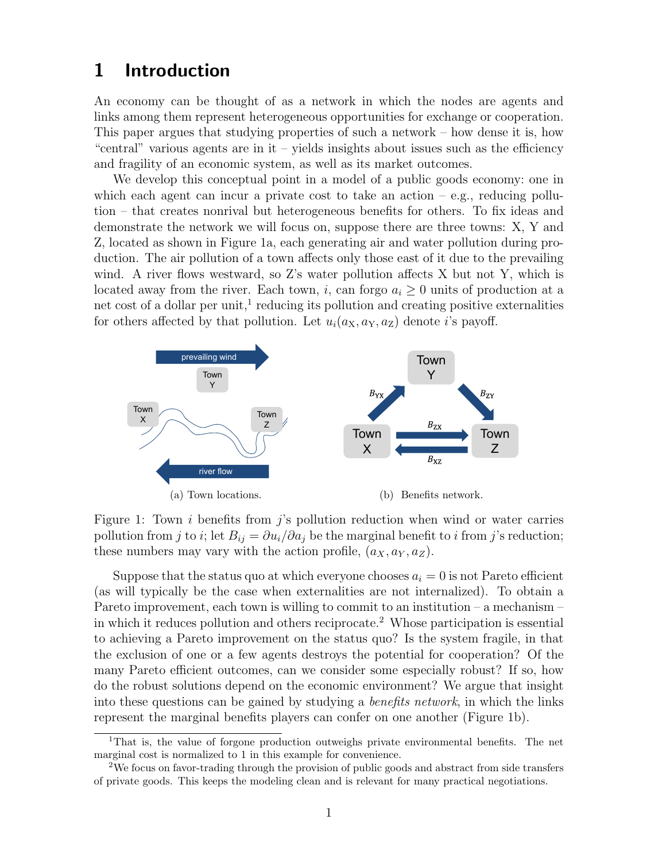# 1 Introduction

An economy can be thought of as a network in which the nodes are agents and links among them represent heterogeneous opportunities for exchange or cooperation. This paper argues that studying properties of such a network – how dense it is, how "central" various agents are in it – yields insights about issues such as the efficiency and fragility of an economic system, as well as its market outcomes.

We develop this conceptual point in a model of a public goods economy: one in which each agent can incur a private cost to take an action  $-$  e.g., reducing pollution – that creates nonrival but heterogeneous benefits for others. To fix ideas and demonstrate the network we will focus on, suppose there are three towns: X, Y and Z, located as shown in Figure 1a, each generating air and water pollution during production. The air pollution of a town affects only those east of it due to the prevailing wind. A river flows westward, so Z's water pollution affects X but not Y, which is located away from the river. Each town, i, can forgo  $a_i \geq 0$  units of production at a net cost of a dollar per unit,<sup>1</sup> reducing its pollution and creating positive externalities for others affected by that pollution. Let  $u_i(a_X, a_Y, a_Z)$  denote i's payoff.



Figure 1: Town  $i$  benefits from  $j$ 's pollution reduction when wind or water carries pollution from j to i; let  $B_{ij} = \partial u_i / \partial a_j$  be the marginal benefit to i from j's reduction; these numbers may vary with the action profile,  $(a_X, a_Y, a_Z)$ .

Suppose that the status quo at which everyone chooses  $a_i = 0$  is not Pareto efficient (as will typically be the case when externalities are not internalized). To obtain a Pareto improvement, each town is willing to commit to an institution – a mechanism – in which it reduces pollution and others reciprocate.<sup>2</sup> Whose participation is essential to achieving a Pareto improvement on the status quo? Is the system fragile, in that the exclusion of one or a few agents destroys the potential for cooperation? Of the many Pareto efficient outcomes, can we consider some especially robust? If so, how do the robust solutions depend on the economic environment? We argue that insight into these questions can be gained by studying a benefits network, in which the links represent the marginal benefits players can confer on one another (Figure 1b).

<sup>&</sup>lt;sup>1</sup>That is, the value of forgone production outweighs private environmental benefits. The net marginal cost is normalized to 1 in this example for convenience.

<sup>2</sup>We focus on favor-trading through the provision of public goods and abstract from side transfers of private goods. This keeps the modeling clean and is relevant for many practical negotiations.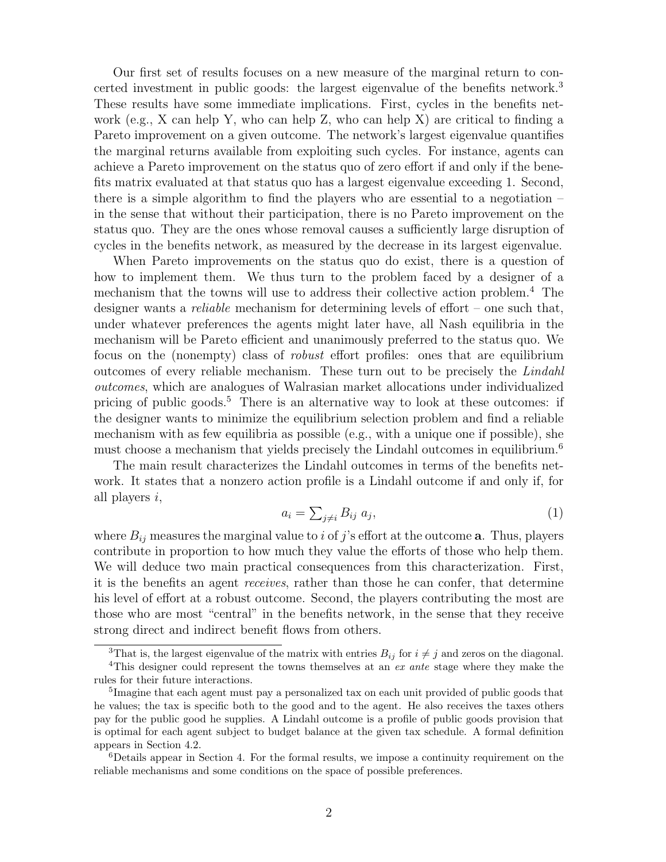Our first set of results focuses on a new measure of the marginal return to concerted investment in public goods: the largest eigenvalue of the benefits network.<sup>3</sup> These results have some immediate implications. First, cycles in the benefits network (e.g., X can help Y, who can help Z, who can help X) are critical to finding a Pareto improvement on a given outcome. The network's largest eigenvalue quantifies the marginal returns available from exploiting such cycles. For instance, agents can achieve a Pareto improvement on the status quo of zero effort if and only if the benefits matrix evaluated at that status quo has a largest eigenvalue exceeding 1. Second, there is a simple algorithm to find the players who are essential to a negotiation  $$ in the sense that without their participation, there is no Pareto improvement on the status quo. They are the ones whose removal causes a sufficiently large disruption of cycles in the benefits network, as measured by the decrease in its largest eigenvalue.

When Pareto improvements on the status quo do exist, there is a question of how to implement them. We thus turn to the problem faced by a designer of a mechanism that the towns will use to address their collective action problem.<sup>4</sup> The designer wants a *reliable* mechanism for determining levels of effort – one such that, under whatever preferences the agents might later have, all Nash equilibria in the mechanism will be Pareto efficient and unanimously preferred to the status quo. We focus on the (nonempty) class of robust effort profiles: ones that are equilibrium outcomes of every reliable mechanism. These turn out to be precisely the Lindahl outcomes, which are analogues of Walrasian market allocations under individualized pricing of public goods.<sup>5</sup> There is an alternative way to look at these outcomes: if the designer wants to minimize the equilibrium selection problem and find a reliable mechanism with as few equilibria as possible (e.g., with a unique one if possible), she must choose a mechanism that yields precisely the Lindahl outcomes in equilibrium.<sup>6</sup>

The main result characterizes the Lindahl outcomes in terms of the benefits network. It states that a nonzero action profile is a Lindahl outcome if and only if, for all players i,

$$
a_i = \sum_{j \neq i} B_{ij} \ a_j,\tag{1}
$$

where  $B_{ij}$  measures the marginal value to i of j's effort at the outcome **a**. Thus, players contribute in proportion to how much they value the efforts of those who help them. We will deduce two main practical consequences from this characterization. First, it is the benefits an agent receives, rather than those he can confer, that determine his level of effort at a robust outcome. Second, the players contributing the most are those who are most "central" in the benefits network, in the sense that they receive strong direct and indirect benefit flows from others.

<sup>3</sup>That is, the largest eigenvalue of the matrix with entries  $B_{ij}$  for  $i \neq j$  and zeros on the diagonal.

<sup>4</sup>This designer could represent the towns themselves at an ex ante stage where they make the rules for their future interactions.

<sup>&</sup>lt;sup>5</sup>Imagine that each agent must pay a personalized tax on each unit provided of public goods that he values; the tax is specific both to the good and to the agent. He also receives the taxes others pay for the public good he supplies. A Lindahl outcome is a profile of public goods provision that is optimal for each agent subject to budget balance at the given tax schedule. A formal definition appears in Section 4.2.

<sup>6</sup>Details appear in Section 4. For the formal results, we impose a continuity requirement on the reliable mechanisms and some conditions on the space of possible preferences.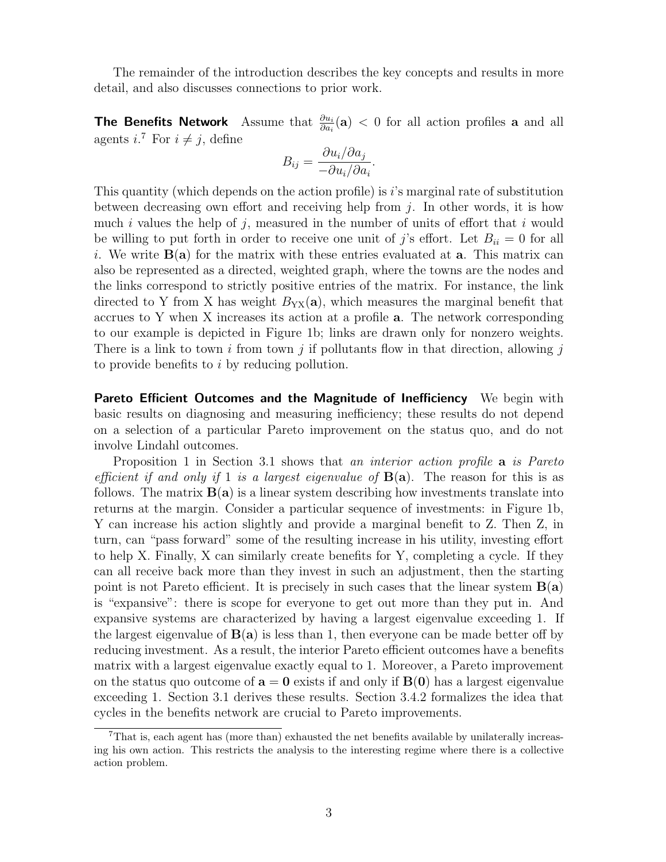The remainder of the introduction describes the key concepts and results in more detail, and also discusses connections to prior work.

**The Benefits Network** Assume that  $\frac{\partial u_i}{\partial a_i}(\mathbf{a}) < 0$  for all action profiles **a** and all agents  $i^{\mathsf{T}}$  For  $i \neq j$ , define

$$
B_{ij} = \frac{\partial u_i / \partial a_j}{-\partial u_i / \partial a_i}.
$$

This quantity (which depends on the action profile) is  $i$ 's marginal rate of substitution between decreasing own effort and receiving help from  $j$ . In other words, it is how much  $i$  values the help of  $j$ , measured in the number of units of effort that  $i$  would be willing to put forth in order to receive one unit of j's effort. Let  $B_{ii} = 0$  for all i. We write  $B(a)$  for the matrix with these entries evaluated at **a**. This matrix can also be represented as a directed, weighted graph, where the towns are the nodes and the links correspond to strictly positive entries of the matrix. For instance, the link directed to Y from X has weight  $B_{YX}(a)$ , which measures the marginal benefit that accrues to Y when X increases its action at a profile a. The network corresponding to our example is depicted in Figure 1b; links are drawn only for nonzero weights. There is a link to town i from town j if pollutants flow in that direction, allowing j to provide benefits to i by reducing pollution.

**Pareto Efficient Outcomes and the Magnitude of Inefficiency** We begin with basic results on diagnosing and measuring inefficiency; these results do not depend on a selection of a particular Pareto improvement on the status quo, and do not involve Lindahl outcomes.

Proposition 1 in Section 3.1 shows that an interior action profile **a** is Pareto efficient if and only if 1 is a largest eigenvalue of  $B(a)$ . The reason for this is as follows. The matrix  $B(a)$  is a linear system describing how investments translate into returns at the margin. Consider a particular sequence of investments: in Figure 1b, Y can increase his action slightly and provide a marginal benefit to Z. Then Z, in turn, can "pass forward" some of the resulting increase in his utility, investing effort to help X. Finally, X can similarly create benefits for Y, completing a cycle. If they can all receive back more than they invest in such an adjustment, then the starting point is not Pareto efficient. It is precisely in such cases that the linear system  $B(a)$ is "expansive": there is scope for everyone to get out more than they put in. And expansive systems are characterized by having a largest eigenvalue exceeding 1. If the largest eigenvalue of  $B(a)$  is less than 1, then everyone can be made better off by reducing investment. As a result, the interior Pareto efficient outcomes have a benefits matrix with a largest eigenvalue exactly equal to 1. Moreover, a Pareto improvement on the status quo outcome of  $a = 0$  exists if and only if  $B(0)$  has a largest eigenvalue exceeding 1. Section 3.1 derives these results. Section 3.4.2 formalizes the idea that cycles in the benefits network are crucial to Pareto improvements.

<sup>&</sup>lt;sup>7</sup>That is, each agent has (more than) exhausted the net benefits available by unilaterally increasing his own action. This restricts the analysis to the interesting regime where there is a collective action problem.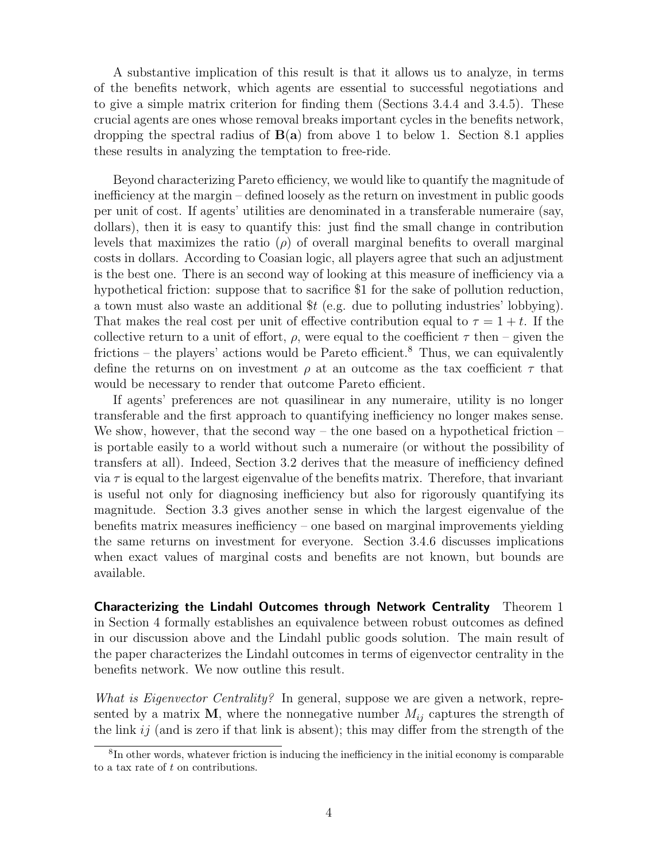A substantive implication of this result is that it allows us to analyze, in terms of the benefits network, which agents are essential to successful negotiations and to give a simple matrix criterion for finding them (Sections 3.4.4 and 3.4.5). These crucial agents are ones whose removal breaks important cycles in the benefits network, dropping the spectral radius of  $B(a)$  from above 1 to below 1. Section 8.1 applies these results in analyzing the temptation to free-ride.

Beyond characterizing Pareto efficiency, we would like to quantify the magnitude of inefficiency at the margin – defined loosely as the return on investment in public goods per unit of cost. If agents' utilities are denominated in a transferable numeraire (say, dollars), then it is easy to quantify this: just find the small change in contribution levels that maximizes the ratio ( $\rho$ ) of overall marginal benefits to overall marginal costs in dollars. According to Coasian logic, all players agree that such an adjustment is the best one. There is an second way of looking at this measure of inefficiency via a hypothetical friction: suppose that to sacrifice \$1 for the sake of pollution reduction, a town must also waste an additional  $t$  (e.g. due to polluting industries' lobbying). That makes the real cost per unit of effective contribution equal to  $\tau = 1 + t$ . If the collective return to a unit of effort,  $\rho$ , were equal to the coefficient  $\tau$  then – given the frictions – the players' actions would be Pareto efficient.<sup>8</sup> Thus, we can equivalently define the returns on on investment  $\rho$  at an outcome as the tax coefficient  $\tau$  that would be necessary to render that outcome Pareto efficient.

If agents' preferences are not quasilinear in any numeraire, utility is no longer transferable and the first approach to quantifying inefficiency no longer makes sense. We show, however, that the second way – the one based on a hypothetical friction – is portable easily to a world without such a numeraire (or without the possibility of transfers at all). Indeed, Section 3.2 derives that the measure of inefficiency defined via  $\tau$  is equal to the largest eigenvalue of the benefits matrix. Therefore, that invariant is useful not only for diagnosing inefficiency but also for rigorously quantifying its magnitude. Section 3.3 gives another sense in which the largest eigenvalue of the benefits matrix measures inefficiency – one based on marginal improvements yielding the same returns on investment for everyone. Section 3.4.6 discusses implications when exact values of marginal costs and benefits are not known, but bounds are available.

Characterizing the Lindahl Outcomes through Network Centrality Theorem 1 in Section 4 formally establishes an equivalence between robust outcomes as defined in our discussion above and the Lindahl public goods solution. The main result of the paper characterizes the Lindahl outcomes in terms of eigenvector centrality in the benefits network. We now outline this result.

What is Eigenvector Centrality? In general, suppose we are given a network, represented by a matrix **M**, where the nonnegative number  $M_{ij}$  captures the strength of the link  $ij$  (and is zero if that link is absent); this may differ from the strength of the

<sup>8</sup> In other words, whatever friction is inducing the inefficiency in the initial economy is comparable to a tax rate of t on contributions.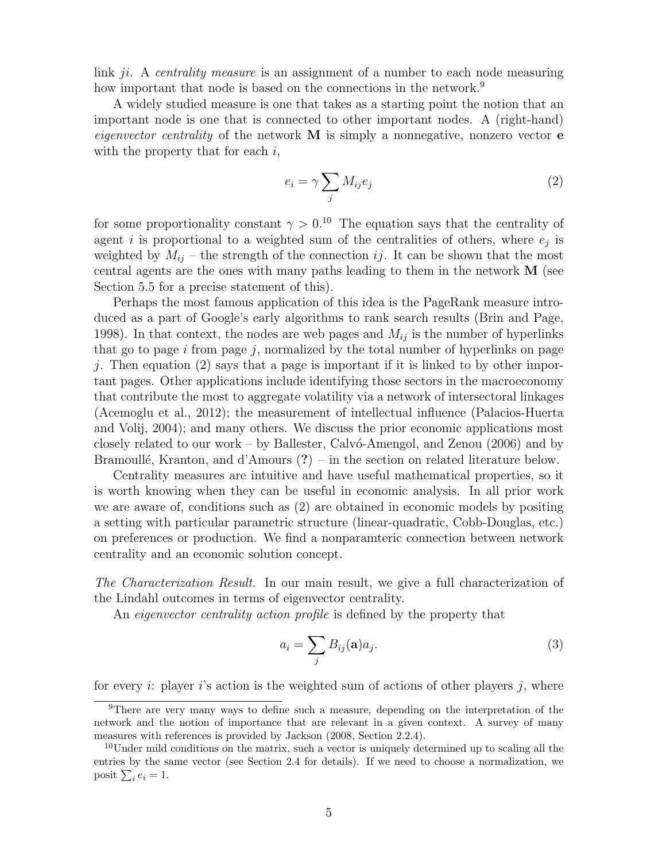link ji. A centrality measure is an assignment of a number to each node measuring how important that node is based on the connections in the network.<sup>9</sup>

A widely studied measure is one that takes as a starting point the notion that an important node is one that is connected to other important nodes. A (right-hand) eigenvector centrality of the network  $M$  is simply a nonnegative, nonzero vector  $e$ with the property that for each  $i$ ,

$$
e_i = \gamma \sum_j M_{ij} e_j \tag{2}
$$

for some proportionality constant  $\gamma > 0^{10}$ . The equation says that the centrality of agent i is proportional to a weighted sum of the centralities of others, where  $e_j$  is weighted by  $M_{ij}$  – the strength of the connection ij. It can be shown that the most central agents are the ones with many paths leading to them in the network M (see Section 5.5 for a precise statement of this).

Perhaps the most famous application of this idea is the PageRank measure introduced as a part of Google's early algorithms to rank search results (Brin and Page, 1998). In that context, the nodes are web pages and  $M_{ij}$  is the number of hyperlinks that go to page  $i$  from page  $j$ , normalized by the total number of hyperlinks on page *j*. Then equation (2) says that a page is important if it is linked to by other important pages. Other applications include identifying those sectors in the macroeconomy that contribute the most to aggregate volatility via a network of intersectoral linkages (Acemoglu et al., 2012); the measurement of intellectual influence (Palacios-Huerta and Volij, 2004); and many others. We discuss the prior economic applications most closely related to our work – by Ballester, Calv $\acute{o}$ -Amengol, and Zenou (2006) and by Bramoullé, Kranton, and d'Amours  $(?)$  – in the section on related literature below.

Centrality measures are intuitive and have useful mathematical properties, so it is worth knowing when they can be useful in economic analysis. In all prior work we are aware of, conditions such as (2) are obtained in economic models by positing a setting with particular parametric structure (linear-quadratic, Cobb-Douglas, etc.) on preferences or production. We find a nonparamteric connection between network centrality and an economic solution concept.

The Characterization Result. In our main result, we give a full characterization of the Lindahl outcomes in terms of eigenvector centrality.

An *eigenvector centrality action profile* is defined by the property that

$$
a_i = \sum_j B_{ij}(\mathbf{a}) a_j.
$$
 (3)

for every i: player i's action is the weighted sum of actions of other players j, where

<sup>9</sup>There are very many ways to define such a measure, depending on the interpretation of the network and the notion of importance that are relevant in a given context. A survey of many measures with references is provided by Jackson (2008, Section 2.2.4).

 $10$ Under mild conditions on the matrix, such a vector is uniquely determined up to scaling all the entries by the same vector (see Section 2.4 for details). If we need to choose a normalization, we posit  $\sum_i e_i = 1$ .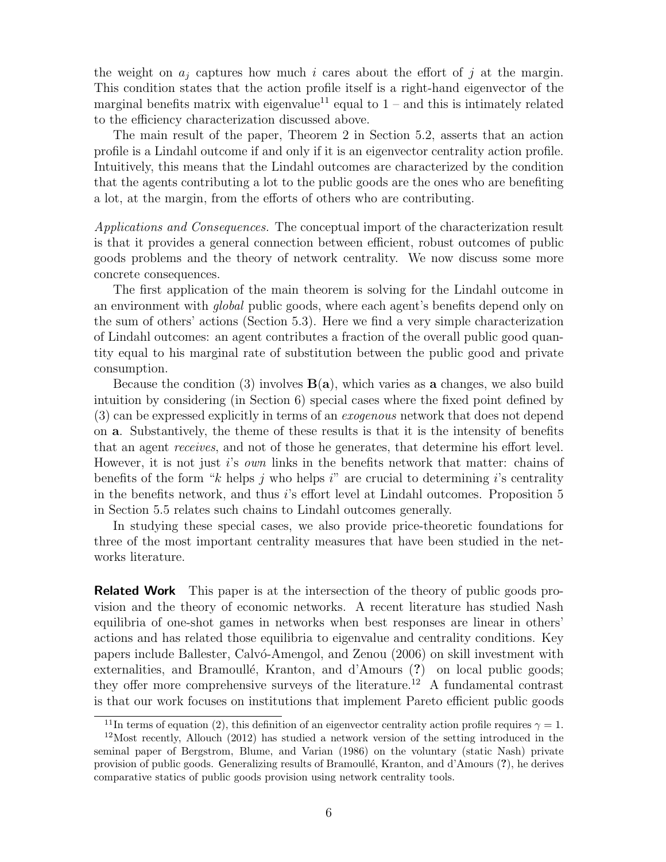the weight on  $a_i$  captures how much i cares about the effort of j at the margin. This condition states that the action profile itself is a right-hand eigenvector of the marginal benefits matrix with eigenvalue<sup>11</sup> equal to  $1$  – and this is intimately related to the efficiency characterization discussed above.

The main result of the paper, Theorem 2 in Section 5.2, asserts that an action profile is a Lindahl outcome if and only if it is an eigenvector centrality action profile. Intuitively, this means that the Lindahl outcomes are characterized by the condition that the agents contributing a lot to the public goods are the ones who are benefiting a lot, at the margin, from the efforts of others who are contributing.

Applications and Consequences. The conceptual import of the characterization result is that it provides a general connection between efficient, robust outcomes of public goods problems and the theory of network centrality. We now discuss some more concrete consequences.

The first application of the main theorem is solving for the Lindahl outcome in an environment with global public goods, where each agent's benefits depend only on the sum of others' actions (Section 5.3). Here we find a very simple characterization of Lindahl outcomes: an agent contributes a fraction of the overall public good quantity equal to his marginal rate of substitution between the public good and private consumption.

Because the condition (3) involves  $B(a)$ , which varies as a changes, we also build intuition by considering (in Section 6) special cases where the fixed point defined by (3) can be expressed explicitly in terms of an exogenous network that does not depend on a. Substantively, the theme of these results is that it is the intensity of benefits that an agent receives, and not of those he generates, that determine his effort level. However, it is not just is *own* links in the benefits network that matter: chains of benefits of the form "k helps j who helps i" are crucial to determining i's centrality in the benefits network, and thus i's effort level at Lindahl outcomes. Proposition 5 in Section 5.5 relates such chains to Lindahl outcomes generally.

In studying these special cases, we also provide price-theoretic foundations for three of the most important centrality measures that have been studied in the networks literature.

**Related Work** This paper is at the intersection of the theory of public goods provision and the theory of economic networks. A recent literature has studied Nash equilibria of one-shot games in networks when best responses are linear in others' actions and has related those equilibria to eigenvalue and centrality conditions. Key papers include Ballester, Calv´o-Amengol, and Zenou (2006) on skill investment with externalities, and Bramoullé, Kranton, and d'Amours (?) on local public goods; they offer more comprehensive surveys of the literature.<sup>12</sup> A fundamental contrast is that our work focuses on institutions that implement Pareto efficient public goods

<sup>&</sup>lt;sup>11</sup>In terms of equation (2), this definition of an eigenvector centrality action profile requires  $\gamma = 1$ .

 $12$ Most recently, Allouch (2012) has studied a network version of the setting introduced in the seminal paper of Bergstrom, Blume, and Varian (1986) on the voluntary (static Nash) private provision of public goods. Generalizing results of Bramoull´e, Kranton, and d'Amours (?), he derives comparative statics of public goods provision using network centrality tools.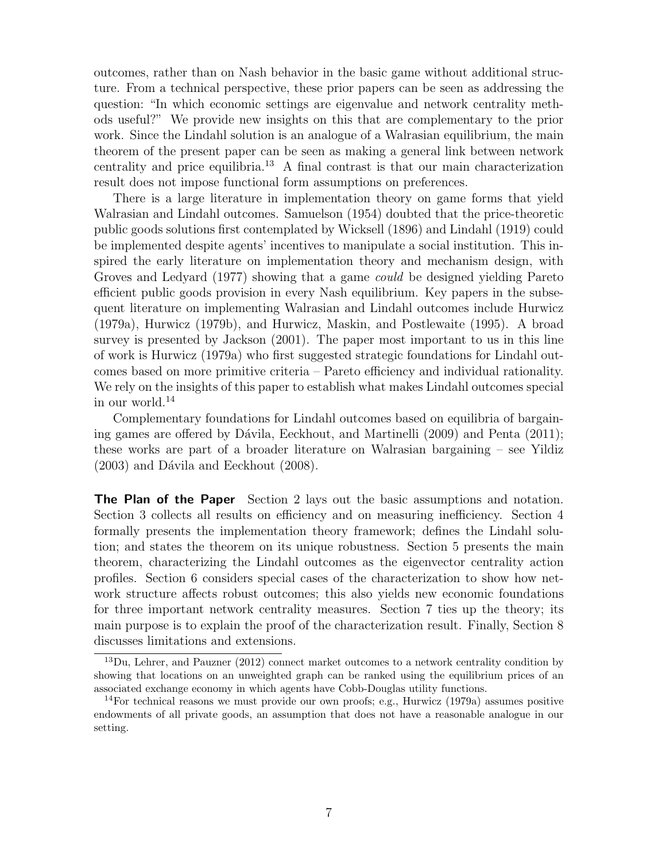outcomes, rather than on Nash behavior in the basic game without additional structure. From a technical perspective, these prior papers can be seen as addressing the question: "In which economic settings are eigenvalue and network centrality methods useful?" We provide new insights on this that are complementary to the prior work. Since the Lindahl solution is an analogue of a Walrasian equilibrium, the main theorem of the present paper can be seen as making a general link between network centrality and price equilibria.<sup>13</sup> A final contrast is that our main characterization result does not impose functional form assumptions on preferences.

There is a large literature in implementation theory on game forms that yield Walrasian and Lindahl outcomes. Samuelson (1954) doubted that the price-theoretic public goods solutions first contemplated by Wicksell (1896) and Lindahl (1919) could be implemented despite agents' incentives to manipulate a social institution. This inspired the early literature on implementation theory and mechanism design, with Groves and Ledyard (1977) showing that a game could be designed yielding Pareto efficient public goods provision in every Nash equilibrium. Key papers in the subsequent literature on implementing Walrasian and Lindahl outcomes include Hurwicz (1979a), Hurwicz (1979b), and Hurwicz, Maskin, and Postlewaite (1995). A broad survey is presented by Jackson (2001). The paper most important to us in this line of work is Hurwicz (1979a) who first suggested strategic foundations for Lindahl outcomes based on more primitive criteria – Pareto efficiency and individual rationality. We rely on the insights of this paper to establish what makes Lindahl outcomes special in our world.<sup>14</sup>

Complementary foundations for Lindahl outcomes based on equilibria of bargaining games are offered by Dávila, Eeckhout, and Martinelli  $(2009)$  and Penta  $(2011)$ ; these works are part of a broader literature on Walrasian bargaining – see Yildiz  $(2003)$  and Dávila and Eeckhout  $(2008)$ .

**The Plan of the Paper** Section 2 lays out the basic assumptions and notation. Section 3 collects all results on efficiency and on measuring inefficiency. Section 4 formally presents the implementation theory framework; defines the Lindahl solution; and states the theorem on its unique robustness. Section 5 presents the main theorem, characterizing the Lindahl outcomes as the eigenvector centrality action profiles. Section 6 considers special cases of the characterization to show how network structure affects robust outcomes; this also yields new economic foundations for three important network centrality measures. Section 7 ties up the theory; its main purpose is to explain the proof of the characterization result. Finally, Section 8 discusses limitations and extensions.

 $^{13}$ Du, Lehrer, and Pauzner (2012) connect market outcomes to a network centrality condition by showing that locations on an unweighted graph can be ranked using the equilibrium prices of an associated exchange economy in which agents have Cobb-Douglas utility functions.

<sup>&</sup>lt;sup>14</sup>For technical reasons we must provide our own proofs; e.g., Hurwicz  $(1979a)$  assumes positive endowments of all private goods, an assumption that does not have a reasonable analogue in our setting.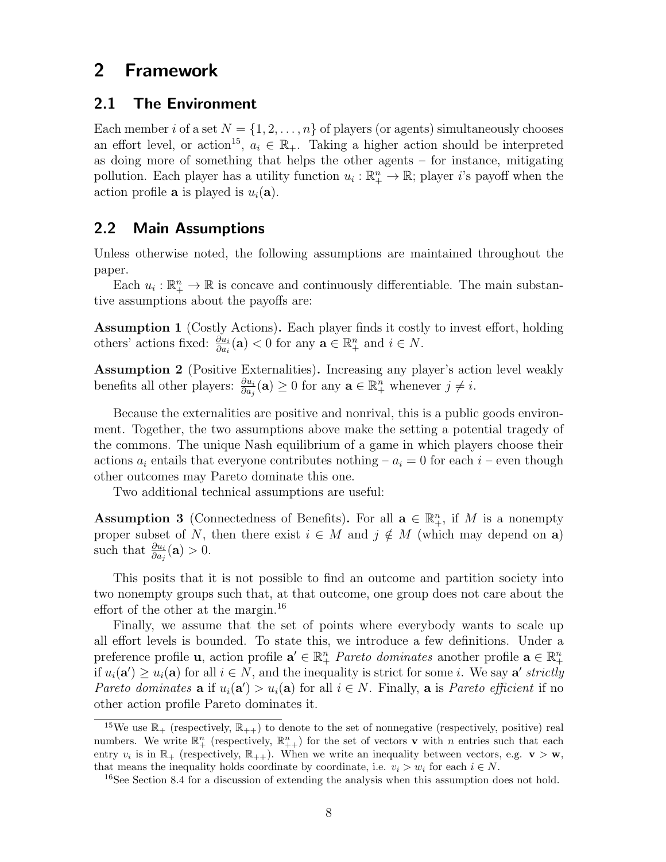# 2 Framework

#### 2.1 The Environment

Each member i of a set  $N = \{1, 2, ..., n\}$  of players (or agents) simultaneously chooses an effort level, or action<sup>15</sup>,  $a_i \in \mathbb{R}_+$ . Taking a higher action should be interpreted as doing more of something that helps the other agents – for instance, mitigating pollution. Each player has a utility function  $u_i : \mathbb{R}^n_+ \to \mathbb{R}$ ; player i's payoff when the action profile **a** is played is  $u_i(\mathbf{a})$ .

#### 2.2 Main Assumptions

Unless otherwise noted, the following assumptions are maintained throughout the paper.

Each  $u_i: \mathbb{R}^n_+ \to \mathbb{R}$  is concave and continuously differentiable. The main substantive assumptions about the payoffs are:

Assumption 1 (Costly Actions). Each player finds it costly to invest effort, holding others' actions fixed:  $\frac{\partial u_i}{\partial a_i}(\mathbf{a}) < 0$  for any  $\mathbf{a} \in \mathbb{R}_+^n$  and  $i \in N$ .

Assumption 2 (Positive Externalities). Increasing any player's action level weakly benefits all other players:  $\frac{\partial u_i}{\partial a_j}(\mathbf{a}) \geq 0$  for any  $\mathbf{a} \in \mathbb{R}_+^n$  whenever  $j \neq i$ .

Because the externalities are positive and nonrival, this is a public goods environment. Together, the two assumptions above make the setting a potential tragedy of the commons. The unique Nash equilibrium of a game in which players choose their actions  $a_i$  entails that everyone contributes nothing –  $a_i = 0$  for each  $i$  – even though other outcomes may Pareto dominate this one.

Two additional technical assumptions are useful:

**Assumption 3** (Connectedness of Benefits). For all  $\mathbf{a} \in \mathbb{R}_+^n$ , if M is a nonempty proper subset of N, then there exist  $i \in M$  and  $j \notin M$  (which may depend on a) such that  $\frac{\partial u_i}{\partial a_j}(\mathbf{a}) > 0$ .

This posits that it is not possible to find an outcome and partition society into two nonempty groups such that, at that outcome, one group does not care about the effort of the other at the margin.<sup>16</sup>

Finally, we assume that the set of points where everybody wants to scale up all effort levels is bounded. To state this, we introduce a few definitions. Under a preference profile **u**, action profile  $\mathbf{a}' \in \mathbb{R}^n_+$  *Pareto dominates* another profile  $\mathbf{a} \in \mathbb{R}^n_+$ if  $u_i(\mathbf{a}') \geq u_i(\mathbf{a})$  for all  $i \in N$ , and the inequality is strict for some *i*. We say  $\mathbf{a}'$  strictly Pareto dominates **a** if  $u_i(\mathbf{a}') > u_i(\mathbf{a})$  for all  $i \in N$ . Finally, **a** is Pareto efficient if no other action profile Pareto dominates it.

<sup>&</sup>lt;sup>15</sup>We use  $\mathbb{R}_+$  (respectively,  $\mathbb{R}_{++}$ ) to denote to the set of nonnegative (respectively, positive) real numbers. We write  $\mathbb{R}^n_+$  (respectively,  $\mathbb{R}^n_{++}$ ) for the set of vectors **v** with *n* entries such that each entry  $v_i$  is in  $\mathbb{R}_+$  (respectively,  $\mathbb{R}_{++}$ ). When we write an inequality between vectors, e.g.  $\mathbf{v} > \mathbf{w}$ , that means the inequality holds coordinate by coordinate, i.e.  $v_i > w_i$  for each  $i \in N$ .

<sup>16</sup>See Section 8.4 for a discussion of extending the analysis when this assumption does not hold.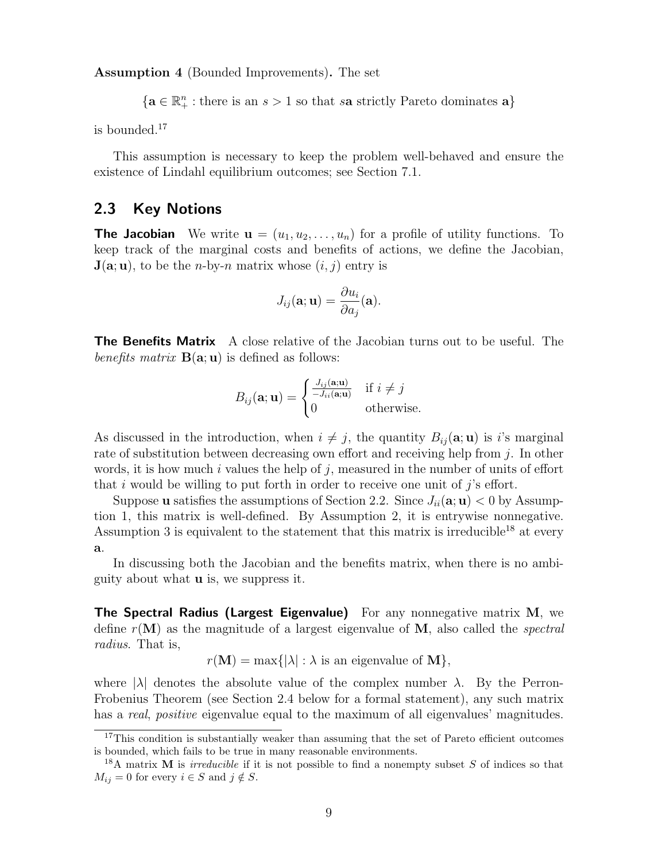Assumption 4 (Bounded Improvements). The set

 $\{a \in \mathbb{R}_+^n : \text{there is an } s > 1 \text{ so that } s\mathbf{a} \text{ strictly Pareto dominates } \mathbf{a}\}\$ 

is bounded.<sup>17</sup>

This assumption is necessary to keep the problem well-behaved and ensure the existence of Lindahl equilibrium outcomes; see Section 7.1.

#### 2.3 Key Notions

**The Jacobian** We write  $\mathbf{u} = (u_1, u_2, \dots, u_n)$  for a profile of utility functions. To keep track of the marginal costs and benefits of actions, we define the Jacobian,  $J(a; u)$ , to be the *n*-by-*n* matrix whose  $(i, j)$  entry is

$$
J_{ij}(\mathbf{a};\mathbf{u}) = \frac{\partial u_i}{\partial a_j}(\mathbf{a}).
$$

**The Benefits Matrix** A close relative of the Jacobian turns out to be useful. The benefits matrix  $B(\mathbf{a}; \mathbf{u})$  is defined as follows:

$$
B_{ij}(\mathbf{a};\mathbf{u}) = \begin{cases} \frac{J_{ij}(\mathbf{a};\mathbf{u})}{-J_{ii}(\mathbf{a};\mathbf{u})} & \text{if } i \neq j \\ 0 & \text{otherwise.} \end{cases}
$$

As discussed in the introduction, when  $i \neq j$ , the quantity  $B_{ij}(\mathbf{a}; \mathbf{u})$  is i's marginal rate of substitution between decreasing own effort and receiving help from j. In other words, it is how much i values the help of j, measured in the number of units of effort that i would be willing to put forth in order to receive one unit of  $j$ 's effort.

Suppose **u** satisfies the assumptions of Section 2.2. Since  $J_{ii}(\mathbf{a}; \mathbf{u}) < 0$  by Assumption 1, this matrix is well-defined. By Assumption 2, it is entrywise nonnegative. Assumption 3 is equivalent to the statement that this matrix is irreducible<sup>18</sup> at every a.

In discussing both the Jacobian and the benefits matrix, when there is no ambiguity about what u is, we suppress it.

The Spectral Radius (Largest Eigenvalue) For any nonnegative matrix M, we define  $r(\mathbf{M})$  as the magnitude of a largest eigenvalue of  $\mathbf{M}$ , also called the *spectral* radius. That is,

 $r(\mathbf{M}) = \max\{|\lambda| : \lambda \text{ is an eigenvalue of } \mathbf{M}\},\$ 

where  $|\lambda|$  denotes the absolute value of the complex number  $\lambda$ . By the Perron-Frobenius Theorem (see Section 2.4 below for a formal statement), any such matrix has a real, positive eigenvalue equal to the maximum of all eigenvalues' magnitudes.

<sup>&</sup>lt;sup>17</sup>This condition is substantially weaker than assuming that the set of Pareto efficient outcomes is bounded, which fails to be true in many reasonable environments.

<sup>&</sup>lt;sup>18</sup>A matrix **M** is *irreducible* if it is not possible to find a nonempty subset S of indices so that  $M_{ij} = 0$  for every  $i \in S$  and  $j \notin S$ .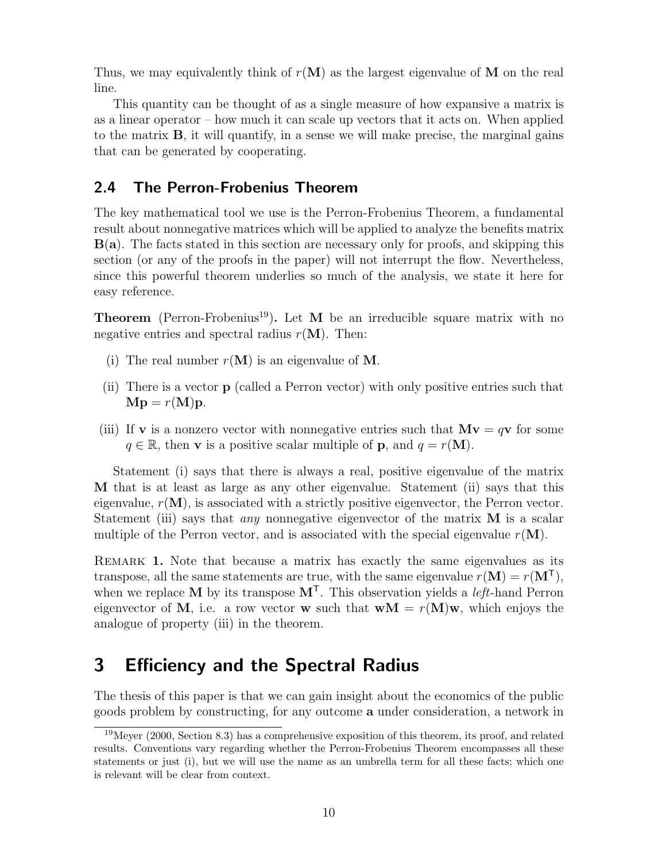Thus, we may equivalently think of  $r(M)$  as the largest eigenvalue of M on the real line.

This quantity can be thought of as a single measure of how expansive a matrix is as a linear operator – how much it can scale up vectors that it acts on. When applied to the matrix B, it will quantify, in a sense we will make precise, the marginal gains that can be generated by cooperating.

## 2.4 The Perron-Frobenius Theorem

The key mathematical tool we use is the Perron-Frobenius Theorem, a fundamental result about nonnegative matrices which will be applied to analyze the benefits matrix  $B(a)$ . The facts stated in this section are necessary only for proofs, and skipping this section (or any of the proofs in the paper) will not interrupt the flow. Nevertheless, since this powerful theorem underlies so much of the analysis, we state it here for easy reference.

**Theorem** (Perron-Frobenius<sup>19</sup>). Let M be an irreducible square matrix with no negative entries and spectral radius  $r(M)$ . Then:

- (i) The real number  $r(M)$  is an eigenvalue of M.
- (ii) There is a vector p (called a Perron vector) with only positive entries such that  $Mp = r(M)p$ .
- (iii) If **v** is a nonzero vector with nonnegative entries such that  $M\mathbf{v} = q\mathbf{v}$  for some  $q \in \mathbb{R}$ , then **v** is a positive scalar multiple of **p**, and  $q = r(M)$ .

Statement (i) says that there is always a real, positive eigenvalue of the matrix M that is at least as large as any other eigenvalue. Statement (ii) says that this eigenvalue,  $r(\mathbf{M})$ , is associated with a strictly positive eigenvector, the Perron vector. Statement (iii) says that *any* nonnegative eigenvector of the matrix  $M$  is a scalar multiple of the Perron vector, and is associated with the special eigenvalue  $r(\mathbf{M})$ .

Remark 1. Note that because a matrix has exactly the same eigenvalues as its transpose, all the same statements are true, with the same eigenvalue  $r(M) = r(M^{\mathsf{T}})$ , when we replace M by its transpose  $M<sup>T</sup>$ . This observation yields a *left*-hand Perron eigenvector of M, i.e. a row vector **w** such that  $wM = r(M)w$ , which enjoys the analogue of property (iii) in the theorem.

# 3 Efficiency and the Spectral Radius

The thesis of this paper is that we can gain insight about the economics of the public goods problem by constructing, for any outcome a under consideration, a network in

 $19$ Meyer (2000, Section 8.3) has a comprehensive exposition of this theorem, its proof, and related results. Conventions vary regarding whether the Perron-Frobenius Theorem encompasses all these statements or just (i), but we will use the name as an umbrella term for all these facts; which one is relevant will be clear from context.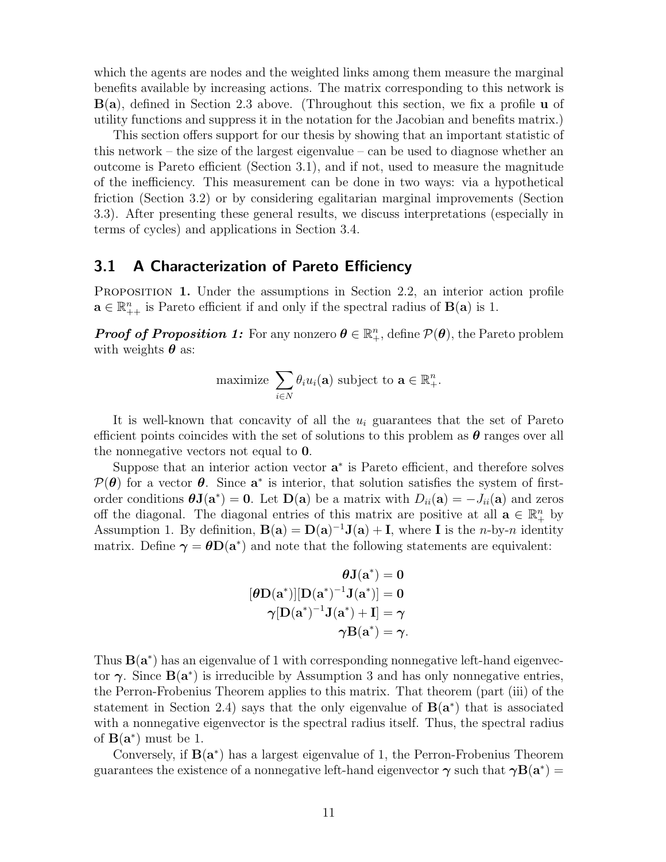which the agents are nodes and the weighted links among them measure the marginal benefits available by increasing actions. The matrix corresponding to this network is B(a), defined in Section 2.3 above. (Throughout this section, we fix a profile u of utility functions and suppress it in the notation for the Jacobian and benefits matrix.)

This section offers support for our thesis by showing that an important statistic of this network – the size of the largest eigenvalue – can be used to diagnose whether an outcome is Pareto efficient (Section 3.1), and if not, used to measure the magnitude of the inefficiency. This measurement can be done in two ways: via a hypothetical friction (Section 3.2) or by considering egalitarian marginal improvements (Section 3.3). After presenting these general results, we discuss interpretations (especially in terms of cycles) and applications in Section 3.4.

#### 3.1 A Characterization of Pareto Efficiency

Proposition 1. Under the assumptions in Section 2.2, an interior action profile  $\mathbf{a} \in \mathbb{R}_{++}^n$  is Pareto efficient if and only if the spectral radius of  $\mathbf{B}(\mathbf{a})$  is 1.

**Proof of Proposition 1:** For any nonzero  $\theta \in \mathbb{R}^n_+$ , define  $\mathcal{P}(\theta)$ , the Pareto problem with weights  $\boldsymbol{\theta}$  as:

maximize 
$$
\sum_{i \in N} \theta_i u_i(\mathbf{a})
$$
 subject to  $\mathbf{a} \in \mathbb{R}_+^n$ .

It is well-known that concavity of all the  $u_i$  guarantees that the set of Pareto efficient points coincides with the set of solutions to this problem as  $\theta$  ranges over all the nonnegative vectors not equal to 0.

Suppose that an interior action vector  $a^*$  is Pareto efficient, and therefore solves  $\mathcal{P}(\theta)$  for a vector  $\theta$ . Since  $\mathbf{a}^*$  is interior, that solution satisfies the system of firstorder conditions  $\boldsymbol{\theta} \mathbf{J}(\mathbf{a}^*) = \mathbf{0}$ . Let  $\mathbf{D}(\mathbf{a})$  be a matrix with  $D_{ii}(\mathbf{a}) = -J_{ii}(\mathbf{a})$  and zeros off the diagonal. The diagonal entries of this matrix are positive at all  $\mathbf{a} \in \mathbb{R}^n_+$  by Assumption 1. By definition,  $B(a) = D(a)^{-1}J(a) + I$ , where I is the *n*-by-*n* identity matrix. Define  $\gamma = \theta D(a^*)$  and note that the following statements are equivalent:

$$
\begin{aligned} \theta\mathbf{J}(\mathbf{a}^*) = 0 \\ [\theta\mathbf{D}(\mathbf{a}^*)][\mathbf{D}(\mathbf{a}^*)^{-1}\mathbf{J}(\mathbf{a}^*)] = 0 \\ \gamma[\mathbf{D}(\mathbf{a}^*)^{-1}\mathbf{J}(\mathbf{a}^*) + \mathbf{I}] = \gamma \\ \gamma\mathbf{B}(\mathbf{a}^*) = \gamma. \end{aligned}
$$

Thus  $B(a^*)$  has an eigenvalue of 1 with corresponding nonnegative left-hand eigenvector  $\gamma$ . Since  $B(a^*)$  is irreducible by Assumption 3 and has only nonnegative entries, the Perron-Frobenius Theorem applies to this matrix. That theorem (part (iii) of the statement in Section 2.4) says that the only eigenvalue of  $B(a^*)$  that is associated with a nonnegative eigenvector is the spectral radius itself. Thus, the spectral radius of  $B(a^*)$  must be 1.

Conversely, if  $B(a^*)$  has a largest eigenvalue of 1, the Perron-Frobenius Theorem guarantees the existence of a nonnegative left-hand eigenvector  $\gamma$  such that  $\gamma B(a^*) =$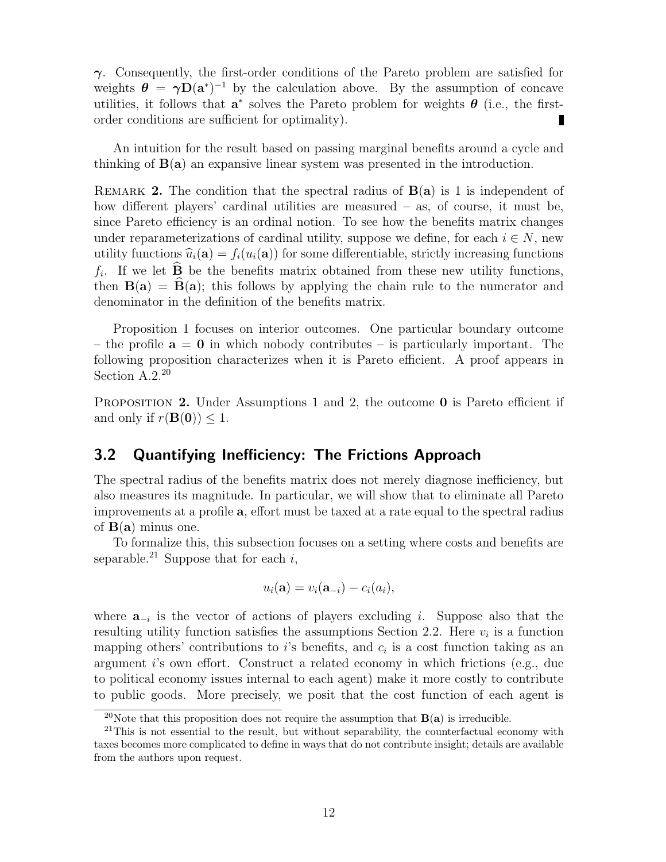$\gamma$ . Consequently, the first-order conditions of the Pareto problem are satisfied for weights  $\theta = \gamma D(a^*)^{-1}$  by the calculation above. By the assumption of concave utilities, it follows that  $a^*$  solves the Pareto problem for weights  $\theta$  (i.e., the firstorder conditions are sufficient for optimality).

An intuition for the result based on passing marginal benefits around a cycle and thinking of B(a) an expansive linear system was presented in the introduction.

REMARK 2. The condition that the spectral radius of  $B(a)$  is 1 is independent of how different players' cardinal utilities are measured – as, of course, it must be, since Pareto efficiency is an ordinal notion. To see how the benefits matrix changes under reparameterizations of cardinal utility, suppose we define, for each  $i \in N$ , new utility functions  $\hat{u}_i(\mathbf{a}) = f_i(u_i(\mathbf{a}))$  for some differentiable, strictly increasing functions  $f_i$ . If we let **B** be the benefits matrix obtained from these new utility functions, then  $B(a) = \widehat{B}(a)$ ; this follows by applying the chain rule to the numerator and denominator in the definition of the benefits matrix.

Proposition 1 focuses on interior outcomes. One particular boundary outcome – the profile  $a = 0$  in which nobody contributes – is particularly important. The following proposition characterizes when it is Pareto efficient. A proof appears in Section A.2.<sup>20</sup>

PROPOSITION 2. Under Assumptions 1 and 2, the outcome 0 is Pareto efficient if and only if  $r(\mathbf{B}(0)) \leq 1$ .

## 3.2 Quantifying Inefficiency: The Frictions Approach

The spectral radius of the benefits matrix does not merely diagnose inefficiency, but also measures its magnitude. In particular, we will show that to eliminate all Pareto improvements at a profile a, effort must be taxed at a rate equal to the spectral radius of  $B(a)$  minus one.

To formalize this, this subsection focuses on a setting where costs and benefits are separable.<sup>21</sup> Suppose that for each i,

$$
u_i(\mathbf{a}) = v_i(\mathbf{a}_{-i}) - c_i(a_i),
$$

where  $\mathbf{a}_{-i}$  is the vector of actions of players excluding *i*. Suppose also that the resulting utility function satisfies the assumptions Section 2.2. Here  $v_i$  is a function mapping others' contributions to  $i$ 's benefits, and  $c_i$  is a cost function taking as an argument i's own effort. Construct a related economy in which frictions (e.g., due to political economy issues internal to each agent) make it more costly to contribute to public goods. More precisely, we posit that the cost function of each agent is

<sup>&</sup>lt;sup>20</sup>Note that this proposition does not require the assumption that  $B(a)$  is irreducible.

<sup>&</sup>lt;sup>21</sup>This is not essential to the result, but without separability, the counterfactual economy with taxes becomes more complicated to define in ways that do not contribute insight; details are available from the authors upon request.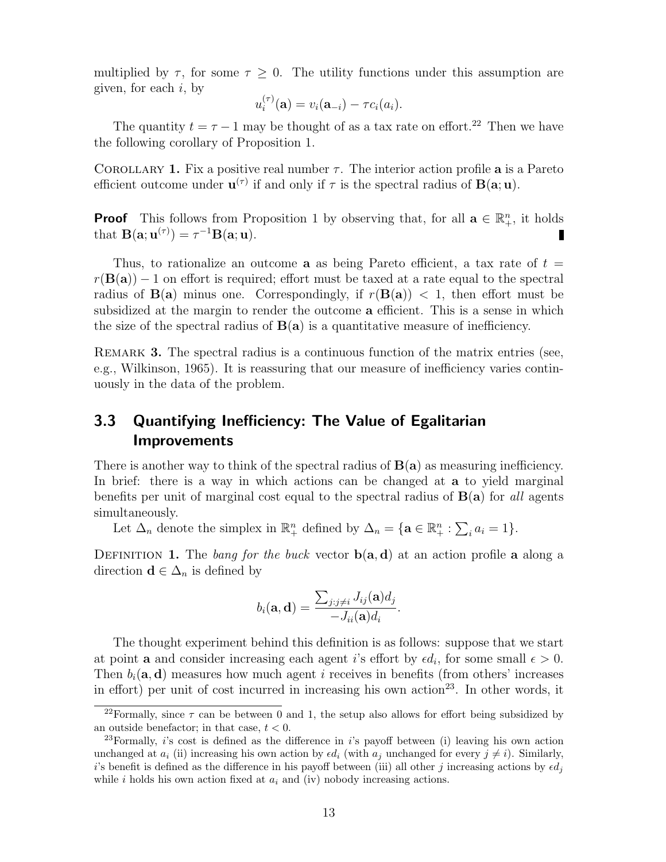multiplied by  $\tau$ , for some  $\tau \geq 0$ . The utility functions under this assumption are given, for each  $i$ , by

$$
u_i^{(\tau)}(\mathbf{a}) = v_i(\mathbf{a}_{-i}) - \tau c_i(a_i).
$$

The quantity  $t = \tau - 1$  may be thought of as a tax rate on effort.<sup>22</sup> Then we have the following corollary of Proposition 1.

COROLLARY 1. Fix a positive real number  $\tau$ . The interior action profile **a** is a Pareto efficient outcome under  $\mathbf{u}^{(\tau)}$  if and only if  $\tau$  is the spectral radius of  $\mathbf{B}(\mathbf{a};\mathbf{u})$ .

**Proof** This follows from Proposition 1 by observing that, for all  $\mathbf{a} \in \mathbb{R}^n_+$ , it holds that  $B(\mathbf{a}; \mathbf{u}^{(\tau)}) = \tau^{-1}B(\mathbf{a}; \mathbf{u}).$ 

Thus, to rationalize an outcome **a** as being Pareto efficient, a tax rate of  $t =$  $r(\mathbf{B}(\mathbf{a})) - 1$  on effort is required; effort must be taxed at a rate equal to the spectral radius of  $B(a)$  minus one. Correspondingly, if  $r(B(a)) < 1$ , then effort must be subsidized at the margin to render the outcome a efficient. This is a sense in which the size of the spectral radius of  $B(a)$  is a quantitative measure of inefficiency.

REMARK 3. The spectral radius is a continuous function of the matrix entries (see, e.g., Wilkinson, 1965). It is reassuring that our measure of inefficiency varies continuously in the data of the problem.

# 3.3 Quantifying Inefficiency: The Value of Egalitarian Improvements

There is another way to think of the spectral radius of  $B(a)$  as measuring inefficiency. In brief: there is a way in which actions can be changed at a to yield marginal benefits per unit of marginal cost equal to the spectral radius of  $B(a)$  for all agents simultaneously.

Let  $\Delta_n$  denote the simplex in  $\mathbb{R}^n_+$  defined by  $\Delta_n = {\mathbf{a} \in \mathbb{R}^n_+ : \sum_i a_i = 1}.$ 

DEFINITION 1. The bang for the buck vector  $b(a, d)$  at an action profile a along a direction  $\mathbf{d} \in \Delta_n$  is defined by

$$
b_i(\mathbf{a},\mathbf{d})=\frac{\sum_{j:j\neq i}J_{ij}(\mathbf{a})d_j}{-J_{ii}(\mathbf{a})d_i}.
$$

The thought experiment behind this definition is as follows: suppose that we start at point **a** and consider increasing each agent i's effort by  $\epsilon d_i$ , for some small  $\epsilon > 0$ . Then  $b_i(\mathbf{a}, \mathbf{d})$  measures how much agent i receives in benefits (from others' increases in effort) per unit of cost incurred in increasing his own action<sup>23</sup>. In other words, it

<sup>&</sup>lt;sup>22</sup>Formally, since  $\tau$  can be between 0 and 1, the setup also allows for effort being subsidized by an outside benefactor; in that case,  $t < 0$ .

<sup>&</sup>lt;sup>23</sup>Formally, is cost is defined as the difference in is payoff between (i) leaving his own action unchanged at  $a_i$  (ii) increasing his own action by  $\epsilon d_i$  (with  $a_j$  unchanged for every  $j \neq i$ ). Similarly, is benefit is defined as the difference in his payoff between (iii) all other j increasing actions by  $\epsilon d_i$ while i holds his own action fixed at  $a_i$  and (iv) nobody increasing actions.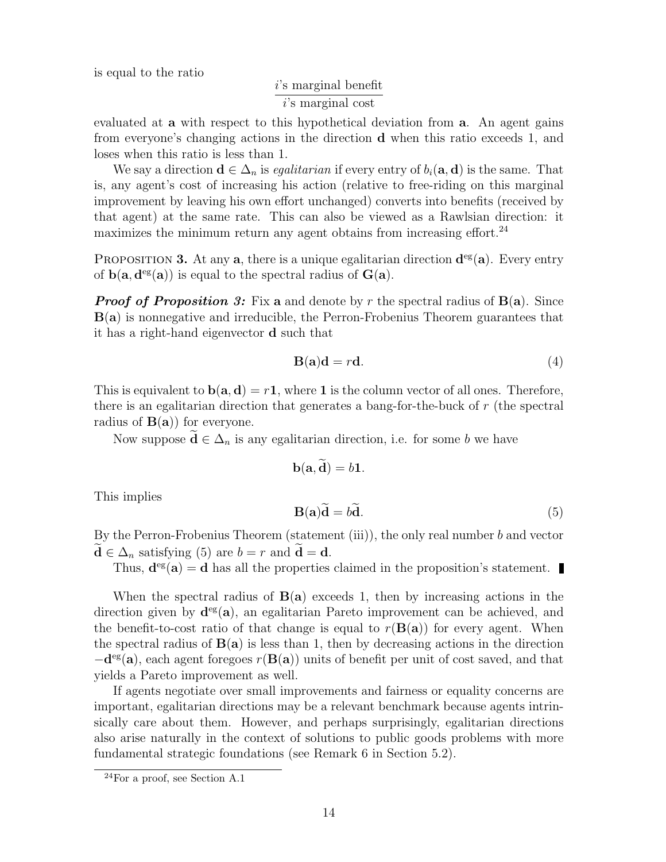is equal to the ratio

$$
\frac{i \text{'s marginal benefit}}{i \text{'s marginal cost}}
$$

evaluated at a with respect to this hypothetical deviation from a. An agent gains from everyone's changing actions in the direction d when this ratio exceeds 1, and loses when this ratio is less than 1.

We say a direction  $\mathbf{d} \in \Delta_n$  is *egalitarian* if every entry of  $b_i(\mathbf{a}, \mathbf{d})$  is the same. That is, any agent's cost of increasing his action (relative to free-riding on this marginal improvement by leaving his own effort unchanged) converts into benefits (received by that agent) at the same rate. This can also be viewed as a Rawlsian direction: it maximizes the minimum return any agent obtains from increasing effort.<sup>24</sup>

PROPOSITION 3. At any  $a$ , there is a unique egalitarian direction  $d^{eg}(a)$ . Every entry of  $b(a, d^{eg}(a))$  is equal to the spectral radius of  $G(a)$ .

**Proof of Proposition 3:** Fix a and denote by r the spectral radius of  $B(a)$ . Since B(a) is nonnegative and irreducible, the Perron-Frobenius Theorem guarantees that it has a right-hand eigenvector d such that

$$
\mathbf{B}(\mathbf{a})\mathbf{d} = r\mathbf{d}.\tag{4}
$$

This is equivalent to  $b(a, d) = r1$ , where 1 is the column vector of all ones. Therefore, there is an egalitarian direction that generates a bang-for-the-buck of r (the spectral radius of  $B(a)$  for everyone.

Now suppose  $\widetilde{\mathbf{d}} \in \Delta_n$  is any egalitarian direction, i.e. for some b we have

$$
\mathbf{b}(\mathbf{a},\widetilde{\mathbf{d}})=b\mathbf{1}.
$$

This implies

$$
\mathbf{B}(\mathbf{a})\widetilde{\mathbf{d}} = b\widetilde{\mathbf{d}}.\tag{5}
$$

By the Perron-Frobenius Theorem (statement  $(iii)$ ), the only real number b and vector  $\ddot{\mathbf{d}} \in \Delta_n$  satisfying (5) are  $b = r$  and  $\ddot{\mathbf{d}} = \mathbf{d}$ .

Thus,  $\mathbf{d}^{\text{eg}}(\mathbf{a}) = \mathbf{d}$  has all the properties claimed in the proposition's statement.

When the spectral radius of  $B(a)$  exceeds 1, then by increasing actions in the direction given by  $d^{eg}(a)$ , an egalitarian Pareto improvement can be achieved, and the benefit-to-cost ratio of that change is equal to  $r(\mathbf{B}(\mathbf{a}))$  for every agent. When the spectral radius of  $B(a)$  is less than 1, then by decreasing actions in the direction  $-d<sup>eg</sup>(a)$ , each agent foregoes  $r(B(a))$  units of benefit per unit of cost saved, and that yields a Pareto improvement as well.

If agents negotiate over small improvements and fairness or equality concerns are important, egalitarian directions may be a relevant benchmark because agents intrinsically care about them. However, and perhaps surprisingly, egalitarian directions also arise naturally in the context of solutions to public goods problems with more fundamental strategic foundations (see Remark 6 in Section 5.2).

 $^{24}$ For a proof, see Section A.1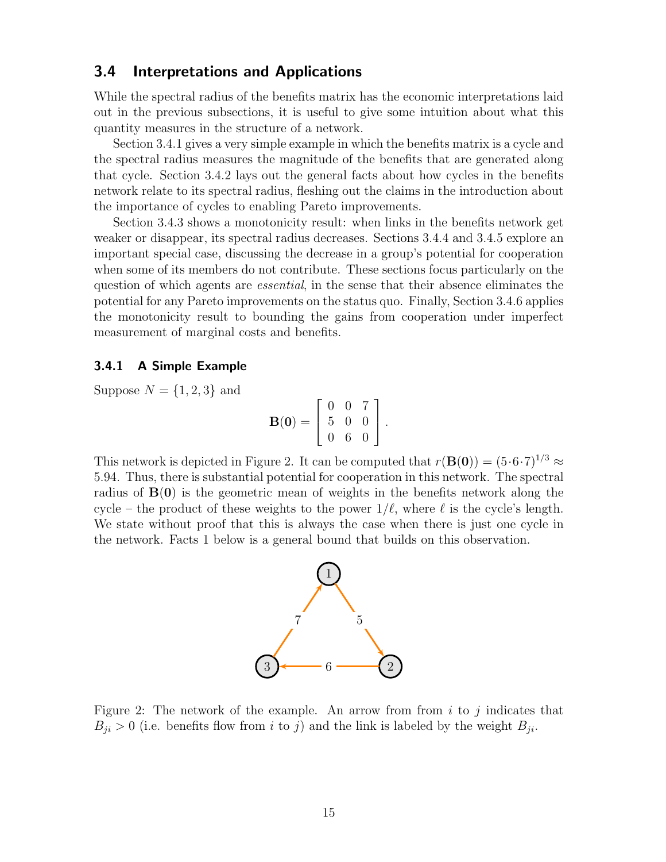## 3.4 Interpretations and Applications

While the spectral radius of the benefits matrix has the economic interpretations laid out in the previous subsections, it is useful to give some intuition about what this quantity measures in the structure of a network.

Section 3.4.1 gives a very simple example in which the benefits matrix is a cycle and the spectral radius measures the magnitude of the benefits that are generated along that cycle. Section 3.4.2 lays out the general facts about how cycles in the benefits network relate to its spectral radius, fleshing out the claims in the introduction about the importance of cycles to enabling Pareto improvements.

Section 3.4.3 shows a monotonicity result: when links in the benefits network get weaker or disappear, its spectral radius decreases. Sections 3.4.4 and 3.4.5 explore an important special case, discussing the decrease in a group's potential for cooperation when some of its members do not contribute. These sections focus particularly on the question of which agents are essential, in the sense that their absence eliminates the potential for any Pareto improvements on the status quo. Finally, Section 3.4.6 applies the monotonicity result to bounding the gains from cooperation under imperfect measurement of marginal costs and benefits.

#### 3.4.1 A Simple Example

Suppose  $N = \{1, 2, 3\}$  and

$$
\mathbf{B}(\mathbf{0}) = \left[ \begin{array}{ccc} 0 & 0 & 7 \\ 5 & 0 & 0 \\ 0 & 6 & 0 \end{array} \right].
$$

This network is depicted in Figure 2. It can be computed that  $r(\mathbf{B}(0)) = (5 \cdot 6 \cdot 7)^{1/3} \approx$ 5.94. Thus, there is substantial potential for cooperation in this network. The spectral radius of  $B(0)$  is the geometric mean of weights in the benefits network along the cycle – the product of these weights to the power  $1/\ell$ , where  $\ell$  is the cycle's length. We state without proof that this is always the case when there is just one cycle in the network. Facts 1 below is a general bound that builds on this observation.



Figure 2: The network of the example. An arrow from from  $i$  to  $j$  indicates that  $B_{ji} > 0$  (i.e. benefits flow from i to j) and the link is labeled by the weight  $B_{ji}$ .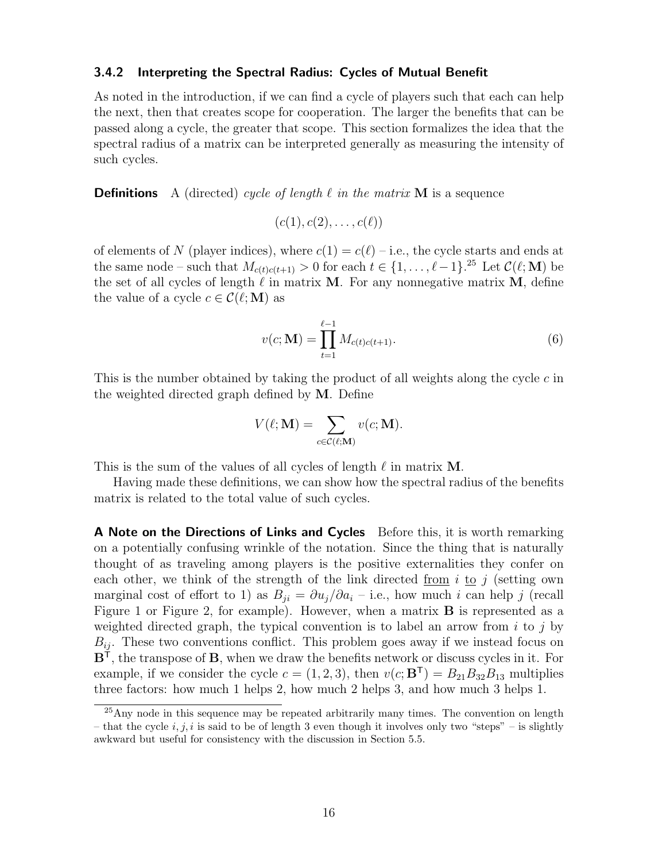#### 3.4.2 Interpreting the Spectral Radius: Cycles of Mutual Benefit

As noted in the introduction, if we can find a cycle of players such that each can help the next, then that creates scope for cooperation. The larger the benefits that can be passed along a cycle, the greater that scope. This section formalizes the idea that the spectral radius of a matrix can be interpreted generally as measuring the intensity of such cycles.

**Definitions** A (directed) cycle of length  $\ell$  in the matrix M is a sequence

$$
(c(1), c(2), \ldots, c(\ell))
$$

of elements of N (player indices), where  $c(1) = c(\ell) - i.e.,$  the cycle starts and ends at the same node – such that  $M_{c(t)c(t+1)} > 0$  for each  $t \in \{1, \ldots, \ell-1\}$ .<sup>25</sup> Let  $\mathcal{C}(\ell; \mathbf{M})$  be the set of all cycles of length  $\ell$  in matrix M. For any nonnegative matrix M, define the value of a cycle  $c \in \mathcal{C}(\ell; \mathbf{M})$  as

$$
v(c; \mathbf{M}) = \prod_{t=1}^{\ell-1} M_{c(t)c(t+1)}.
$$
\n(6)

This is the number obtained by taking the product of all weights along the cycle c in the weighted directed graph defined by M. Define

$$
V(\ell; \mathbf{M}) = \sum_{c \in \mathcal{C}(\ell; \mathbf{M})} v(c; \mathbf{M}).
$$

This is the sum of the values of all cycles of length  $\ell$  in matrix M.

Having made these definitions, we can show how the spectral radius of the benefits matrix is related to the total value of such cycles.

A Note on the Directions of Links and Cycles Before this, it is worth remarking on a potentially confusing wrinkle of the notation. Since the thing that is naturally thought of as traveling among players is the positive externalities they confer on each other, we think of the strength of the link directed from i to j (setting own marginal cost of effort to 1) as  $B_{ji} = \partial u_j / \partial a_i$  – i.e., how much i can help j (recall Figure 1 or Figure 2, for example). However, when a matrix **B** is represented as a weighted directed graph, the typical convention is to label an arrow from  $i$  to  $j$  by  $B_{ij}$ . These two conventions conflict. This problem goes away if we instead focus on  $B<sup>T</sup>$ , the transpose of **B**, when we draw the benefits network or discuss cycles in it. For example, if we consider the cycle  $c = (1, 2, 3)$ , then  $v(c; \mathbf{B}^T) = B_{21}B_{32}B_{13}$  multiplies three factors: how much 1 helps 2, how much 2 helps 3, and how much 3 helps 1.

 $25$ Any node in this sequence may be repeated arbitrarily many times. The convention on length – that the cycle i, j, i is said to be of length 3 even though it involves only two "steps" – is slightly awkward but useful for consistency with the discussion in Section 5.5.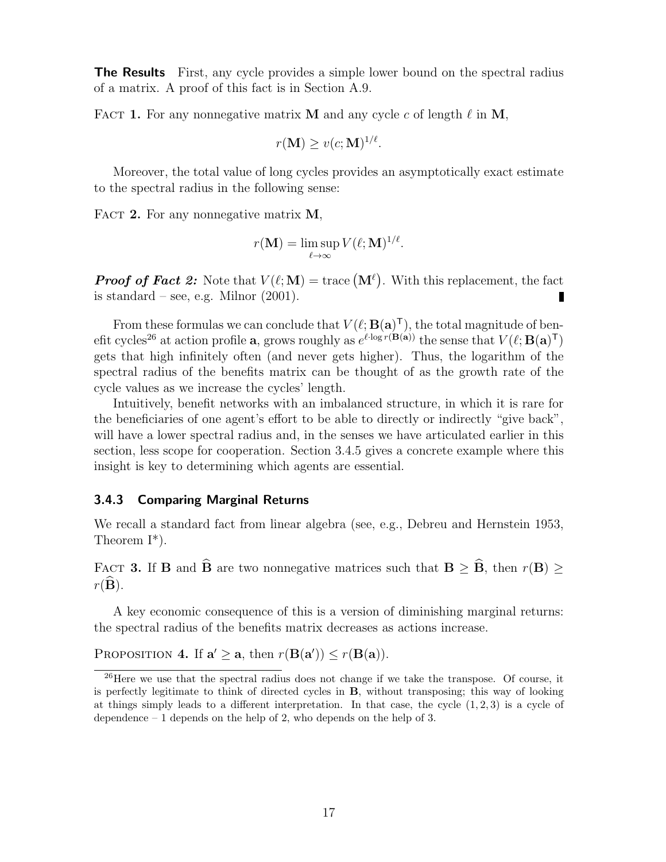**The Results** First, any cycle provides a simple lower bound on the spectral radius of a matrix. A proof of this fact is in Section A.9.

FACT 1. For any nonnegative matrix M and any cycle c of length  $\ell$  in M,

$$
r(\mathbf{M}) \ge v(c; \mathbf{M})^{1/\ell}.
$$

Moreover, the total value of long cycles provides an asymptotically exact estimate to the spectral radius in the following sense:

FACT 2. For any nonnegative matrix  $M$ ,

$$
r(\mathbf{M}) = \limsup_{\ell \to \infty} V(\ell; \mathbf{M})^{1/\ell}.
$$

**Proof of Fact 2:** Note that  $V(\ell; \mathbf{M}) = \text{trace}(\mathbf{M}^{\ell})$ . With this replacement, the fact is standard – see, e.g. Milnor  $(2001)$ .

From these formulas we can conclude that  $V(\ell; \mathbf{B}(\mathbf{a})^{\mathsf{T}})$ , the total magnitude of benefit cycles<sup>26</sup> at action profile **a**, grows roughly as  $e^{\ell \cdot \log r(\mathbf{B}(\mathbf{a}))}$  the sense that  $V(\ell; \mathbf{B}(\mathbf{a})^{\mathsf{T}})$ gets that high infinitely often (and never gets higher). Thus, the logarithm of the spectral radius of the benefits matrix can be thought of as the growth rate of the cycle values as we increase the cycles' length.

Intuitively, benefit networks with an imbalanced structure, in which it is rare for the beneficiaries of one agent's effort to be able to directly or indirectly "give back", will have a lower spectral radius and, in the senses we have articulated earlier in this section, less scope for cooperation. Section 3.4.5 gives a concrete example where this insight is key to determining which agents are essential.

#### 3.4.3 Comparing Marginal Returns

We recall a standard fact from linear algebra (see, e.g., Debreu and Hernstein 1953, Theorem I\*).

FACT 3. If **B** and  $\widehat{\mathbf{B}}$  are two nonnegative matrices such that  $\mathbf{B} \geq \widehat{\mathbf{B}}$ , then  $r(\mathbf{B}) \geq$  $r(\mathbf{B})$ .

A key economic consequence of this is a version of diminishing marginal returns: the spectral radius of the benefits matrix decreases as actions increase.

PROPOSITION 4. If  $\mathbf{a}' \geq \mathbf{a}$ , then  $r(\mathbf{B}(\mathbf{a}')) \leq r(\mathbf{B}(\mathbf{a}))$ .

<sup>&</sup>lt;sup>26</sup>Here we use that the spectral radius does not change if we take the transpose. Of course, it is perfectly legitimate to think of directed cycles in B, without transposing; this way of looking at things simply leads to a different interpretation. In that case, the cycle  $(1, 2, 3)$  is a cycle of dependence  $-1$  depends on the help of 2, who depends on the help of 3.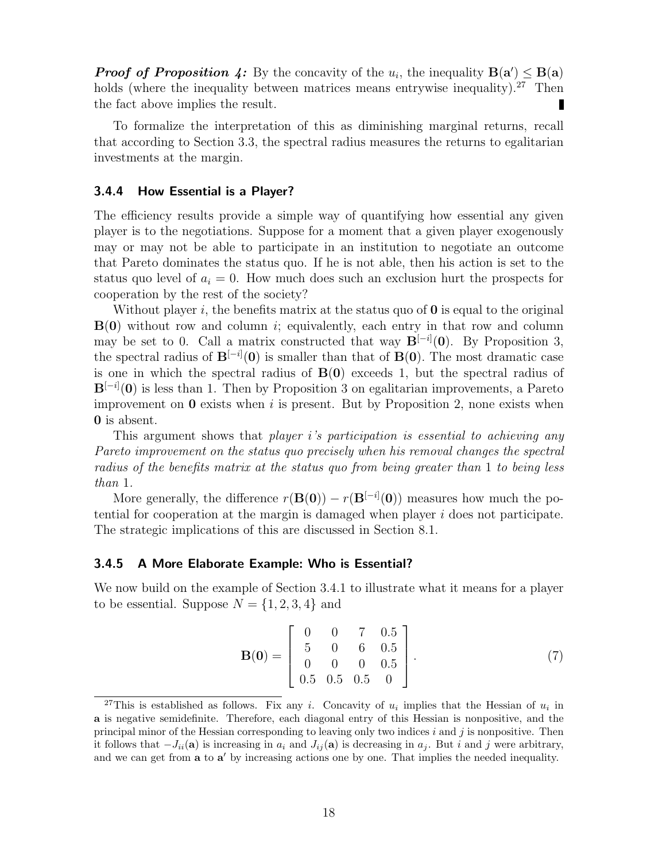**Proof of Proposition 4:** By the concavity of the  $u_i$ , the inequality  $B(a') \leq B(a)$ holds (where the inequality between matrices means entrywise inequality).<sup>27</sup> Then the fact above implies the result.

To formalize the interpretation of this as diminishing marginal returns, recall that according to Section 3.3, the spectral radius measures the returns to egalitarian investments at the margin.

#### 3.4.4 How Essential is a Player?

The efficiency results provide a simple way of quantifying how essential any given player is to the negotiations. Suppose for a moment that a given player exogenously may or may not be able to participate in an institution to negotiate an outcome that Pareto dominates the status quo. If he is not able, then his action is set to the status quo level of  $a_i = 0$ . How much does such an exclusion hurt the prospects for cooperation by the rest of the society?

Without player i, the benefits matrix at the status quo of  $\bf{0}$  is equal to the original  $B(0)$  without row and column *i*; equivalently, each entry in that row and column may be set to 0. Call a matrix constructed that way  $\mathbf{B}^{[-i]}(0)$ . By Proposition 3, the spectral radius of  $B^{[-i]}(0)$  is smaller than that of  $B(0)$ . The most dramatic case is one in which the spectral radius of  $B(0)$  exceeds 1, but the spectral radius of  $B^{[-i]}(0)$  is less than 1. Then by Proposition 3 on egalitarian improvements, a Pareto improvement on  $\mathbf 0$  exists when i is present. But by Proposition 2, none exists when 0 is absent.

This argument shows that *player i's participation is essential to achieving any* Pareto improvement on the status quo precisely when his removal changes the spectral radius of the benefits matrix at the status quo from being greater than 1 to being less than 1.

More generally, the difference  $r(\mathbf{B}(0)) - r(\mathbf{B}^{[-i]}(0))$  measures how much the potential for cooperation at the margin is damaged when player i does not participate. The strategic implications of this are discussed in Section 8.1.

#### 3.4.5 A More Elaborate Example: Who is Essential?

We now build on the example of Section 3.4.1 to illustrate what it means for a player to be essential. Suppose  $N = \{1, 2, 3, 4\}$  and

$$
\mathbf{B}(\mathbf{0}) = \begin{bmatrix} 0 & 0 & 7 & 0.5 \\ 5 & 0 & 6 & 0.5 \\ 0 & 0 & 0 & 0.5 \\ 0.5 & 0.5 & 0.5 & 0 \end{bmatrix}.
$$
 (7)

<sup>&</sup>lt;sup>27</sup>This is established as follows. Fix any *i*. Concavity of  $u_i$  implies that the Hessian of  $u_i$  in a is negative semidefinite. Therefore, each diagonal entry of this Hessian is nonpositive, and the principal minor of the Hessian corresponding to leaving only two indices  $i$  and  $j$  is nonpositive. Then it follows that  $-J_{ii}(\mathbf{a})$  is increasing in  $a_i$  and  $J_{ii}(\mathbf{a})$  is decreasing in  $a_j$ . But i and j were arbitrary, and we can get from **a** to **a**' by increasing actions one by one. That implies the needed inequality.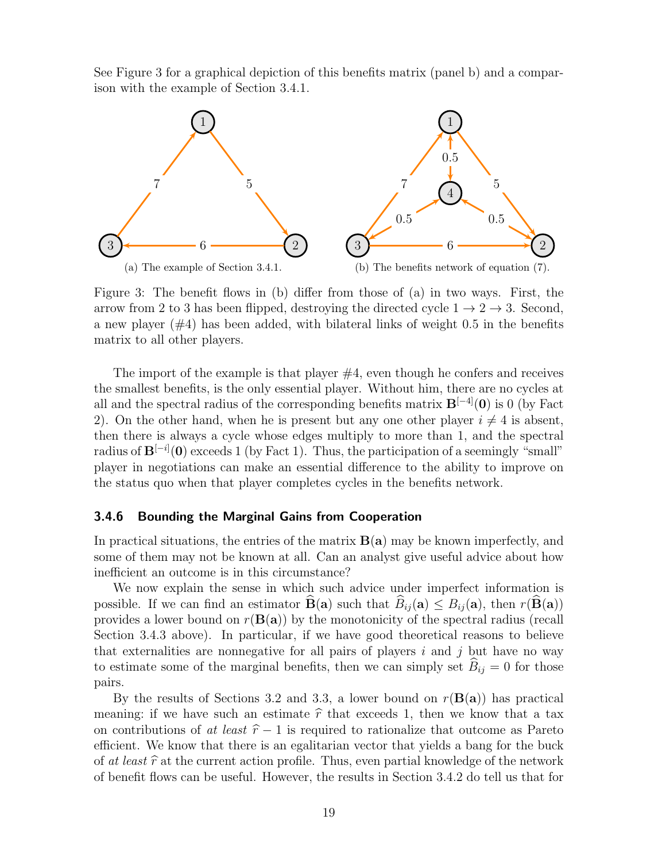See Figure 3 for a graphical depiction of this benefits matrix (panel b) and a comparison with the example of Section 3.4.1.



Figure 3: The benefit flows in (b) differ from those of (a) in two ways. First, the arrow from 2 to 3 has been flipped, destroying the directed cycle  $1 \rightarrow 2 \rightarrow 3$ . Second, a new player  $(\#4)$  has been added, with bilateral links of weight 0.5 in the benefits matrix to all other players.

The import of the example is that player  $#4$ , even though he confers and receives the smallest benefits, is the only essential player. Without him, there are no cycles at all and the spectral radius of the corresponding benefits matrix  $B^{[-4]}(0)$  is 0 (by Fact 2). On the other hand, when he is present but any one other player  $i \neq 4$  is absent, then there is always a cycle whose edges multiply to more than 1, and the spectral radius of  $\mathbf{B}^{[-i]}(0)$  exceeds 1 (by Fact 1). Thus, the participation of a seemingly "small" player in negotiations can make an essential difference to the ability to improve on the status quo when that player completes cycles in the benefits network.

#### 3.4.6 Bounding the Marginal Gains from Cooperation

In practical situations, the entries of the matrix  $B(a)$  may be known imperfectly, and some of them may not be known at all. Can an analyst give useful advice about how inefficient an outcome is in this circumstance?

We now explain the sense in which such advice under imperfect information is possible. If we can find an estimator  $\widehat{\mathbf{B}}(\mathbf{a})$  such that  $\widehat{B}_{ij}(\mathbf{a}) \leq B_{ij}(\mathbf{a})$ , then  $r(\widehat{\mathbf{B}}(\mathbf{a}))$ provides a lower bound on  $r(\mathbf{B}(\mathbf{a}))$  by the monotonicity of the spectral radius (recall Section 3.4.3 above). In particular, if we have good theoretical reasons to believe that externalities are nonnegative for all pairs of players  $i$  and  $j$  but have no way to estimate some of the marginal benefits, then we can simply set  $\widehat{B}_{ij} = 0$  for those pairs.

By the results of Sections 3.2 and 3.3, a lower bound on  $r(\mathbf{B}(\mathbf{a}))$  has practical meaning: if we have such an estimate  $\hat{r}$  that exceeds 1, then we know that a tax on contributions of at least  $\hat{r} - 1$  is required to rationalize that outcome as Pareto efficient. We know that there is an egalitarian vector that yields a bang for the buck of at least  $\hat{r}$  at the current action profile. Thus, even partial knowledge of the network of benefit flows can be useful. However, the results in Section 3.4.2 do tell us that for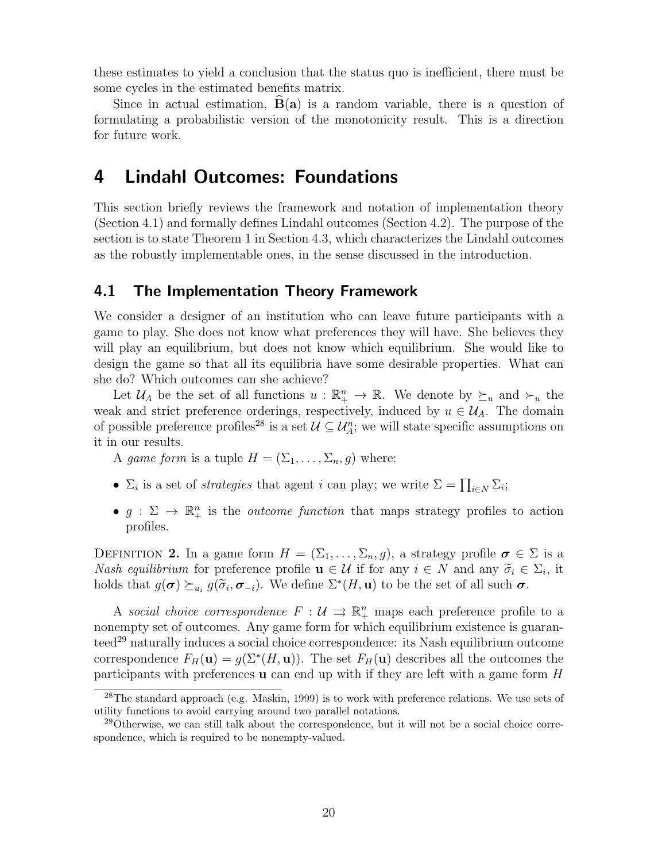these estimates to yield a conclusion that the status quo is inefficient, there must be some cycles in the estimated benefits matrix.

Since in actual estimation,  $\vec{B}(a)$  is a random variable, there is a question of formulating a probabilistic version of the monotonicity result. This is a direction for future work.

# 4 Lindahl Outcomes: Foundations

This section briefly reviews the framework and notation of implementation theory (Section 4.1) and formally defines Lindahl outcomes (Section 4.2). The purpose of the section is to state Theorem 1 in Section 4.3, which characterizes the Lindahl outcomes as the robustly implementable ones, in the sense discussed in the introduction.

#### 4.1 The Implementation Theory Framework

We consider a designer of an institution who can leave future participants with a game to play. She does not know what preferences they will have. She believes they will play an equilibrium, but does not know which equilibrium. She would like to design the game so that all its equilibria have some desirable properties. What can she do? Which outcomes can she achieve?

Let  $\mathcal{U}_A$  be the set of all functions  $u : \mathbb{R}^n_+ \to \mathbb{R}$ . We denote by  $\succeq_u$  and  $\succ_u$  the weak and strict preference orderings, respectively, induced by  $u \in \mathcal{U}_A$ . The domain of possible preference profiles<sup>28</sup> is a set  $\mathcal{U} \subseteq \mathcal{U}_A^n$ ; we will state specific assumptions on it in our results.

A game form is a tuple  $H = (\Sigma_1, \dots, \Sigma_n, g)$  where:

- $\Sigma_i$  is a set of *strategies* that agent *i* can play; we write  $\Sigma = \prod_{i \in N} \Sigma_i$ ;
- $g: \Sigma \to \mathbb{R}^n_+$  is the *outcome function* that maps strategy profiles to action profiles.

DEFINITION 2. In a game form  $H = (\Sigma_1, \ldots, \Sigma_n, g)$ , a strategy profile  $\sigma \in \Sigma$  is a Nash equilibrium for preference profile  $\mathbf{u} \in \mathcal{U}$  if for any  $i \in N$  and any  $\widetilde{\sigma}_i \in \Sigma_i$ , it holds that  $g(\mathbf{\pi}) \succ g(\widetilde{\mathbf{\pi}}, \mathbf{\pi})$ . We define  $\Sigma^{*(H, \mathbf{u})}$  to be the set of all such  $\mathbf{\pi}$ . holds that  $g(\sigma) \succeq_{u_i} g(\tilde{\sigma}_i, \sigma_{-i})$ . We define  $\Sigma^*(H, \mathbf{u})$  to be the set of all such  $\sigma$ .

A social choice correspondence  $F: \mathcal{U} \implies \mathbb{R}^n_+$  maps each preference profile to a nonempty set of outcomes. Any game form for which equilibrium existence is guaranteed<sup>29</sup> naturally induces a social choice correspondence: its Nash equilibrium outcome correspondence  $F_H(\mathbf{u}) = g(\Sigma^*(H, \mathbf{u}))$ . The set  $F_H(\mathbf{u})$  describes all the outcomes the participants with preferences  $\bf{u}$  can end up with if they are left with a game form H

 $28$ The standard approach (e.g. Maskin, 1999) is to work with preference relations. We use sets of utility functions to avoid carrying around two parallel notations.

<sup>&</sup>lt;sup>29</sup>Otherwise, we can still talk about the correspondence, but it will not be a social choice correspondence, which is required to be nonempty-valued.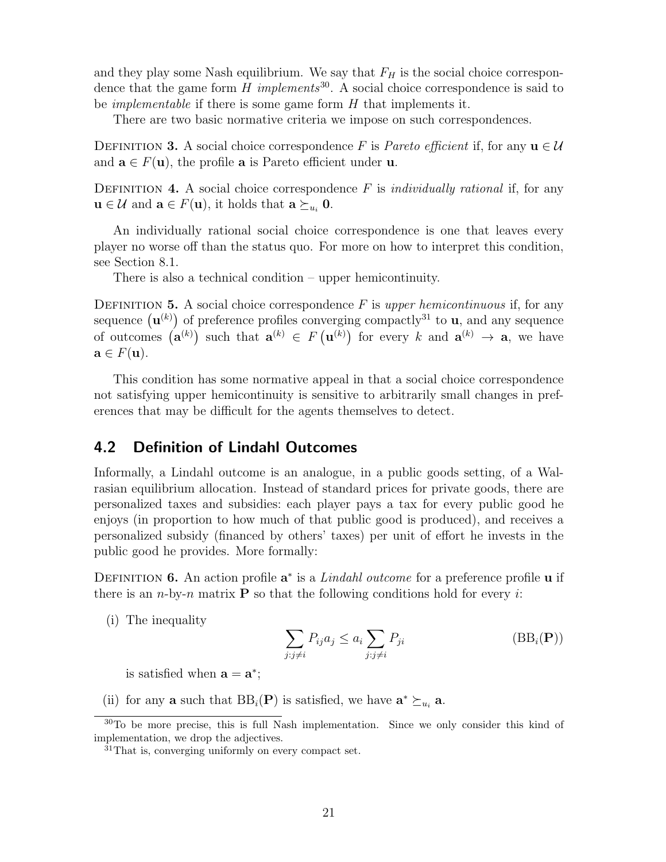and they play some Nash equilibrium. We say that  $F_H$  is the social choice correspondence that the game form  $H$  implements<sup>30</sup>. A social choice correspondence is said to be *implementable* if there is some game form  $H$  that implements it.

There are two basic normative criteria we impose on such correspondences.

DEFINITION 3. A social choice correspondence F is Pareto efficient if, for any  $\mathbf{u} \in \mathcal{U}$ and  $\mathbf{a} \in F(\mathbf{u})$ , the profile  $\mathbf{a}$  is Pareto efficient under **u**.

DEFINITION 4. A social choice correspondence  $F$  is *individually rational* if, for any  $\mathbf{u} \in \mathcal{U}$  and  $\mathbf{a} \in F(\mathbf{u})$ , it holds that  $\mathbf{a} \succeq_{u_i} \mathbf{0}$ .

An individually rational social choice correspondence is one that leaves every player no worse off than the status quo. For more on how to interpret this condition, see Section 8.1.

There is also a technical condition – upper hemicontinuity.

DEFINITION 5. A social choice correspondence  $F$  is upper hemicontinuous if, for any sequence  $(\mathbf{u}^{(k)})$  of preference profiles converging compactly<sup>31</sup> to **u**, and any sequence of outcomes  $(\mathbf{a}^{(k)})$  such that  $\mathbf{a}^{(k)} \in F(\mathbf{u}^{(k)})$  for every k and  $\mathbf{a}^{(k)} \to \mathbf{a}$ , we have  $\mathbf{a} \in F(\mathbf{u}).$ 

This condition has some normative appeal in that a social choice correspondence not satisfying upper hemicontinuity is sensitive to arbitrarily small changes in preferences that may be difficult for the agents themselves to detect.

## 4.2 Definition of Lindahl Outcomes

Informally, a Lindahl outcome is an analogue, in a public goods setting, of a Walrasian equilibrium allocation. Instead of standard prices for private goods, there are personalized taxes and subsidies: each player pays a tax for every public good he enjoys (in proportion to how much of that public good is produced), and receives a personalized subsidy (financed by others' taxes) per unit of effort he invests in the public good he provides. More formally:

DEFINITION 6. An action profile  $a^*$  is a *Lindahl outcome* for a preference profile **u** if there is an *n*-by-*n* matrix **P** so that the following conditions hold for every i:

(i) The inequality

$$
\sum_{j:j\neq i} P_{ij} a_j \le a_i \sum_{j:j\neq i} P_{ji} \tag{BBi(P))}
$$

is satisfied when  $\mathbf{a} = \mathbf{a}^*$ ;

(ii) for any **a** such that  $BB_i(P)$  is satisfied, we have  $\mathbf{a}^* \succeq_{u_i} \mathbf{a}$ .

<sup>30</sup>To be more precise, this is full Nash implementation. Since we only consider this kind of implementation, we drop the adjectives.

 $31$ That is, converging uniformly on every compact set.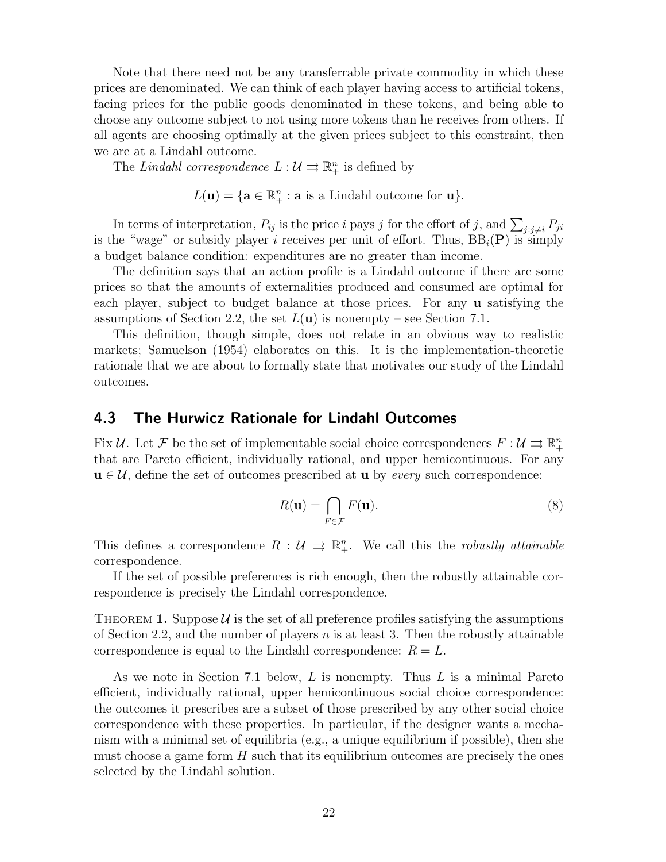Note that there need not be any transferrable private commodity in which these prices are denominated. We can think of each player having access to artificial tokens, facing prices for the public goods denominated in these tokens, and being able to choose any outcome subject to not using more tokens than he receives from others. If all agents are choosing optimally at the given prices subject to this constraint, then we are at a Lindahl outcome.

The Lindahl correspondence  $L: \mathcal{U} \rightrightarrows \mathbb{R}^n_+$  is defined by

 $L(\mathbf{u}) = \{\mathbf{a} \in \mathbb{R}_+^n : \mathbf{a} \text{ is a Lindahl outcome for } \mathbf{u}\}.$ 

In terms of interpretation,  $P_{ij}$  is the price i pays j for the effort of j, and  $\sum_{j:j\neq i} P_{ji}$ is the "wage" or subsidy player i receives per unit of effort. Thus,  $BB_i(P)$  is simply a budget balance condition: expenditures are no greater than income.

The definition says that an action profile is a Lindahl outcome if there are some prices so that the amounts of externalities produced and consumed are optimal for each player, subject to budget balance at those prices. For any u satisfying the assumptions of Section 2.2, the set  $L(\mathbf{u})$  is nonempty – see Section 7.1.

This definition, though simple, does not relate in an obvious way to realistic markets; Samuelson (1954) elaborates on this. It is the implementation-theoretic rationale that we are about to formally state that motivates our study of the Lindahl outcomes.

#### 4.3 The Hurwicz Rationale for Lindahl Outcomes

Fix U. Let F be the set of implementable social choice correspondences  $F: U \rightrightarrows \mathbb{R}^n_+$ that are Pareto efficient, individually rational, and upper hemicontinuous. For any  $u \in \mathcal{U}$ , define the set of outcomes prescribed at **u** by *every* such correspondence:

$$
R(\mathbf{u}) = \bigcap_{F \in \mathcal{F}} F(\mathbf{u}).
$$
\n(8)

This defines a correspondence  $R : U \implies \mathbb{R}^n_+$ . We call this the *robustly attainable* correspondence.

If the set of possible preferences is rich enough, then the robustly attainable correspondence is precisely the Lindahl correspondence.

THEOREM 1. Suppose  $\mathcal{U}$  is the set of all preference profiles satisfying the assumptions of Section 2.2, and the number of players  $n$  is at least 3. Then the robustly attainable correspondence is equal to the Lindahl correspondence:  $R = L$ .

As we note in Section 7.1 below,  $L$  is nonempty. Thus  $L$  is a minimal Pareto efficient, individually rational, upper hemicontinuous social choice correspondence: the outcomes it prescribes are a subset of those prescribed by any other social choice correspondence with these properties. In particular, if the designer wants a mechanism with a minimal set of equilibria (e.g., a unique equilibrium if possible), then she must choose a game form  $H$  such that its equilibrium outcomes are precisely the ones selected by the Lindahl solution.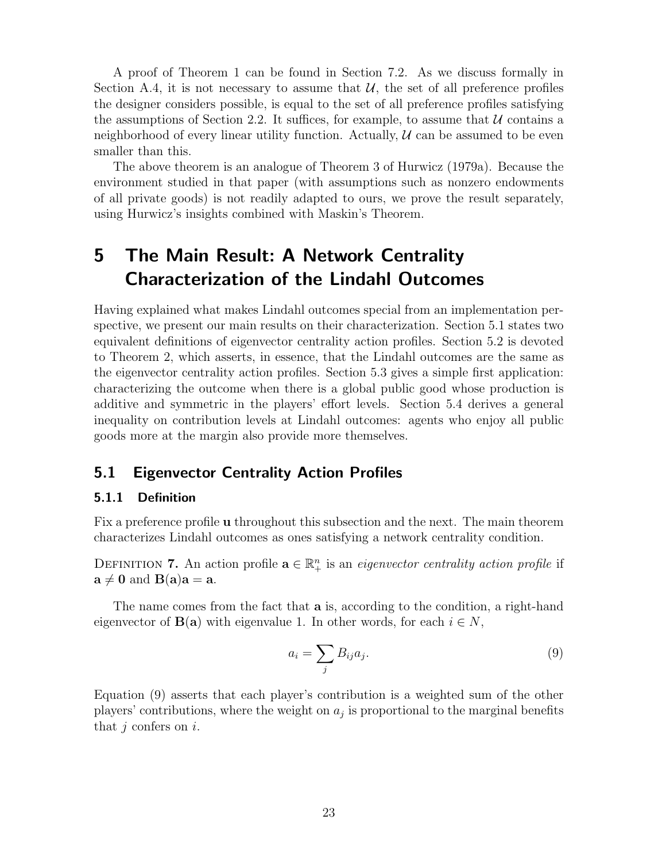A proof of Theorem 1 can be found in Section 7.2. As we discuss formally in Section A.4, it is not necessary to assume that  $U$ , the set of all preference profiles the designer considers possible, is equal to the set of all preference profiles satisfying the assumptions of Section 2.2. It suffices, for example, to assume that  $\mathcal U$  contains a neighborhood of every linear utility function. Actually,  $\mathcal U$  can be assumed to be even smaller than this.

The above theorem is an analogue of Theorem 3 of Hurwicz (1979a). Because the environment studied in that paper (with assumptions such as nonzero endowments of all private goods) is not readily adapted to ours, we prove the result separately, using Hurwicz's insights combined with Maskin's Theorem.

# 5 The Main Result: A Network Centrality Characterization of the Lindahl Outcomes

Having explained what makes Lindahl outcomes special from an implementation perspective, we present our main results on their characterization. Section 5.1 states two equivalent definitions of eigenvector centrality action profiles. Section 5.2 is devoted to Theorem 2, which asserts, in essence, that the Lindahl outcomes are the same as the eigenvector centrality action profiles. Section 5.3 gives a simple first application: characterizing the outcome when there is a global public good whose production is additive and symmetric in the players' effort levels. Section 5.4 derives a general inequality on contribution levels at Lindahl outcomes: agents who enjoy all public goods more at the margin also provide more themselves.

## 5.1 Eigenvector Centrality Action Profiles

#### 5.1.1 Definition

Fix a preference profile u throughout this subsection and the next. The main theorem characterizes Lindahl outcomes as ones satisfying a network centrality condition.

DEFINITION 7. An action profile  $\mathbf{a} \in \mathbb{R}^n_+$  is an *eigenvector centrality action profile* if  $\mathbf{a} \neq \mathbf{0}$  and  $\mathbf{B}(\mathbf{a})\mathbf{a} = \mathbf{a}$ .

The name comes from the fact that **a** is, according to the condition, a right-hand eigenvector of  $\mathbf{B}(\mathbf{a})$  with eigenvalue 1. In other words, for each  $i \in N$ ,

$$
a_i = \sum_j B_{ij} a_j. \tag{9}
$$

Equation (9) asserts that each player's contribution is a weighted sum of the other players' contributions, where the weight on  $a_j$  is proportional to the marginal benefits that  $i$  confers on  $i$ .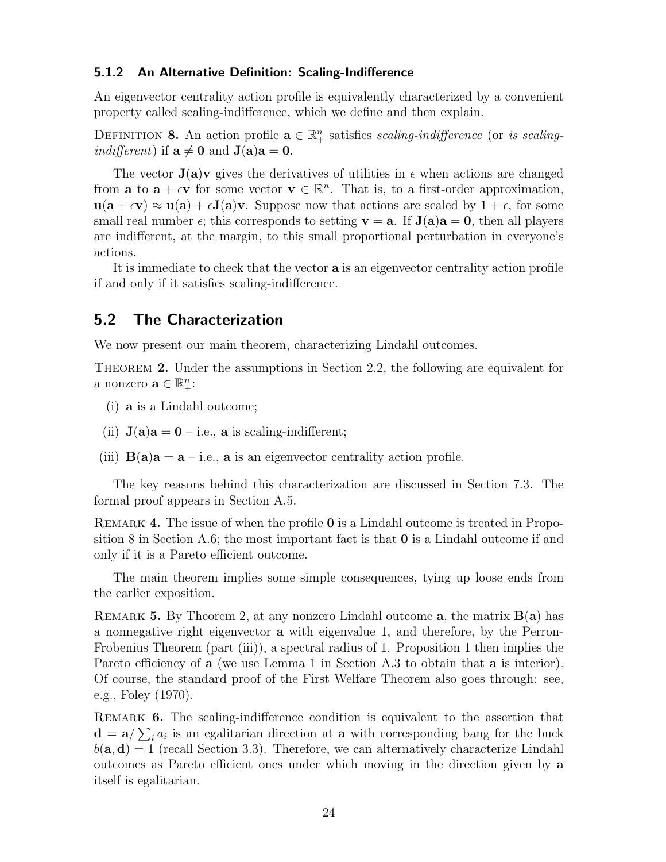#### 5.1.2 An Alternative Definition: Scaling-Indifference

An eigenvector centrality action profile is equivalently characterized by a convenient property called scaling-indifference, which we define and then explain.

DEFINITION 8. An action profile  $\mathbf{a} \in \mathbb{R}^n_+$  satisfies scaling-indifference (or is scaling*indifferent*) if  $a \neq 0$  and  $J(a)a = 0$ .

The vector  $J(a)v$  gives the derivatives of utilities in  $\epsilon$  when actions are changed from **a** to  $\mathbf{a} + \epsilon \mathbf{v}$  for some vector  $\mathbf{v} \in \mathbb{R}^n$ . That is, to a first-order approximation,  $u(a + \epsilon v) \approx u(a) + \epsilon J(a)v$ . Suppose now that actions are scaled by  $1 + \epsilon$ , for some small real number  $\epsilon$ ; this corresponds to setting  $\mathbf{v} = \mathbf{a}$ . If  $\mathbf{J}(\mathbf{a})\mathbf{a} = \mathbf{0}$ , then all players are indifferent, at the margin, to this small proportional perturbation in everyone's actions.

It is immediate to check that the vector a is an eigenvector centrality action profile if and only if it satisfies scaling-indifference.

#### 5.2 The Characterization

We now present our main theorem, characterizing Lindahl outcomes.

Theorem 2. Under the assumptions in Section 2.2, the following are equivalent for a nonzero  $\mathbf{a} \in \mathbb{R}_+^n$ :

- (i) a is a Lindahl outcome;
- (ii)  $J(a)a = 0$  i.e., a is scaling-indifferent;
- (iii)  $B(a)a = a i.e., a is an eigenvector centrality action profile.$

The key reasons behind this characterization are discussed in Section 7.3. The formal proof appears in Section A.5.

REMARK 4. The issue of when the profile 0 is a Lindahl outcome is treated in Proposition 8 in Section A.6; the most important fact is that  $\bf{0}$  is a Lindahl outcome if and only if it is a Pareto efficient outcome.

The main theorem implies some simple consequences, tying up loose ends from the earlier exposition.

REMARK 5. By Theorem 2, at any nonzero Lindahl outcome a, the matrix  $B(a)$  has a nonnegative right eigenvector a with eigenvalue 1, and therefore, by the Perron-Frobenius Theorem (part (iii)), a spectral radius of 1. Proposition 1 then implies the Pareto efficiency of **a** (we use Lemma 1 in Section A.3 to obtain that **a** is interior). Of course, the standard proof of the First Welfare Theorem also goes through: see, e.g., Foley (1970).

Remark 6. The scaling-indifference condition is equivalent to the assertion that  $\mathbf{d} = \mathbf{a}/\sum_i a_i$  is an egalitarian direction at **a** with corresponding bang for the buck  $b(\mathbf{a}, \mathbf{d}) = 1$  (recall Section 3.3). Therefore, we can alternatively characterize Lindahl outcomes as Pareto efficient ones under which moving in the direction given by a itself is egalitarian.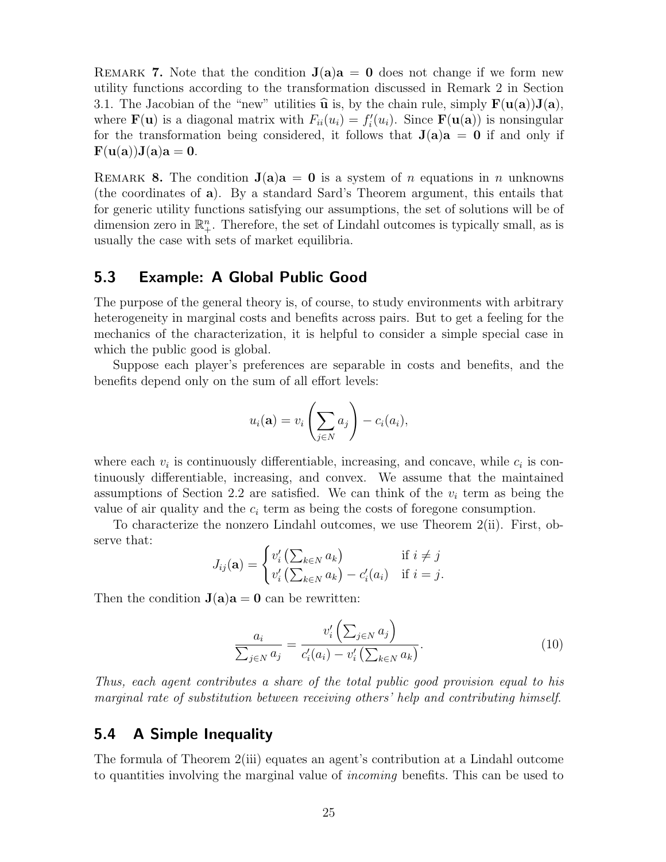REMARK 7. Note that the condition  $J(a)a = 0$  does not change if we form new utility functions according to the transformation discussed in Remark 2 in Section 3.1. The Jacobian of the "new" utilities  $\hat{u}$  is, by the chain rule, simply  $F(u(a))J(a)$ , where  $\mathbf{F}(\mathbf{u})$  is a diagonal matrix with  $F_{ii}(u_i) = f_i'(u_i)$ . Since  $\mathbf{F}(\mathbf{u}(\mathbf{a}))$  is nonsingular for the transformation being considered, it follows that  $J(a)a = 0$  if and only if  $\mathbf{F}(\mathbf{u}(\mathbf{a}))\mathbf{J}(\mathbf{a})\mathbf{a}=\mathbf{0}$ .

REMARK 8. The condition  $J(a)a = 0$  is a system of n equations in n unknowns (the coordinates of a). By a standard Sard's Theorem argument, this entails that for generic utility functions satisfying our assumptions, the set of solutions will be of dimension zero in  $\mathbb{R}^n_+$ . Therefore, the set of Lindahl outcomes is typically small, as is usually the case with sets of market equilibria.

## 5.3 Example: A Global Public Good

The purpose of the general theory is, of course, to study environments with arbitrary heterogeneity in marginal costs and benefits across pairs. But to get a feeling for the mechanics of the characterization, it is helpful to consider a simple special case in which the public good is global.

Suppose each player's preferences are separable in costs and benefits, and the benefits depend only on the sum of all effort levels:

$$
u_i(\mathbf{a}) = v_i\left(\sum_{j \in N} a_j\right) - c_i(a_i),
$$

where each  $v_i$  is continuously differentiable, increasing, and concave, while  $c_i$  is continuously differentiable, increasing, and convex. We assume that the maintained assumptions of Section 2.2 are satisfied. We can think of the  $v_i$  term as being the value of air quality and the  $c_i$  term as being the costs of foregone consumption.

To characterize the nonzero Lindahl outcomes, we use Theorem 2(ii). First, observe that:

$$
J_{ij}(\mathbf{a}) = \begin{cases} v'_i\left(\sum_{k \in N} a_k\right) & \text{if } i \neq j \\ v'_i\left(\sum_{k \in N} a_k\right) - c'_i(a_i) & \text{if } i = j. \end{cases}
$$

Then the condition  $J(a)a = 0$  can be rewritten:

$$
\frac{a_i}{\sum_{j \in N} a_j} = \frac{v'_i \left(\sum_{j \in N} a_j\right)}{c'_i (a_i) - v'_i \left(\sum_{k \in N} a_k\right)}.
$$
\n(10)

Thus, each agent contributes a share of the total public good provision equal to his marginal rate of substitution between receiving others' help and contributing himself.

## 5.4 A Simple Inequality

The formula of Theorem 2(iii) equates an agent's contribution at a Lindahl outcome to quantities involving the marginal value of incoming benefits. This can be used to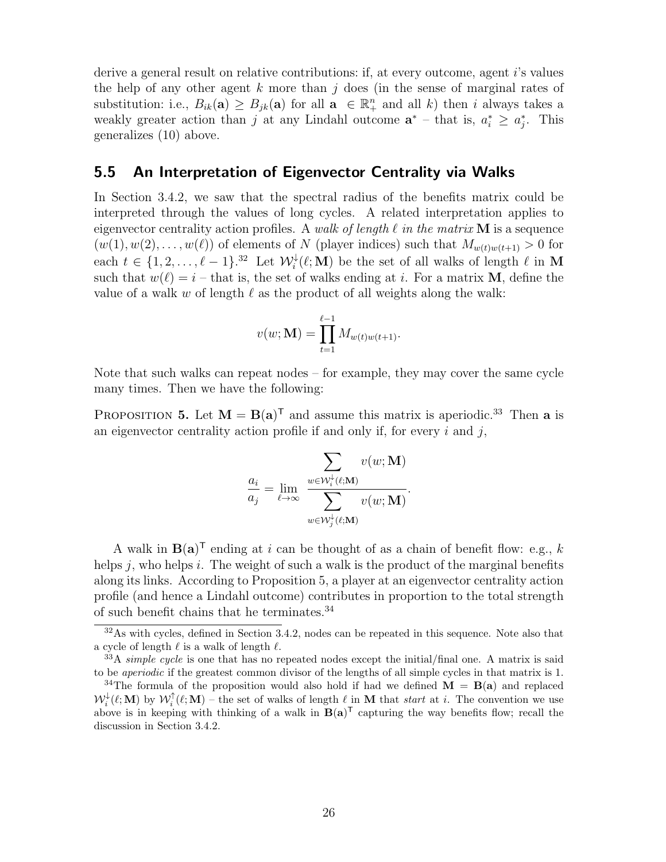derive a general result on relative contributions: if, at every outcome, agent i's values the help of any other agent  $k$  more than  $j$  does (in the sense of marginal rates of substitution: i.e.,  $B_{ik}(\mathbf{a}) \geq B_{jk}(\mathbf{a})$  for all  $\mathbf{a} \in \mathbb{R}^n_+$  and all k) then i always takes a weakly greater action than j at any Lindahl outcome  $\mathbf{a}^*$  – that is,  $a_i^* \geq a_j^*$ . This generalizes (10) above.

#### 5.5 An Interpretation of Eigenvector Centrality via Walks

In Section 3.4.2, we saw that the spectral radius of the benefits matrix could be interpreted through the values of long cycles. A related interpretation applies to eigenvector centrality action profiles. A walk of length  $\ell$  in the matrix M is a sequence  $(w(1), w(2), \ldots, w(\ell))$  of elements of N (player indices) such that  $M_{w(t)w(t+1)} > 0$  for each  $t \in \{1, 2, ..., \ell-1\}$ .<sup>32</sup> Let  $\mathcal{W}^{\downarrow}_i(\ell; \mathbf{M})$  be the set of all walks of length  $\ell$  in M such that  $w(\ell) = i$  – that is, the set of walks ending at i. For a matrix M, define the value of a walk w of length  $\ell$  as the product of all weights along the walk:

$$
v(w; \mathbf{M}) = \prod_{t=1}^{\ell-1} M_{w(t)w(t+1)}.
$$

Note that such walks can repeat nodes – for example, they may cover the same cycle many times. Then we have the following:

PROPOSITION 5. Let  $M = B(a)^T$  and assume this matrix is aperiodic.<sup>33</sup> Then a is an eigenvector centrality action profile if and only if, for every  $i$  and  $j$ ,

$$
\frac{a_i}{a_j} = \lim_{\ell \to \infty} \frac{\displaystyle\sum_{w \in \mathcal{W}_i^{\downarrow}(\ell; \mathbf{M})} v(w; \mathbf{M})}{\displaystyle\sum_{w \in \mathcal{W}_j^{\downarrow}(\ell; \mathbf{M})} v(w; \mathbf{M})}.
$$

A walk in  $B(a)^T$  ending at i can be thought of as a chain of benefit flow: e.g., k helps j, who helps i. The weight of such a walk is the product of the marginal benefits along its links. According to Proposition 5, a player at an eigenvector centrality action profile (and hence a Lindahl outcome) contributes in proportion to the total strength of such benefit chains that he terminates.<sup>34</sup>

<sup>&</sup>lt;sup>32</sup>As with cycles, defined in Section 3.4.2, nodes can be repeated in this sequence. Note also that a cycle of length  $\ell$  is a walk of length  $\ell$ .

 $33A$  simple cycle is one that has no repeated nodes except the initial/final one. A matrix is said to be aperiodic if the greatest common divisor of the lengths of all simple cycles in that matrix is 1.

<sup>&</sup>lt;sup>34</sup>The formula of the proposition would also hold if had we defined  $\mathbf{M} = \mathbf{B}(\mathbf{a})$  and replaced  $\mathcal{W}_i^{\downarrow}(\ell; \mathbf{M})$  by  $\mathcal{W}_i^{\uparrow}(\ell; \mathbf{M})$  – the set of walks of length  $\ell$  in M that start at i. The convention we use above is in keeping with thinking of a walk in  $B(a)^T$  capturing the way benefits flow; recall the discussion in Section 3.4.2.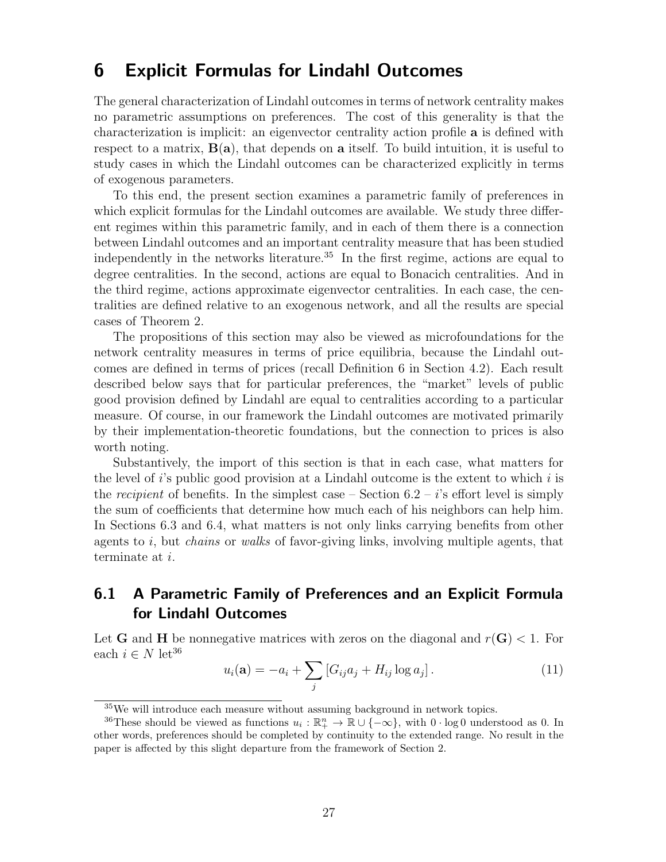# 6 Explicit Formulas for Lindahl Outcomes

The general characterization of Lindahl outcomes in terms of network centrality makes no parametric assumptions on preferences. The cost of this generality is that the characterization is implicit: an eigenvector centrality action profile a is defined with respect to a matrix,  $B(a)$ , that depends on a itself. To build intuition, it is useful to study cases in which the Lindahl outcomes can be characterized explicitly in terms of exogenous parameters.

To this end, the present section examines a parametric family of preferences in which explicit formulas for the Lindahl outcomes are available. We study three different regimes within this parametric family, and in each of them there is a connection between Lindahl outcomes and an important centrality measure that has been studied independently in the networks literature.<sup>35</sup> In the first regime, actions are equal to degree centralities. In the second, actions are equal to Bonacich centralities. And in the third regime, actions approximate eigenvector centralities. In each case, the centralities are defined relative to an exogenous network, and all the results are special cases of Theorem 2.

The propositions of this section may also be viewed as microfoundations for the network centrality measures in terms of price equilibria, because the Lindahl outcomes are defined in terms of prices (recall Definition 6 in Section 4.2). Each result described below says that for particular preferences, the "market" levels of public good provision defined by Lindahl are equal to centralities according to a particular measure. Of course, in our framework the Lindahl outcomes are motivated primarily by their implementation-theoretic foundations, but the connection to prices is also worth noting.

Substantively, the import of this section is that in each case, what matters for the level of  $i$ 's public good provision at a Lindahl outcome is the extent to which  $i$  is the recipient of benefits. In the simplest case – Section  $6.2 - i$ 's effort level is simply the sum of coefficients that determine how much each of his neighbors can help him. In Sections 6.3 and 6.4, what matters is not only links carrying benefits from other agents to  $i$ , but *chains* or *walks* of favor-giving links, involving multiple agents, that terminate at i.

# 6.1 A Parametric Family of Preferences and an Explicit Formula for Lindahl Outcomes

Let **G** and **H** be nonnegative matrices with zeros on the diagonal and  $r(G) < 1$ . For each  $i \in N$  let<sup>36</sup>

$$
u_i(\mathbf{a}) = -a_i + \sum_j [G_{ij}a_j + H_{ij}\log a_j]. \tag{11}
$$

<sup>&</sup>lt;sup>35</sup>We will introduce each measure without assuming background in network topics.

<sup>&</sup>lt;sup>36</sup>These should be viewed as functions  $u_i : \mathbb{R}^n_+ \to \mathbb{R} \cup \{-\infty\}$ , with  $0 \cdot \log 0$  understood as 0. In other words, preferences should be completed by continuity to the extended range. No result in the paper is affected by this slight departure from the framework of Section 2.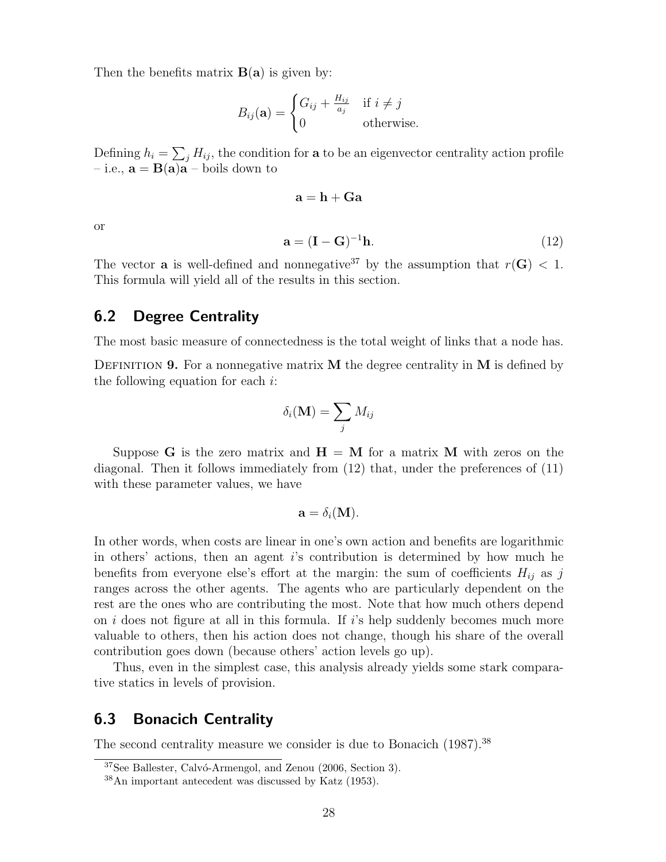Then the benefits matrix  $B(a)$  is given by:

$$
B_{ij}(\mathbf{a}) = \begin{cases} G_{ij} + \frac{H_{ij}}{a_j} & \text{if } i \neq j \\ 0 & \text{otherwise.} \end{cases}
$$

Defining  $h_i = \sum_j H_{ij}$ , the condition for **a** to be an eigenvector centrality action profile – i.e.,  $\mathbf{a} = \mathbf{B}(\mathbf{a})\mathbf{a}$  – boils down to

$$
\mathbf{a} = \mathbf{h} + \mathbf{G}\mathbf{a}
$$

or

$$
\mathbf{a} = (\mathbf{I} - \mathbf{G})^{-1} \mathbf{h}.\tag{12}
$$

The vector **a** is well-defined and nonnegative<sup>37</sup> by the assumption that  $r(G) < 1$ . This formula will yield all of the results in this section.

#### 6.2 Degree Centrality

The most basic measure of connectedness is the total weight of links that a node has.

DEFINITION 9. For a nonnegative matrix  $M$  the degree centrality in  $M$  is defined by the following equation for each  $i$ :

$$
\delta_i(\mathbf{M}) = \sum_j M_{ij}
$$

Suppose G is the zero matrix and  $H = M$  for a matrix M with zeros on the diagonal. Then it follows immediately from (12) that, under the preferences of (11) with these parameter values, we have

$$
\mathbf{a}=\delta_i(\mathbf{M}).
$$

In other words, when costs are linear in one's own action and benefits are logarithmic in others' actions, then an agent i's contribution is determined by how much he benefits from everyone else's effort at the margin: the sum of coefficients  $H_{ij}$  as j ranges across the other agents. The agents who are particularly dependent on the rest are the ones who are contributing the most. Note that how much others depend on  $i$  does not figure at all in this formula. If  $i$ 's help suddenly becomes much more valuable to others, then his action does not change, though his share of the overall contribution goes down (because others' action levels go up).

Thus, even in the simplest case, this analysis already yields some stark comparative statics in levels of provision.

## 6.3 Bonacich Centrality

The second centrality measure we consider is due to Bonacich (1987).<sup>38</sup>

 $37$ See Ballester, Calvó-Armengol, and Zenou (2006, Section 3).

<sup>38</sup>An important antecedent was discussed by Katz (1953).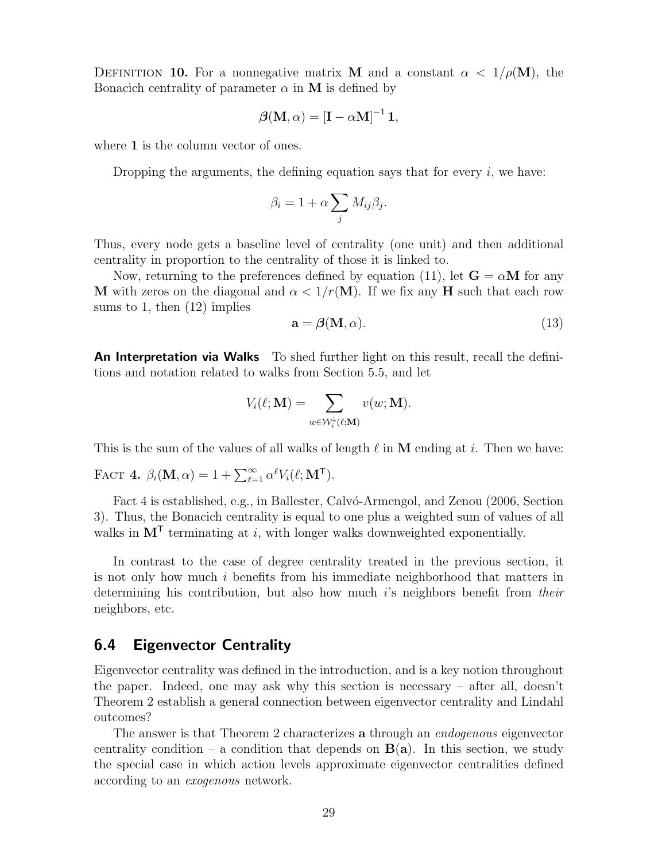DEFINITION 10. For a nonnegative matrix M and a constant  $\alpha < 1/\rho(M)$ , the Bonacich centrality of parameter  $\alpha$  in M is defined by

$$
\boldsymbol{\beta}(\mathbf{M}, \alpha) = [\mathbf{I} - \alpha \mathbf{M}]^{-1} \mathbf{1},
$$

where 1 is the column vector of ones.

Dropping the arguments, the defining equation says that for every  $i$ , we have:

$$
\beta_i = 1 + \alpha \sum_j M_{ij} \beta_j.
$$

Thus, every node gets a baseline level of centrality (one unit) and then additional centrality in proportion to the centrality of those it is linked to.

Now, returning to the preferences defined by equation (11), let  $\mathbf{G} = \alpha \mathbf{M}$  for any **M** with zeros on the diagonal and  $\alpha < 1/r(M)$ . If we fix any **H** such that each row sums to 1, then  $(12)$  implies

$$
\mathbf{a} = \mathbf{\beta}(\mathbf{M}, \alpha). \tag{13}
$$

An Interpretation via Walks To shed further light on this result, recall the definitions and notation related to walks from Section 5.5, and let

$$
V_i(\ell; \mathbf{M}) = \sum_{w \in \mathcal{W}_i^{\downarrow}(\ell; \mathbf{M})} v(w; \mathbf{M}).
$$

This is the sum of the values of all walks of length  $\ell$  in M ending at i. Then we have:

FACT 4.  $\beta_i(\mathbf{M}, \alpha) = 1 + \sum_{\ell=1}^{\infty} \alpha^{\ell} V_i(\ell; \mathbf{M}^{\mathsf{T}}).$ 

Fact 4 is established, e.g., in Ballester, Calvó-Armengol, and Zenou (2006, Section 3). Thus, the Bonacich centrality is equal to one plus a weighted sum of values of all walks in  $M<sup>T</sup>$  terminating at *i*, with longer walks downweighted exponentially.

In contrast to the case of degree centrality treated in the previous section, it is not only how much i benefits from his immediate neighborhood that matters in determining his contribution, but also how much is neighbors benefit from their neighbors, etc.

#### 6.4 Eigenvector Centrality

Eigenvector centrality was defined in the introduction, and is a key notion throughout the paper. Indeed, one may ask why this section is necessary – after all, doesn't Theorem 2 establish a general connection between eigenvector centrality and Lindahl outcomes?

The answer is that Theorem 2 characterizes **a** through an *endogenous* eigenvector centrality condition – a condition that depends on  $B(a)$ . In this section, we study the special case in which action levels approximate eigenvector centralities defined according to an exogenous network.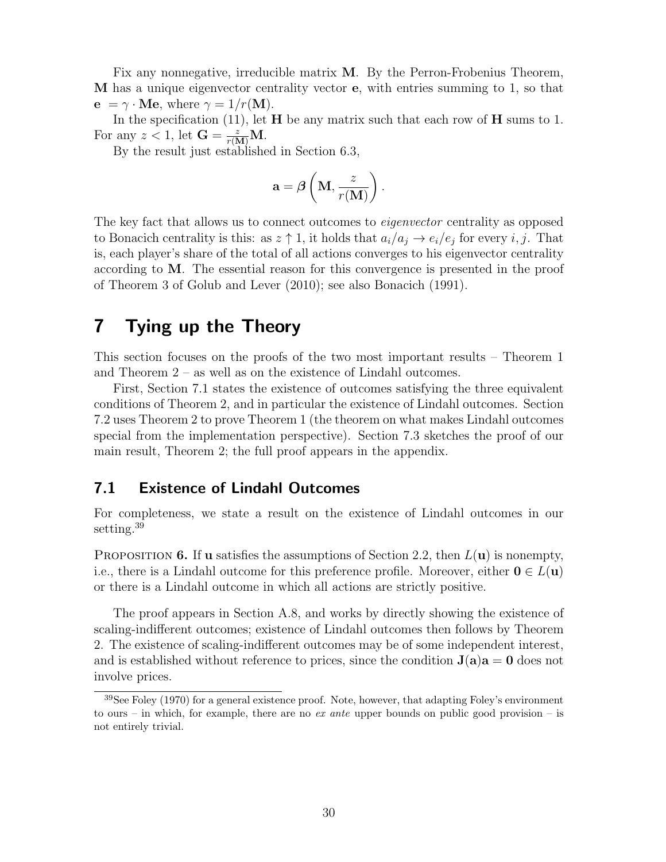Fix any nonnegative, irreducible matrix M. By the Perron-Frobenius Theorem, M has a unique eigenvector centrality vector e, with entries summing to 1, so that  ${\bf e} = \gamma \cdot {\bf M} {\bf e}$ , where  $\gamma = 1/r({\bf M})$ .

In the specification (11), let  $H$  be any matrix such that each row of  $H$  sums to 1. For any  $z < 1$ , let  $\mathbf{G} = \frac{z}{r(\mathbf{M})}\mathbf{M}$ .

By the result just established in Section 6.3,

$$
\mathbf{a} = \boldsymbol{\beta} \left( \mathbf{M}, \frac{z}{r(\mathbf{M})} \right).
$$

The key fact that allows us to connect outcomes to *eigenvector* centrality as opposed to Bonacich centrality is this: as  $z \uparrow 1$ , it holds that  $a_i/a_j \rightarrow e_i/e_j$  for every i, j. That is, each player's share of the total of all actions converges to his eigenvector centrality according to M. The essential reason for this convergence is presented in the proof of Theorem 3 of Golub and Lever (2010); see also Bonacich (1991).

# 7 Tying up the Theory

This section focuses on the proofs of the two most important results – Theorem 1 and Theorem 2 – as well as on the existence of Lindahl outcomes.

First, Section 7.1 states the existence of outcomes satisfying the three equivalent conditions of Theorem 2, and in particular the existence of Lindahl outcomes. Section 7.2 uses Theorem 2 to prove Theorem 1 (the theorem on what makes Lindahl outcomes special from the implementation perspective). Section 7.3 sketches the proof of our main result, Theorem 2; the full proof appears in the appendix.

#### 7.1 Existence of Lindahl Outcomes

For completeness, we state a result on the existence of Lindahl outcomes in our setting.<sup>39</sup>

PROPOSITION 6. If **u** satisfies the assumptions of Section 2.2, then  $L(\mathbf{u})$  is nonempty, i.e., there is a Lindahl outcome for this preference profile. Moreover, either  $0 \in L(\mathbf{u})$ or there is a Lindahl outcome in which all actions are strictly positive.

The proof appears in Section A.8, and works by directly showing the existence of scaling-indifferent outcomes; existence of Lindahl outcomes then follows by Theorem 2. The existence of scaling-indifferent outcomes may be of some independent interest, and is established without reference to prices, since the condition  $J(a)a = 0$  does not involve prices.

<sup>39</sup>See Foley (1970) for a general existence proof. Note, however, that adapting Foley's environment to ours – in which, for example, there are no ex ante upper bounds on public good provision – is not entirely trivial.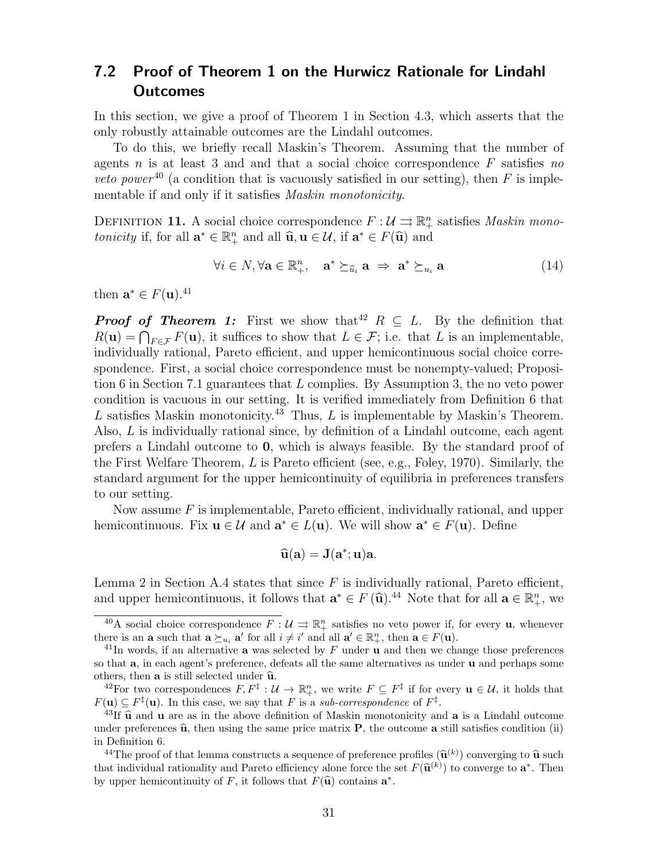# 7.2 Proof of Theorem 1 on the Hurwicz Rationale for Lindahl Outcomes

In this section, we give a proof of Theorem 1 in Section 4.3, which asserts that the only robustly attainable outcomes are the Lindahl outcomes.

To do this, we briefly recall Maskin's Theorem. Assuming that the number of agents n is at least 3 and and that a social choice correspondence  $F$  satisfies no *veto power*<sup>40</sup> (a condition that is vacuously satisfied in our setting), then F is implementable if and only if it satisfies Maskin monotonicity.

DEFINITION 11. A social choice correspondence  $F: \mathcal{U} \rightrightarrows \mathbb{R}^n_+$  satisfies *Maskin mono*tonicity if, for all  $\mathbf{a}^* \in \mathbb{R}_+^n$  and all  $\widehat{\mathbf{u}}$ ,  $\mathbf{u} \in \mathcal{U}$ , if  $\mathbf{a}^* \in F(\widehat{\mathbf{u}})$  and

$$
\forall i \in N, \forall \mathbf{a} \in \mathbb{R}_+^n, \quad \mathbf{a}^* \succeq_{\widehat{u}_i} \mathbf{a} \Rightarrow \mathbf{a}^* \succeq_{u_i} \mathbf{a} \tag{14}
$$

then  $\mathbf{a}^* \in F(\mathbf{u})$ .<sup>41</sup>

**Proof of Theorem 1:** First we show that<sup>42</sup>  $R \subseteq L$ . By the definition that  $R(\mathbf{u}) = \bigcap_{F \in \mathcal{F}} F(\mathbf{u})$ , it suffices to show that  $L \in \mathcal{F}$ ; i.e. that L is an implementable, individually rational, Pareto efficient, and upper hemicontinuous social choice correspondence. First, a social choice correspondence must be nonempty-valued; Proposition 6 in Section 7.1 guarantees that L complies. By Assumption 3, the no veto power condition is vacuous in our setting. It is verified immediately from Definition 6 that L satisfies Maskin monotonicity.<sup>43</sup> Thus, L is implementable by Maskin's Theorem. Also, L is individually rational since, by definition of a Lindahl outcome, each agent prefers a Lindahl outcome to 0, which is always feasible. By the standard proof of the First Welfare Theorem,  $L$  is Pareto efficient (see, e.g., Foley, 1970). Similarly, the standard argument for the upper hemicontinuity of equilibria in preferences transfers to our setting.

Now assume  $F$  is implementable, Pareto efficient, individually rational, and upper hemicontinuous. Fix  $\mathbf{u} \in \mathcal{U}$  and  $\mathbf{a}^* \in L(\mathbf{u})$ . We will show  $\mathbf{a}^* \in F(\mathbf{u})$ . Define

$$
\widehat{\mathbf{u}}(\mathbf{a})=\mathbf{J}(\mathbf{a}^*;\mathbf{u})\mathbf{a}.
$$

Lemma 2 in Section A.4 states that since  $F$  is individually rational, Pareto efficient, and upper hemicontinuous, it follows that  $\mathbf{a}^* \in F(\hat{\mathbf{u}}).^{44}$  Note that for all  $\mathbf{a} \in \mathbb{R}_+^n$ , we

<sup>&</sup>lt;sup>40</sup>A social choice correspondence  $F: \mathcal{U} \rightrightarrows \mathbb{R}^n_+$  satisfies no veto power if, for every **u**, whenever there is an **a** such that  $\mathbf{a} \succeq_{u_i} \mathbf{a}'$  for all  $i \neq i'$  and all  $\mathbf{a}' \in \mathbb{R}^n_+$ , then  $\mathbf{a} \in F(\mathbf{u})$ .

<sup>&</sup>lt;sup>41</sup>In words, if an alternative **a** was selected by  $F$  under **u** and then we change those preferences so that a, in each agent's preference, defeats all the same alternatives as under u and perhaps some others, then  $a$  is still selected under  $\hat{u}$ .

<sup>&</sup>lt;sup>42</sup>For two correspondences  $F, F^{\ddagger} : U \to \mathbb{R}^n_+$ , we write  $F \subseteq F^{\ddagger}$  if for every  $\mathbf{u} \in \mathcal{U}$ , it holds that  $F(\mathbf{u}) \subseteq F^{\ddagger}(\mathbf{u})$ . In this case, we say that F is a sub-correspondence of  $F^{\ddagger}$ .

<sup>&</sup>lt;sup>43</sup>If  $\hat{u}$  and u are as in the above definition of Maskin monotonicity and **a** is a Lindahl outcome under preferences  $\hat{u}$ , then using the same price matrix **P**, the outcome a still satisfies condition (ii) in Definition 6.

<sup>&</sup>lt;sup>44</sup>The proof of that lemma constructs a sequence of preference profiles  $(\widehat{\mathbf{u}}^{(k)})$  converging to  $\widehat{\mathbf{u}}$  such at individual rationality and Pareto officiancy along force the set  $F(\widehat{\mathbf{u}}^{(k)})$  to converge to that individual rationality and Pareto efficiency alone force the set  $F(\hat{\mathbf{u}}^{(k)})$  to converge to  $\mathbf{a}^*$ . Then<br>by upper homiontinuity of  $F$  it follows that  $F(\hat{\mathbf{u}})$  contains  $\mathbf{a}^*$ by upper hemicontinuity of F, it follows that  $F(\widehat{\mathbf{u}})$  contains  $\mathbf{a}^*$ .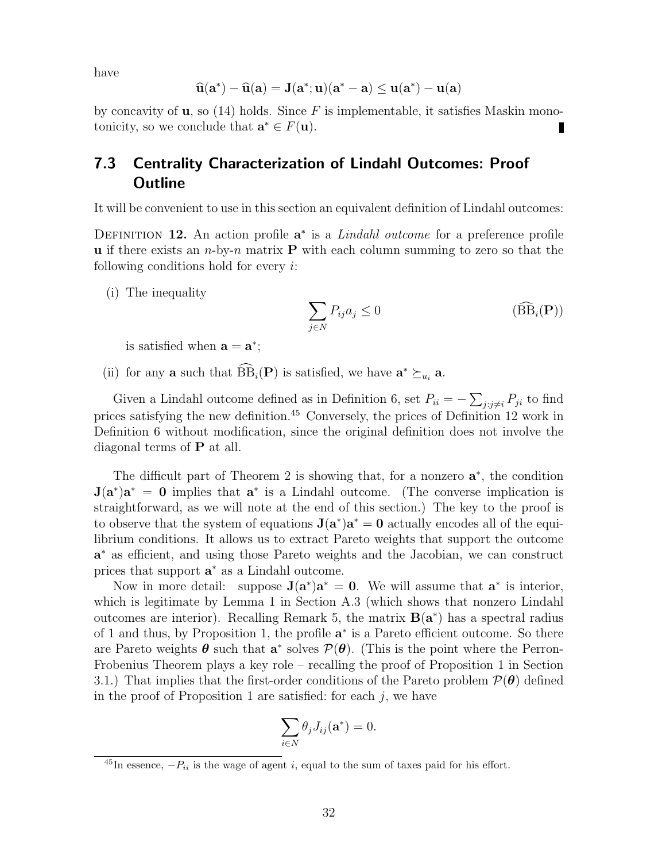have

$$
\widehat{u}(a^*)-\widehat{u}(a)=J(a^*;u)(a^*-a)\leq u(a^*)-u(a)
$$

by concavity of **u**, so (14) holds. Since F is implementable, it satisfies Maskin monotonicity, so we conclude that  $\mathbf{a}^* \in F(\mathbf{u})$ .

# 7.3 Centrality Characterization of Lindahl Outcomes: Proof **Outline**

It will be convenient to use in this section an equivalent definition of Lindahl outcomes:

DEFINITION 12. An action profile  $a^*$  is a *Lindahl outcome* for a preference profile **u** if there exists an  $n$ -by-n matrix **P** with each column summing to zero so that the following conditions hold for every  $i$ :

(i) The inequality

$$
\sum_{j \in N} P_{ij} a_j \le 0 \tag{B}(\widehat{\mathbf{B}}_i(\mathbf{P}))
$$

is satisfied when  $\mathbf{a} = \mathbf{a}^*$ ;

(ii) for any **a** such that  $\widehat{BB}_i(P)$  is satisfied, we have  $\mathbf{a}^* \succeq_{u_i} \mathbf{a}$ .

Given a Lindahl outcome defined as in Definition 6, set  $P_{ii} = -\sum_{j:j\neq i} P_{ji}$  to find prices satisfying the new definition.<sup>45</sup> Conversely, the prices of Definition 12 work in Definition 6 without modification, since the original definition does not involve the diagonal terms of P at all.

The difficult part of Theorem 2 is showing that, for a nonzero  $a^*$ , the condition  $J(a^*)a^* = 0$  implies that  $a^*$  is a Lindahl outcome. (The converse implication is straightforward, as we will note at the end of this section.) The key to the proof is to observe that the system of equations  $J(a^*)a^* = 0$  actually encodes all of the equilibrium conditions. It allows us to extract Pareto weights that support the outcome a<sup>\*</sup> as efficient, and using those Pareto weights and the Jacobian, we can construct prices that support  $a^*$  as a Lindahl outcome.

Now in more detail: suppose  $J(a^*)a^* = 0$ . We will assume that  $a^*$  is interior, which is legitimate by Lemma 1 in Section A.3 (which shows that nonzero Lindahl outcomes are interior). Recalling Remark 5, the matrix  $B(a^*)$  has a spectral radius of 1 and thus, by Proposition 1, the profile  $a^*$  is a Pareto efficient outcome. So there are Pareto weights  $\theta$  such that  $a^*$  solves  $\mathcal{P}(\theta)$ . (This is the point where the Perron-Frobenius Theorem plays a key role – recalling the proof of Proposition 1 in Section 3.1.) That implies that the first-order conditions of the Pareto problem  $\mathcal{P}(\theta)$  defined in the proof of Proposition 1 are satisfied: for each  $j$ , we have

$$
\sum_{i\in N}\theta_j J_{ij}(\mathbf{a}^*)=0.
$$

<sup>&</sup>lt;sup>45</sup>In essence,  $-P_{ii}$  is the wage of agent i, equal to the sum of taxes paid for his effort.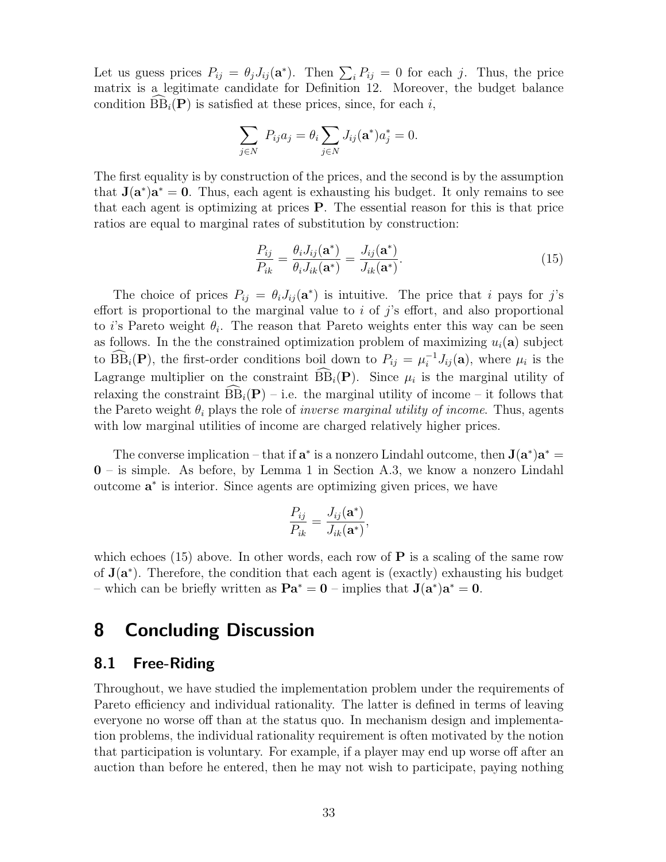Let us guess prices  $P_{ij} = \theta_j J_{ij}(\mathbf{a}^*)$ . Then  $\sum_i P_{ij} = 0$  for each j. Thus, the price matrix is a legitimate candidate for Definition 12. Moreover, the budget balance condition  $\widehat{BB}_i(P)$  is satisfied at these prices, since, for each i,

$$
\sum_{j \in N} P_{ij} a_j = \theta_i \sum_{j \in N} J_{ij}(\mathbf{a}^*) a_j^* = 0.
$$

The first equality is by construction of the prices, and the second is by the assumption that  $J(a^*)a^* = 0$ . Thus, each agent is exhausting his budget. It only remains to see that each agent is optimizing at prices P. The essential reason for this is that price ratios are equal to marginal rates of substitution by construction:

$$
\frac{P_{ij}}{P_{ik}} = \frac{\theta_i J_{ij}(\mathbf{a}^*)}{\theta_i J_{ik}(\mathbf{a}^*)} = \frac{J_{ij}(\mathbf{a}^*)}{J_{ik}(\mathbf{a}^*)}.
$$
\n(15)

The choice of prices  $P_{ij} = \theta_i J_{ij}(\mathbf{a}^*)$  is intuitive. The price that i pays for j's effort is proportional to the marginal value to  $i$  of  $j$ 's effort, and also proportional to *i*'s Pareto weight  $\theta_i$ . The reason that Pareto weights enter this way can be seen as follows. In the the constrained optimization problem of maximizing  $u_i(\mathbf{a})$  subject to  $\widehat{BB}_i(P)$ , the first-order conditions boil down to  $P_{ij} = \mu_i^{-1} J_{ij}(\mathbf{a})$ , where  $\mu_i$  is the Lagrange multiplier on the constraint  $BB_i(P)$ . Since  $\mu_i$  is the marginal utility of relaxing the constraint  $\widehat{BB}_i(P)$  – i.e. the marginal utility of income – it follows that the Pareto weight  $\theta_i$  plays the role of *inverse marginal utility of income*. Thus, agents with low marginal utilities of income are charged relatively higher prices.

The converse implication – that if  $\mathbf{a}^*$  is a nonzero Lindahl outcome, then  $\mathbf{J}(\mathbf{a}^*)\mathbf{a}^* =$ 0 – is simple. As before, by Lemma 1 in Section A.3, we know a nonzero Lindahl outcome **a**<sup>\*</sup> is interior. Since agents are optimizing given prices, we have

$$
\frac{P_{ij}}{P_{ik}} = \frac{J_{ij}(\mathbf{a}^*)}{J_{ik}(\mathbf{a}^*)},
$$

which echoes (15) above. In other words, each row of  $P$  is a scaling of the same row of  $J(a^*)$ . Therefore, the condition that each agent is (exactly) exhausting his budget – which can be briefly written as  $\mathbf{Pa}^* = \mathbf{0}$  – implies that  $\mathbf{J}(\mathbf{a}^*)\mathbf{a}^* = \mathbf{0}$ .

# 8 Concluding Discussion

#### 8.1 Free-Riding

Throughout, we have studied the implementation problem under the requirements of Pareto efficiency and individual rationality. The latter is defined in terms of leaving everyone no worse off than at the status quo. In mechanism design and implementation problems, the individual rationality requirement is often motivated by the notion that participation is voluntary. For example, if a player may end up worse off after an auction than before he entered, then he may not wish to participate, paying nothing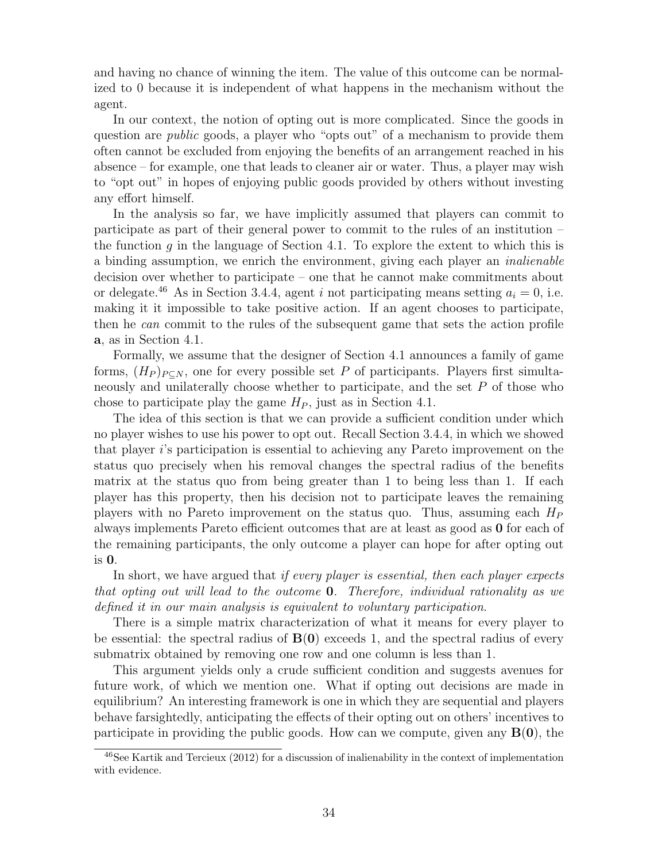and having no chance of winning the item. The value of this outcome can be normalized to 0 because it is independent of what happens in the mechanism without the agent.

In our context, the notion of opting out is more complicated. Since the goods in question are *public* goods, a player who "opts out" of a mechanism to provide them often cannot be excluded from enjoying the benefits of an arrangement reached in his absence – for example, one that leads to cleaner air or water. Thus, a player may wish to "opt out" in hopes of enjoying public goods provided by others without investing any effort himself.

In the analysis so far, we have implicitly assumed that players can commit to participate as part of their general power to commit to the rules of an institution – the function  $g$  in the language of Section 4.1. To explore the extent to which this is a binding assumption, we enrich the environment, giving each player an inalienable decision over whether to participate – one that he cannot make commitments about or delegate.<sup>46</sup> As in Section 3.4.4, agent i not participating means setting  $a_i = 0$ , i.e. making it it impossible to take positive action. If an agent chooses to participate, then he can commit to the rules of the subsequent game that sets the action profile a, as in Section 4.1.

Formally, we assume that the designer of Section 4.1 announces a family of game forms,  $(H_P)_{P\subset N}$ , one for every possible set P of participants. Players first simultaneously and unilaterally choose whether to participate, and the set P of those who chose to participate play the game  $H_P$ , just as in Section 4.1.

The idea of this section is that we can provide a sufficient condition under which no player wishes to use his power to opt out. Recall Section 3.4.4, in which we showed that player i's participation is essential to achieving any Pareto improvement on the status quo precisely when his removal changes the spectral radius of the benefits matrix at the status quo from being greater than 1 to being less than 1. If each player has this property, then his decision not to participate leaves the remaining players with no Pareto improvement on the status quo. Thus, assuming each  $H_P$ always implements Pareto efficient outcomes that are at least as good as 0 for each of the remaining participants, the only outcome a player can hope for after opting out is 0.

In short, we have argued that *if every player is essential, then each player expects* that opting out will lead to the outcome 0. Therefore, individual rationality as we defined it in our main analysis is equivalent to voluntary participation.

There is a simple matrix characterization of what it means for every player to be essential: the spectral radius of  $B(0)$  exceeds 1, and the spectral radius of every submatrix obtained by removing one row and one column is less than 1.

This argument yields only a crude sufficient condition and suggests avenues for future work, of which we mention one. What if opting out decisions are made in equilibrium? An interesting framework is one in which they are sequential and players behave farsightedly, anticipating the effects of their opting out on others' incentives to participate in providing the public goods. How can we compute, given any  $\mathbf{B}(0)$ , the

 $^{46}$ See Kartik and Tercieux (2012) for a discussion of inalienability in the context of implementation with evidence.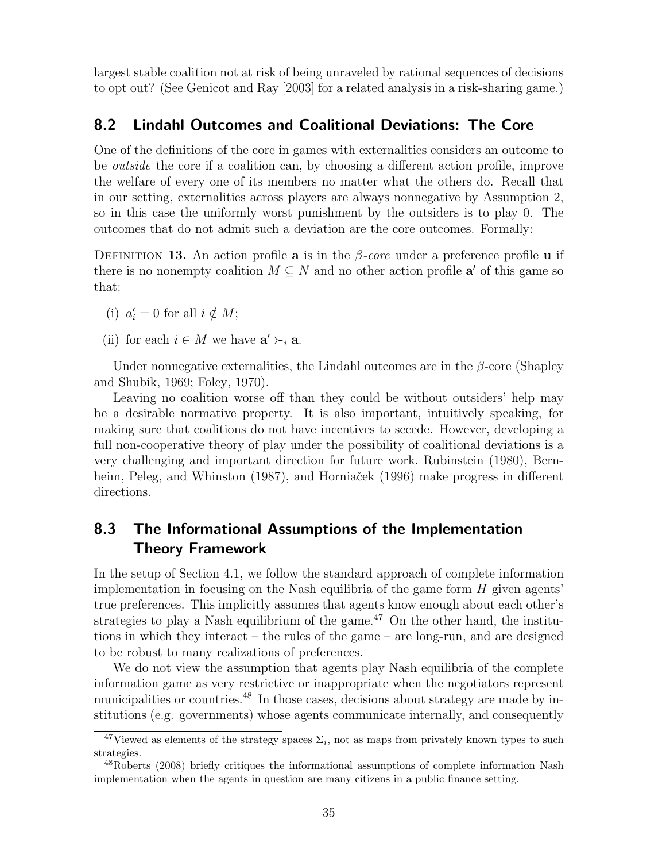largest stable coalition not at risk of being unraveled by rational sequences of decisions to opt out? (See Genicot and Ray [2003] for a related analysis in a risk-sharing game.)

### 8.2 Lindahl Outcomes and Coalitional Deviations: The Core

One of the definitions of the core in games with externalities considers an outcome to be outside the core if a coalition can, by choosing a different action profile, improve the welfare of every one of its members no matter what the others do. Recall that in our setting, externalities across players are always nonnegative by Assumption 2, so in this case the uniformly worst punishment by the outsiders is to play 0. The outcomes that do not admit such a deviation are the core outcomes. Formally:

DEFINITION 13. An action profile a is in the  $\beta$ -core under a preference profile **u** if there is no nonempty coalition  $M \subseteq N$  and no other action profile  $a'$  of this game so that:

- (i)  $a'_i = 0$  for all  $i \notin M$ ;
- (ii) for each  $i \in M$  we have  $\mathbf{a}' \succ_i \mathbf{a}$ .

Under nonnegative externalities, the Lindahl outcomes are in the  $\beta$ -core (Shapley and Shubik, 1969; Foley, 1970).

Leaving no coalition worse off than they could be without outsiders' help may be a desirable normative property. It is also important, intuitively speaking, for making sure that coalitions do not have incentives to secede. However, developing a full non-cooperative theory of play under the possibility of coalitional deviations is a very challenging and important direction for future work. Rubinstein (1980), Bernheim, Peleg, and Whinston (1987), and Horniaček (1996) make progress in different directions.

# 8.3 The Informational Assumptions of the Implementation Theory Framework

In the setup of Section 4.1, we follow the standard approach of complete information implementation in focusing on the Nash equilibria of the game form  $H$  given agents' true preferences. This implicitly assumes that agents know enough about each other's strategies to play a Nash equilibrium of the game.<sup>47</sup> On the other hand, the institutions in which they interact – the rules of the game – are long-run, and are designed to be robust to many realizations of preferences.

We do not view the assumption that agents play Nash equilibria of the complete information game as very restrictive or inappropriate when the negotiators represent municipalities or countries.<sup>48</sup> In those cases, decisions about strategy are made by institutions (e.g. governments) whose agents communicate internally, and consequently

<sup>&</sup>lt;sup>47</sup>Viewed as elements of the strategy spaces  $\Sigma_i$ , not as maps from privately known types to such strategies.

<sup>48</sup>Roberts (2008) briefly critiques the informational assumptions of complete information Nash implementation when the agents in question are many citizens in a public finance setting.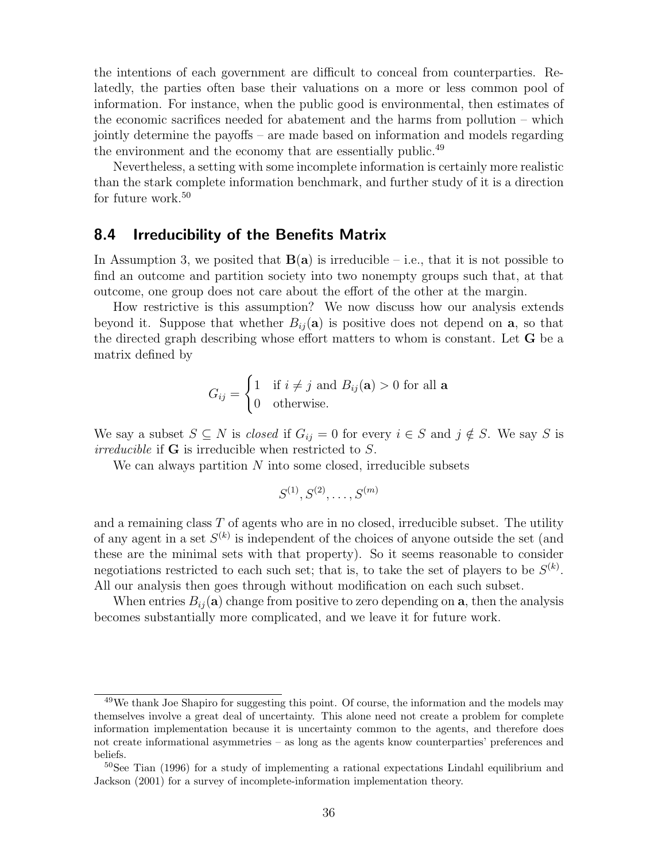the intentions of each government are difficult to conceal from counterparties. Relatedly, the parties often base their valuations on a more or less common pool of information. For instance, when the public good is environmental, then estimates of the economic sacrifices needed for abatement and the harms from pollution – which jointly determine the payoffs – are made based on information and models regarding the environment and the economy that are essentially public.<sup>49</sup>

Nevertheless, a setting with some incomplete information is certainly more realistic than the stark complete information benchmark, and further study of it is a direction for future work.<sup>50</sup>

#### 8.4 Irreducibility of the Benefits Matrix

In Assumption 3, we posited that  $B(a)$  is irreducible – i.e., that it is not possible to find an outcome and partition society into two nonempty groups such that, at that outcome, one group does not care about the effort of the other at the margin.

How restrictive is this assumption? We now discuss how our analysis extends beyond it. Suppose that whether  $B_{ij}(\mathbf{a})$  is positive does not depend on  $\mathbf{a}$ , so that the directed graph describing whose effort matters to whom is constant. Let G be a matrix defined by

$$
G_{ij} = \begin{cases} 1 & \text{if } i \neq j \text{ and } B_{ij}(\mathbf{a}) > 0 \text{ for all } \mathbf{a} \\ 0 & \text{otherwise.} \end{cases}
$$

We say a subset  $S \subseteq N$  is *closed* if  $G_{ij} = 0$  for every  $i \in S$  and  $j \notin S$ . We say S is irreducible if G is irreducible when restricted to S.

We can always partition  $N$  into some closed, irreducible subsets

$$
S^{(1)}, S^{(2)}, \ldots, S^{(m)}
$$

and a remaining class  $T$  of agents who are in no closed, irreducible subset. The utility of any agent in a set  $S^{(k)}$  is independent of the choices of anyone outside the set (and these are the minimal sets with that property). So it seems reasonable to consider negotiations restricted to each such set; that is, to take the set of players to be  $S^{(k)}$ . All our analysis then goes through without modification on each such subset.

When entries  $B_{ij}(\mathbf{a})$  change from positive to zero depending on  $\mathbf{a}$ , then the analysis becomes substantially more complicated, and we leave it for future work.

<sup>&</sup>lt;sup>49</sup>We thank Joe Shapiro for suggesting this point. Of course, the information and the models may themselves involve a great deal of uncertainty. This alone need not create a problem for complete information implementation because it is uncertainty common to the agents, and therefore does not create informational asymmetries – as long as the agents know counterparties' preferences and beliefs.

<sup>&</sup>lt;sup>50</sup>See Tian (1996) for a study of implementing a rational expectations Lindahl equilibrium and Jackson (2001) for a survey of incomplete-information implementation theory.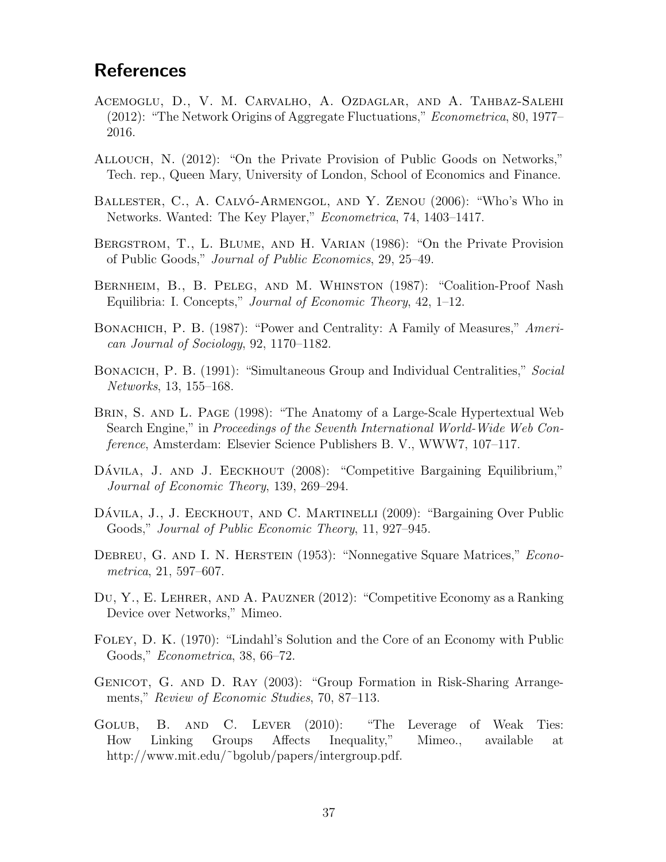# **References**

- Acemoglu, D., V. M. Carvalho, A. Ozdaglar, and A. Tahbaz-Salehi (2012): "The Network Origins of Aggregate Fluctuations," Econometrica, 80, 1977– 2016.
- Allouch, N. (2012): "On the Private Provision of Public Goods on Networks," Tech. rep., Queen Mary, University of London, School of Economics and Finance.
- BALLESTER, C., A. CALVÓ-ARMENGOL, AND Y. ZENOU (2006): "Who's Who in Networks. Wanted: The Key Player," Econometrica, 74, 1403–1417.
- Bergstrom, T., L. Blume, and H. Varian (1986): "On the Private Provision of Public Goods," Journal of Public Economics, 29, 25–49.
- Bernheim, B., B. Peleg, and M. Whinston (1987): "Coalition-Proof Nash Equilibria: I. Concepts," Journal of Economic Theory, 42, 1–12.
- BONACHICH, P. B. (1987): "Power and Centrality: A Family of Measures," American Journal of Sociology, 92, 1170–1182.
- BONACICH, P. B. (1991): "Simultaneous Group and Individual Centralities," Social Networks, 13, 155–168.
- Brin, S. and L. Page (1998): "The Anatomy of a Large-Scale Hypertextual Web Search Engine," in Proceedings of the Seventh International World-Wide Web Conference, Amsterdam: Elsevier Science Publishers B. V., WWW7, 107–117.
- DAVILA, J. AND J. EECKHOUT (2008): "Competitive Bargaining Equilibrium," Journal of Economic Theory, 139, 269–294.
- DÁVILA, J., J. EECKHOUT, AND C. MARTINELLI (2009): "Bargaining Over Public Goods," Journal of Public Economic Theory, 11, 927–945.
- DEBREU, G. AND I. N. HERSTEIN (1953): "Nonnegative Square Matrices," Econometrica, 21, 597–607.
- Du, Y., E. Lehrer, and A. Pauzner (2012): "Competitive Economy as a Ranking Device over Networks," Mimeo.
- Foley, D. K. (1970): "Lindahl's Solution and the Core of an Economy with Public Goods," Econometrica, 38, 66–72.
- GENICOT, G. AND D. RAY (2003): "Group Formation in Risk-Sharing Arrangements," Review of Economic Studies, 70, 87–113.
- GOLUB, B. AND C. LEVER (2010): "The Leverage of Weak Ties: How Linking Groups Affects Inequality," Mimeo., available at http://www.mit.edu/˜bgolub/papers/intergroup.pdf.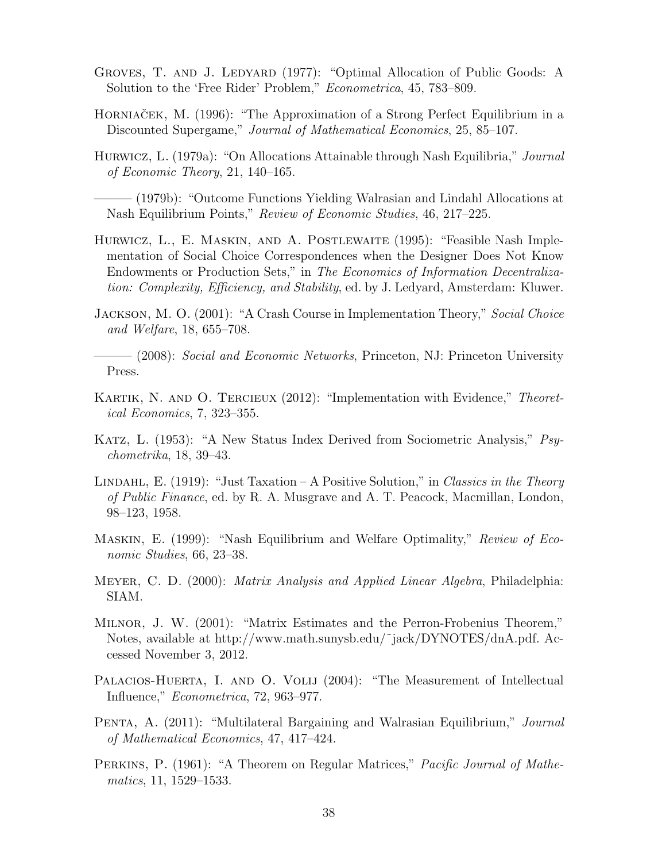- GROVES, T. AND J. LEDYARD (1977): "Optimal Allocation of Public Goods: A Solution to the 'Free Rider' Problem," Econometrica, 45, 783–809.
- HORNIAČEK, M. (1996): "The Approximation of a Strong Perfect Equilibrium in a Discounted Supergame," Journal of Mathematical Economics, 25, 85–107.
- Hurwicz, L. (1979a): "On Allocations Attainable through Nash Equilibria," Journal of Economic Theory, 21, 140–165.
- ——— (1979b): "Outcome Functions Yielding Walrasian and Lindahl Allocations at Nash Equilibrium Points," Review of Economic Studies, 46, 217–225.
- Hurwicz, L., E. Maskin, and A. Postlewaite (1995): "Feasible Nash Implementation of Social Choice Correspondences when the Designer Does Not Know Endowments or Production Sets," in The Economics of Information Decentralization: Complexity, Efficiency, and Stability, ed. by J. Ledyard, Amsterdam: Kluwer.
- Jackson, M. O. (2001): "A Crash Course in Implementation Theory," Social Choice and Welfare, 18, 655–708.

——— (2008): Social and Economic Networks, Princeton, NJ: Princeton University Press.

- KARTIK, N. AND O. TERCIEUX (2012): "Implementation with Evidence," Theoretical Economics, 7, 323–355.
- KATZ, L. (1953): "A New Status Index Derived from Sociometric Analysis," Psychometrika, 18, 39–43.
- LINDAHL, E.  $(1919)$ : "Just Taxation A Positive Solution," in Classics in the Theory of Public Finance, ed. by R. A. Musgrave and A. T. Peacock, Macmillan, London, 98–123, 1958.
- Maskin, E. (1999): "Nash Equilibrium and Welfare Optimality," Review of Economic Studies, 66, 23–38.
- Meyer, C. D. (2000): Matrix Analysis and Applied Linear Algebra, Philadelphia: SIAM.
- Milnor, J. W. (2001): "Matrix Estimates and the Perron-Frobenius Theorem," Notes, available at http://www.math.sunysb.edu/˜jack/DYNOTES/dnA.pdf. Accessed November 3, 2012.
- PALACIOS-HUERTA, I. AND O. VOLIJ (2004): "The Measurement of Intellectual Influence," Econometrica, 72, 963–977.
- Penta, A. (2011): "Multilateral Bargaining and Walrasian Equilibrium," Journal of Mathematical Economics, 47, 417–424.
- Perkins, P. (1961): "A Theorem on Regular Matrices," Pacific Journal of Mathematics, 11, 1529–1533.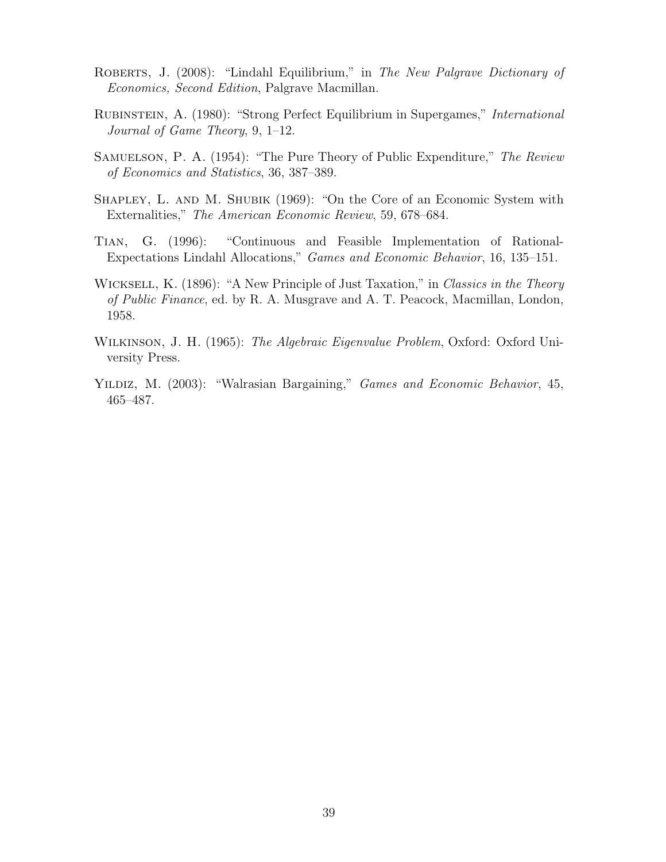- ROBERTS, J. (2008): "Lindahl Equilibrium," in The New Palgrave Dictionary of Economics, Second Edition, Palgrave Macmillan.
- Rubinstein, A. (1980): "Strong Perfect Equilibrium in Supergames," International Journal of Game Theory, 9, 1–12.
- Samuelson, P. A. (1954): "The Pure Theory of Public Expenditure," The Review of Economics and Statistics, 36, 387–389.
- SHAPLEY, L. AND M. SHUBIK (1969): "On the Core of an Economic System with Externalities," The American Economic Review, 59, 678–684.
- Tian, G. (1996): "Continuous and Feasible Implementation of Rational-Expectations Lindahl Allocations," Games and Economic Behavior, 16, 135–151.
- WICKSELL, K. (1896): "A New Principle of Just Taxation," in Classics in the Theory of Public Finance, ed. by R. A. Musgrave and A. T. Peacock, Macmillan, London, 1958.
- Wilkinson, J. H. (1965): The Algebraic Eigenvalue Problem, Oxford: Oxford University Press.
- YILDIZ, M. (2003): "Walrasian Bargaining," *Games and Economic Behavior*, 45, 465–487.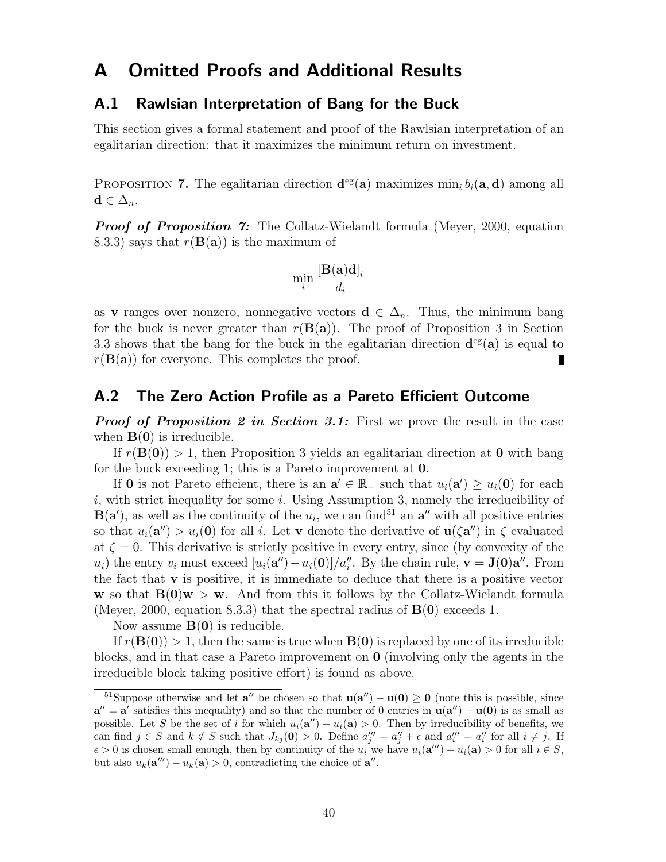# A Omitted Proofs and Additional Results

#### A.1 Rawlsian Interpretation of Bang for the Buck

This section gives a formal statement and proof of the Rawlsian interpretation of an egalitarian direction: that it maximizes the minimum return on investment.

PROPOSITION 7. The egalitarian direction  $\mathbf{d}^{\text{eg}}(\mathbf{a})$  maximizes  $\min_i b_i(\mathbf{a}, \mathbf{d})$  among all  $\mathbf{d} \in \Delta_n$ .

**Proof of Proposition 7:** The Collatz-Wielandt formula (Meyer, 2000, equation 8.3.3) says that  $r(\mathbf{B}(\mathbf{a}))$  is the maximum of

$$
\min_i \frac{[\mathbf{B}(\mathbf{a})\mathbf{d}]_i}{d_i}
$$

as v ranges over nonzero, nonnegative vectors  $\mathbf{d} \in \Delta_n$ . Thus, the minimum bang for the buck is never greater than  $r(\mathbf{B}(\mathbf{a}))$ . The proof of Proposition 3 in Section 3.3 shows that the bang for the buck in the egalitarian direction  $d^{eg}(a)$  is equal to  $r(\mathbf{B}(\mathbf{a}))$  for everyone. This completes the proof.

#### A.2 The Zero Action Profile as a Pareto Efficient Outcome

**Proof of Proposition 2 in Section 3.1:** First we prove the result in the case when  $B(0)$  is irreducible.

If  $r(B(0)) > 1$ , then Proposition 3 yields an egalitarian direction at 0 with bang for the buck exceeding 1; this is a Pareto improvement at 0.

If **0** is not Pareto efficient, there is an  $\mathbf{a}' \in \mathbb{R}_+$  such that  $u_i(\mathbf{a}') \geq u_i(\mathbf{0})$  for each  $i$ , with strict inequality for some  $i$ . Using Assumption 3, namely the irreducibility of  $B(a')$ , as well as the continuity of the  $u_i$ , we can find<sup>51</sup> an  $a''$  with all positive entries so that  $u_i(\mathbf{a}^{\prime\prime}) > u_i(\mathbf{0})$  for all i. Let **v** denote the derivative of  $\mathbf{u}(\zeta \mathbf{a}^{\prime\prime})$  in  $\zeta$  evaluated at  $\zeta = 0$ . This derivative is strictly positive in every entry, since (by convexity of the  $u_i$ ) the entry  $v_i$  must exceed  $[u_i(\mathbf{a}'') - u_i(\mathbf{0})]/a''_i$ . By the chain rule,  $\mathbf{v} = \mathbf{J}(\mathbf{0})\mathbf{a}''$ . From the fact that  $\bf{v}$  is positive, it is immediate to deduce that there is a positive vector w so that  $B(0)w > w$ . And from this it follows by the Collatz-Wielandt formula (Meyer, 2000, equation 8.3.3) that the spectral radius of  $B(0)$  exceeds 1.

Now assume  $B(0)$  is reducible.

If  $r(\mathbf{B}(0)) > 1$ , then the same is true when  $\mathbf{B}(0)$  is replaced by one of its irreducible blocks, and in that case a Pareto improvement on 0 (involving only the agents in the irreducible block taking positive effort) is found as above.

<sup>&</sup>lt;sup>51</sup>Suppose otherwise and let  $a''$  be chosen so that  $u(a'') - u(0) \ge 0$  (note this is possible, since  $a'' = a'$  satisfies this inequality) and so that the number of 0 entries in  $u(a'') - u(0)$  is as small as possible. Let S be the set of i for which  $u_i(\mathbf{a}^{\prime\prime}) - u_i(\mathbf{a}) > 0$ . Then by irreducibility of benefits, we can find  $j \in S$  and  $k \notin S$  such that  $J_{kj}(\mathbf{0}) > 0$ . Define  $a''_j = a''_j + \epsilon$  and  $a'''_i = a''_i$  for all  $i \neq j$ . If  $\epsilon > 0$  is chosen small enough, then by continuity of the  $u_i$  we have  $u_i(\mathbf{a}^{\prime\prime\prime}) - u_i(\mathbf{a}) > 0$  for all  $i \in S$ , but also  $u_k(\mathbf{a}^{"}) - u_k(\mathbf{a}) > 0$ , contradicting the choice of  $\mathbf{a}^{"}$ .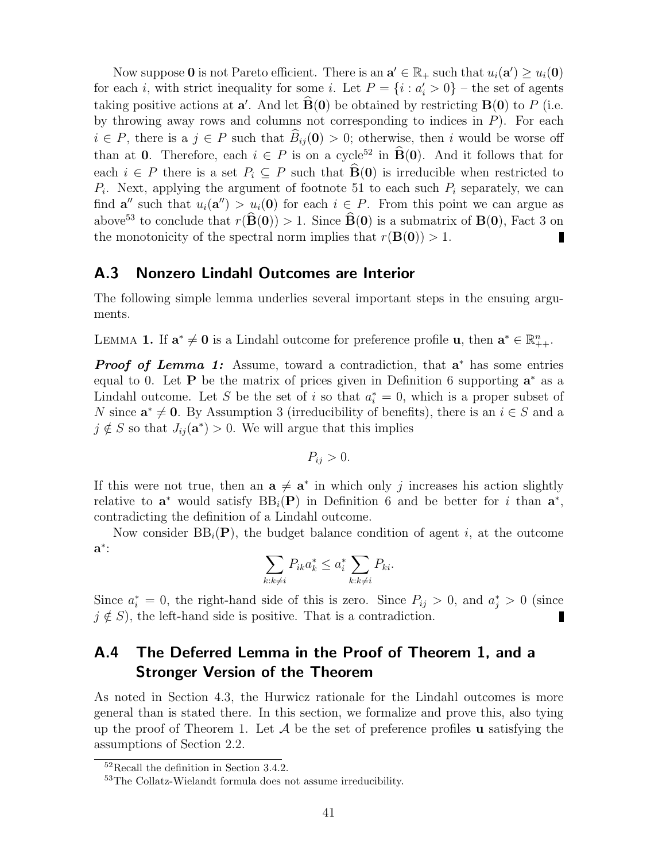Now suppose 0 is not Pareto efficient. There is an  $\mathbf{a}' \in \mathbb{R}_+$  such that  $u_i(\mathbf{a}') \ge u_i(\mathbf{0})$ for each *i*, with strict inequality for some *i*. Let  $P = \{i : a'_i > 0\}$  – the set of agents taking positive actions at  $\mathbf{a}'$ . And let  $\mathbf{B}(\mathbf{0})$  be obtained by restricting  $\mathbf{B}(\mathbf{0})$  to P (i.e. by throwing away rows and columns not corresponding to indices in  $P$ ). For each  $i \in P$ , there is a  $j \in P$  such that  $\hat{B}_{ij}(\mathbf{0}) > 0$ ; otherwise, then i would be worse off than at 0. Therefore, each  $i \in P$  is on a cycle<sup>52</sup> in  $\widehat{B}(0)$ . And it follows that for each  $i \in P$  there is a set  $P_i \subseteq P$  such that  $\widehat{B}(0)$  is irreducible when restricted to  $P_i$ . Next, applying the argument of footnote 51 to each such  $P_i$  separately, we can find  $\mathbf{a}''$  such that  $u_i(\mathbf{a}'') > u_i(0)$  for each  $i \in P$ . From this point we can argue as above<sup>53</sup> to conclude that  $r(\widehat{B}(0)) > 1$ . Since  $\widehat{B}(0)$  is a submatrix of  $B(0)$ , Fact 3 on the monotonicity of the spectral norm implies that  $r(\mathbf{B}(0)) > 1$ .

#### A.3 Nonzero Lindahl Outcomes are Interior

The following simple lemma underlies several important steps in the ensuing arguments.

LEMMA 1. If  $\mathbf{a}^* \neq \mathbf{0}$  is a Lindahl outcome for preference profile  $\mathbf{u}$ , then  $\mathbf{a}^* \in \mathbb{R}_{++}^n$ .

**Proof of Lemma 1:** Assume, toward a contradiction, that  $a^*$  has some entries equal to 0. Let **P** be the matrix of prices given in Definition 6 supporting  $a^*$  as a Lindahl outcome. Let S be the set of i so that  $a_i^* = 0$ , which is a proper subset of N since  $\mathbf{a}^* \neq \mathbf{0}$ . By Assumption 3 (irreducibility of benefits), there is an  $i \in S$  and a  $j \notin S$  so that  $J_{ij}(\mathbf{a}^*) > 0$ . We will argue that this implies

$$
P_{ij} > 0.
$$

If this were not true, then an  $a \neq a^*$  in which only j increases his action slightly relative to  $\mathbf{a}^*$  would satisfy  $BB_i(\mathbf{P})$  in Definition 6 and be better for *i* than  $\mathbf{a}^*$ , contradicting the definition of a Lindahl outcome.

Now consider  $BB_i(P)$ , the budget balance condition of agent i, at the outcome  $\mathbf{a}^*$ :

$$
\sum_{k:k\neq i} P_{ik} a_k^* \le a_i^* \sum_{k:k\neq i} P_{ki}.
$$

Since  $a_i^* = 0$ , the right-hand side of this is zero. Since  $P_{ij} > 0$ , and  $a_j^* > 0$  (since  $j \notin S$ , the left-hand side is positive. That is a contradiction.

# A.4 The Deferred Lemma in the Proof of Theorem 1, and a Stronger Version of the Theorem

As noted in Section 4.3, the Hurwicz rationale for the Lindahl outcomes is more general than is stated there. In this section, we formalize and prove this, also tying up the proof of Theorem 1. Let  $A$  be the set of preference profiles **u** satisfying the assumptions of Section 2.2.

<sup>52</sup>Recall the definition in Section 3.4.2.

<sup>53</sup>The Collatz-Wielandt formula does not assume irreducibility.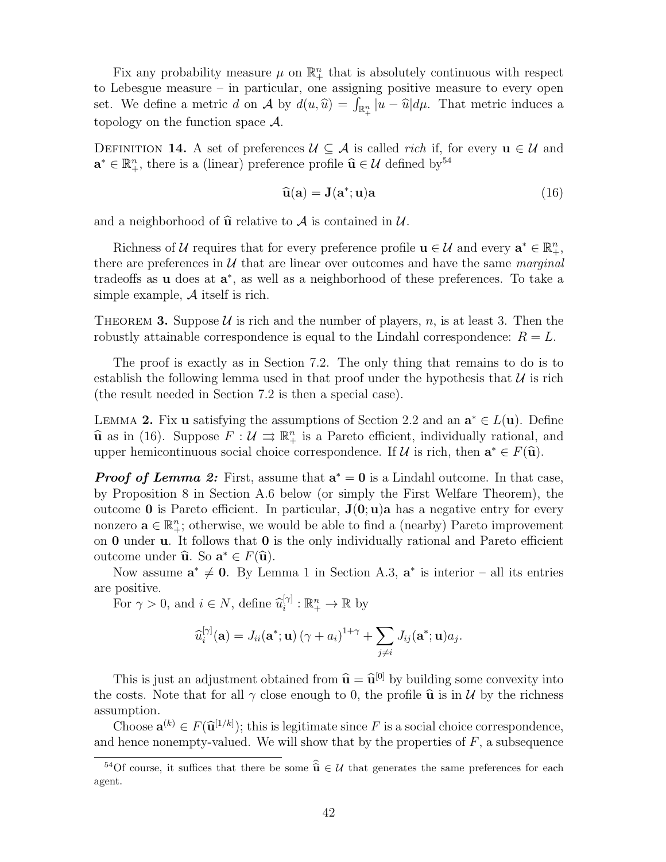Fix any probability measure  $\mu$  on  $\mathbb{R}^n_+$  that is absolutely continuous with respect to Lebesgue measure – in particular, one assigning positive measure to every open set. We define a metric d on  $\mathcal A$  by  $d(u, \hat u) = \int_{\mathbb{R}^n_+} |u - \hat u| d\mu$ . That metric induces a topology on the function space  $\mathcal{A}$ .

DEFINITION 14. A set of preferences  $\mathcal{U} \subseteq \mathcal{A}$  is called rich if, for every  $\mathbf{u} \in \mathcal{U}$  and  $\mathbf{a}^* \in \mathbb{R}_+^n$ , there is a (linear) preference profile  $\widehat{\mathbf{u}} \in \mathcal{U}$  defined by <sup>54</sup>

$$
\widehat{\mathbf{u}}(\mathbf{a}) = \mathbf{J}(\mathbf{a}^*; \mathbf{u})\mathbf{a}
$$
 (16)

and a neighborhood of  $\hat{u}$  relative to A is contained in U.

Richness of U requires that for every preference profile  $\mathbf{u} \in \mathcal{U}$  and every  $\mathbf{a}^* \in \mathbb{R}_+^n$ , there are preferences in  $U$  that are linear over outcomes and have the same marginal tradeoffs as **u** does at  $a^*$ , as well as a neighborhood of these preferences. To take a simple example, A itself is rich.

THEOREM 3. Suppose U is rich and the number of players, n, is at least 3. Then the robustly attainable correspondence is equal to the Lindahl correspondence:  $R = L$ .

The proof is exactly as in Section 7.2. The only thing that remains to do is to establish the following lemma used in that proof under the hypothesis that  $U$  is rich (the result needed in Section 7.2 is then a special case).

LEMMA 2. Fix u satisfying the assumptions of Section 2.2 and an  $\mathbf{a}^* \in L(\mathbf{u})$ . Define  $\hat{\mathbf{u}}$  as in (16). Suppose  $F : \mathcal{U} \Rightarrow \mathbb{R}_{+}^{n}$  is a Pareto efficient, individually rational, and upper homicontinuous social choice correspondence. If  $\mathcal{U}$  is rich, then  $\mathbf{a}^* \in F(\hat{\mathbf{u}})$ upper hemicontinuous social choice correspondence. If  $\mathcal U$  is rich, then  $\mathbf a^* \in F(\widehat{\mathbf u})$ .

**Proof of Lemma 2:** First, assume that  $a^* = 0$  is a Lindahl outcome. In that case, by Proposition 8 in Section A.6 below (or simply the First Welfare Theorem), the outcome **0** is Pareto efficient. In particular,  $J(0; u)$  a has a negative entry for every nonzero  $\mathbf{a} \in \mathbb{R}_+^n$ ; otherwise, we would be able to find a (nearby) Pareto improvement on  $\bf{0}$  under  $\bf{u}$ . It follows that  $\bf{0}$  is the only individually rational and Pareto efficient outcome under  $\hat{\mathbf{u}}$ . So  $\mathbf{a}^* \in F(\hat{\mathbf{u}})$ .<br>Now assume  $\mathbf{a}^* \neq \mathbf{0}$ . By Long

Now assume  $a^* \neq 0$ . By Lemma 1 in Section A.3,  $a^*$  is interior – all its entries are positive.

For  $\gamma > 0$ , and  $i \in N$ , define  $\widehat{u}_i^{[\gamma]}$  $a_i^{[\gamma]} : \mathbb{R}_+^n \to \mathbb{R}$  by

$$
\widehat{u}_i^{[\gamma]}(\mathbf{a}) = J_{ii}(\mathbf{a}^*; \mathbf{u}) (\gamma + a_i)^{1+\gamma} + \sum_{j \neq i} J_{ij}(\mathbf{a}^*; \mathbf{u}) a_j.
$$

This is just an adjustment obtained from  $\hat{\mathbf{u}} = \hat{\mathbf{u}}^{[0]}$  by building some convexity into<br>each solution to the up the up to  $\hat{\mathbf{u}}$  is in  $\mathcal{U}$  by the righness the costs. Note that for all  $\gamma$  close enough to 0, the profile  $\hat{u}$  is in U by the richness assumption.

Choose  $\mathbf{a}^{(k)} \in F(\widehat{\mathbf{u}}^{[1/k]})$ ; this is legitimate since F is a social choice correspondence, and hence nonempty-valued. We will show that by the properties of  $F$ , a subsequence

<sup>&</sup>lt;sup>54</sup>Of course, it suffices that there be some  $\hat{\mathbf{u}} \in \mathcal{U}$  that generates the same preferences for each agent.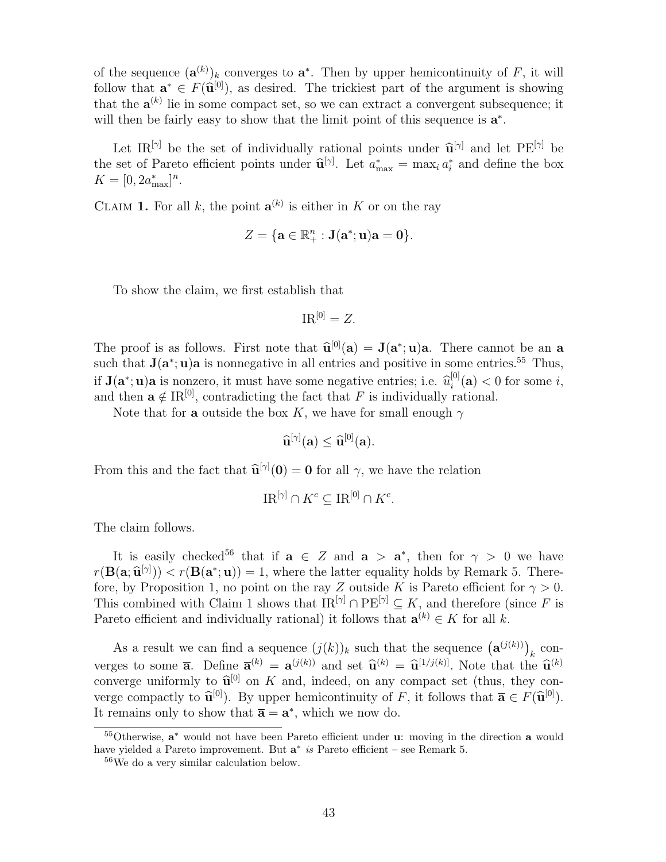of the sequence  $(\mathbf{a}^{(k)})_k$  converges to  $\mathbf{a}^*$ . Then by upper hemicontinuity of F, it will follow that  $\mathbf{a}^* \in F(\hat{\mathbf{u}}^{[0]})$ , as desired. The trickiest part of the argument is showing<br>that the  $\mathbf{a}^{(k)}$  lie in some compact set, so we see extract a sonuover subsequence; it that the  $\mathbf{a}^{(k)}$  lie in some compact set, so we can extract a convergent subsequence; it will then be fairly easy to show that the limit point of this sequence is  $a^*$ .

Let IR<sup>[ $\gamma$ ]</sup> be the set of individually rational points under  $\hat{\mathbf{u}}^{[\gamma]}$  and let PE<sup>[ $\gamma$ ]</sup> be be the set of individually rational points under  $\widehat{\mathbf{u}}$ <br>rote officient points under  $\widehat{\mathbf{u}}^{[\gamma]}$ . Let  $a^* = \max a^*$ the set of Pareto efficient points under  $\hat{\mathbf{u}}^{[\gamma]}$ . Let  $a_{\text{max}}^* = \max_i a_i^*$  and define the box  $K = [0, 2\alpha^*]^{[n]}$  $K = [0, 2a_{\text{max}}^*]^n.$ 

CLAIM 1. For all k, the point  $\mathbf{a}^{(k)}$  is either in K or on the ray

$$
Z=\{\mathbf{a}\in\mathbb{R}^n_+: \mathbf{J}(\mathbf{a}^*;\mathbf{u})\mathbf{a}=\mathbf{0}\}.
$$

To show the claim, we first establish that

$$
\mathrm{IR}^{[0]}=Z.
$$

The proof is as follows. First note that  $\hat{\mathbf{u}}^{[0]}(\mathbf{a}) = \mathbf{J}(\mathbf{a}^*; \mathbf{u})\mathbf{a}$ . There cannot be an a such that  $\mathbf{I}(\mathbf{a}^*, \mathbf{u})\mathbf{a}$  is poppositive in all entries and positive in some entries <sup>55</sup>. Thus, such that  $J(a^*; u)a$  is nonnegative in all entries and positive in some entries.<sup>55</sup> Thus, if  $\mathbf{J}(\mathbf{a}^*; \mathbf{u})\mathbf{a}$  is nonzero, it must have some negative entries; i.e.  $\hat{u}_i^{[0]}$ <br>and then  $\mathbf{a} \notin \mathbf{B}^{[0]}$  controdicting the fact that  $F$  is individually re $i_i^{\text{[U]}}(\mathbf{a}) < 0$  for some  $i$ , and then  $\mathbf{a} \notin \mathbb{R}^{[0]}$ , contradicting the fact that F is individually rational.

Note that for a outside the box K, we have for small enough  $\gamma$ 

$$
\widehat{\mathbf{u}}^{[\gamma]}(\mathbf{a}) \leq \widehat{\mathbf{u}}^{[0]}(\mathbf{a}).
$$

From this and the fact that  $\widehat{\mathbf{u}}^{[\gamma]}(0) = \mathbf{0}$  for all  $\gamma$ , we have the relation

$$
\text{IR}^{[\gamma]} \cap K^c \subseteq \text{IR}^{[0]} \cap K^c.
$$

The claim follows.

It is easily checked<sup>56</sup> that if  $a \in Z$  and  $a > a^*$ , then for  $\gamma > 0$  we have  $r(\mathbf{B}(\mathbf{a}; \hat{\mathbf{u}}^{[\gamma]})) < r(\mathbf{B}(\mathbf{a}^*; \mathbf{u})) = 1$ , where the latter equality holds by Remark 5. There-<br>fore, by Proposition 1, no point on the rev. Z outside K is Pereto efficient for  $\alpha > 0$ . fore, by Proposition 1, no point on the ray Z outside K is Pareto efficient for  $\gamma > 0$ . This combined with Claim 1 shows that  $IR^{[\gamma]} \cap PE^{[\gamma]} \subseteq K$ , and therefore (since F is Pareto efficient and individually rational) it follows that  $\mathbf{a}^{(k)} \in K$  for all k.

As a result we can find a sequence  $(j(k))_k$  such that the sequence  $(\mathbf{a}^{(j(k))})_k$  converges to some  $\bar{a}$ . Define  $\bar{a}^{(k)} = a^{(j(k))}$  and set  $\hat{u}^{(k)} = \hat{u}^{[1/j(k)]}$ . Note that the  $\hat{u}^{(k)}$ <br>converge uniformly to  $\hat{u}^{[0]}$  on K and indeed on any compact set (thus, they can converge uniformly to  $\hat{\mathbf{u}}^{[0]}$  on K and, indeed, on any compact set (thus, they con-<br>verge example that  $\hat{\mathbf{u}} \in \hat{\mathbf{u}}^{[0]}$ ). By upper homicontinuity of E it follows that  $\overline{\mathbf{v}} \in E(\hat{\mathbf{u}}^{[0]})$ . verge compactly to  $\hat{\mathbf{u}}^{[0]}$ . By upper hemicontinuity of F, it follows that  $\overline{\mathbf{a}} \in F(\hat{\mathbf{u}}^{[0]})$ .<br>It remains only to show that  $\overline{\mathbf{a}} = \mathbf{a}^*$  which we now do. It remains only to show that  $\overline{\mathbf{a}} = \mathbf{a}^*$ , which we now do.

<sup>&</sup>lt;sup>55</sup>Otherwise, a<sup>\*</sup> would not have been Pareto efficient under u: moving in the direction a would have yielded a Pareto improvement. But a<sup>\*</sup> is Pareto efficient – see Remark 5.

<sup>56</sup>We do a very similar calculation below.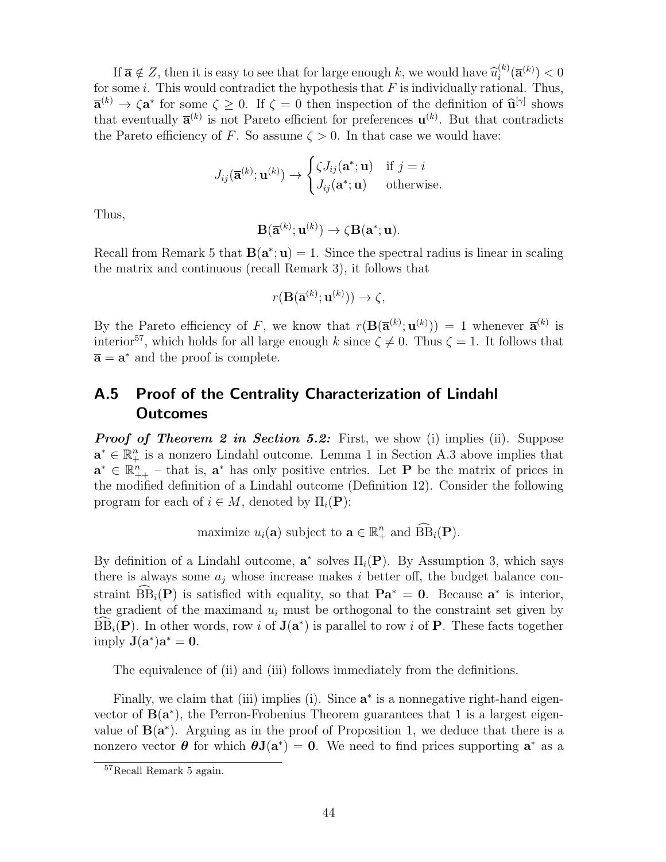If  $\overline{\mathbf{a}} \notin Z$ , then it is easy to see that for large enough k, we would have  $\widehat{u}_i^{(k)}$ <br>some i. This would controdict the hypothesis that E is individually ration  $\binom{(k)}{i}$  $\left(\mathbf{\overline{a}}^{(k)}\right)$   $< 0$ for some i. This would contradict the hypothesis that  $F$  is individually rational. Thus,  $\overline{\mathbf{a}}^{(k)} \to \zeta \mathbf{a}^*$  for some  $\zeta \geq 0$ . If  $\zeta = 0$  then inspection of the definition of  $\widehat{\mathbf{u}}^{[\gamma]}$  shows<br>that eventually  $\overline{\mathbf{a}}^{(k)}$  is not Pareto efficient for preferences  $\mathbf{u}^{(k)}$ . But that contr that eventually  $\bar{\mathbf{a}}^{(k)}$  is not Pareto efficient for preferences  $\mathbf{u}^{(k)}$ . But that contradicts the Pareto efficiency of F. So assume  $\zeta > 0$ . In that case we would have:

$$
J_{ij}(\overline{\mathbf{a}}^{(k)}; \mathbf{u}^{(k)}) \rightarrow \begin{cases} \zeta J_{ij}(\mathbf{a}^*; \mathbf{u}) & \text{if } j = i \\ J_{ij}(\mathbf{a}^*; \mathbf{u}) & \text{otherwise.} \end{cases}
$$

Thus,

$$
\mathbf{B}(\mathbf{\overline{a}}^{(k)};\mathbf{u}^{(k)})\to \zeta\mathbf{B}(\mathbf{a}^*;\mathbf{u}).
$$

Recall from Remark 5 that  $B(a^*; u) = 1$ . Since the spectral radius is linear in scaling the matrix and continuous (recall Remark 3), it follows that

$$
r(\mathbf{B}(\overline{\mathbf{a}}^{(k)};\mathbf{u}^{(k)})) \to \zeta,
$$

By the Pareto efficiency of F, we know that  $r(\mathbf{B}(\overline{\mathbf{a}}^{(k)};\mathbf{u}^{(k)})) = 1$  whenever  $\overline{\mathbf{a}}^{(k)}$  is interior<sup>57</sup>, which holds for all large enough k since  $\zeta \neq 0$ . Thus  $\zeta = 1$ . It follows that  $\overline{\mathbf{a}} = \mathbf{a}^*$  and the proof is complete.

## A.5 Proof of the Centrality Characterization of Lindahl **Outcomes**

**Proof of Theorem 2 in Section 5.2:** First, we show (i) implies (ii). Suppose  $\mathbf{a}^* \in \mathbb{R}_+^n$  is a nonzero Lindahl outcome. Lemma 1 in Section A.3 above implies that  $\mathbf{a}^* \in \mathbb{R}_{++}^n$  – that is,  $\mathbf{a}^*$  has only positive entries. Let **P** be the matrix of prices in the modified definition of a Lindahl outcome (Definition 12). Consider the following program for each of  $i \in M$ , denoted by  $\Pi_i(\mathbf{P})$ :

maximize  $u_i(\mathbf{a})$  subject to  $\mathbf{a} \in \mathbb{R}_+^n$  and  $\widehat{\text{BB}}_i(\mathbf{P})$ .

By definition of a Lindahl outcome,  $\mathbf{a}^*$  solves  $\Pi_i(\mathbf{P})$ . By Assumption 3, which says there is always some  $a_j$  whose increase makes i better off, the budget balance constraint  $\widehat{BB}_i(P)$  is satisfied with equality, so that  $\mathbf{Pa}^* = \mathbf{0}$ . Because  $\mathbf{a}^*$  is interior, the gradient of the maximand  $u_i$  must be orthogonal to the constraint set given by  $\widehat{BB}_i(\mathbf{P})$ . In other words, row i of  $\mathbf{J}(\mathbf{a}^*)$  is parallel to row i of  $\mathbf{P}$ . These facts together imply  $J(a^*)a^* = 0$ .

The equivalence of (ii) and (iii) follows immediately from the definitions.

Finally, we claim that (iii) implies (i). Since  $a^*$  is a nonnegative right-hand eigenvector of  $B(a^*)$ , the Perron-Frobenius Theorem guarantees that 1 is a largest eigenvalue of  $B(a^*)$ . Arguing as in the proof of Proposition 1, we deduce that there is a nonzero vector  $\boldsymbol{\theta}$  for which  $\boldsymbol{\theta}$ **J**( $\mathbf{a}^*$ ) = 0. We need to find prices supporting  $\mathbf{a}^*$  as a

<sup>57</sup>Recall Remark 5 again.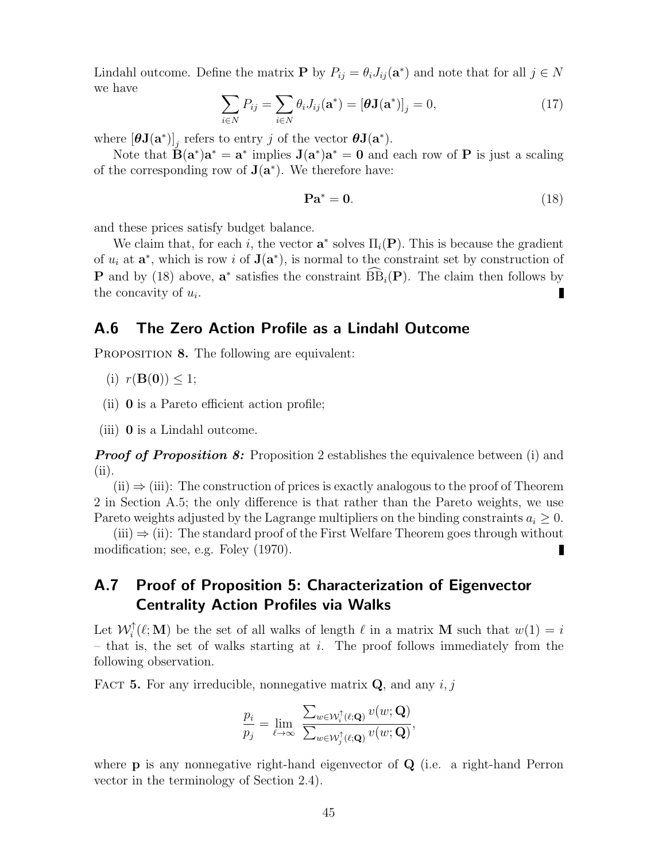Lindahl outcome. Define the matrix **P** by  $P_{ij} = \theta_i J_{ij}(\mathbf{a}^*)$  and note that for all  $j \in N$ we have

$$
\sum_{i \in N} P_{ij} = \sum_{i \in N} \theta_i J_{ij}(\mathbf{a}^*) = [\boldsymbol{\theta} \mathbf{J}(\mathbf{a}^*)]_j = 0,\tag{17}
$$

where  $[\boldsymbol{\theta} \mathbf{J}(\mathbf{a}^*)]_j$  refers to entry j of the vector  $\boldsymbol{\theta} \mathbf{J}(\mathbf{a}^*)$ .

Note that  $\mathbf{B}(\mathbf{a}^*)\mathbf{a}^* = \mathbf{a}^*$  implies  $\mathbf{J}(\mathbf{a}^*)\mathbf{a}^* = \mathbf{0}$  and each row of **P** is just a scaling of the corresponding row of  $J(a^*)$ . We therefore have:

$$
\mathbf{Pa}^* = \mathbf{0}.\tag{18}
$$

and these prices satisfy budget balance.

We claim that, for each i, the vector  $\mathbf{a}^*$  solves  $\Pi_i(\mathbf{P})$ . This is because the gradient of  $u_i$  at  $\mathbf{a}^*$ , which is row i of  $\mathbf{J}(\mathbf{a}^*)$ , is normal to the constraint set by construction of **P** and by (18) above,  $\mathbf{a}^*$  satisfies the constraint  $\widehat{BB}_i(\mathbf{P})$ . The claim then follows by the concavity of  $u_i$ .

#### A.6 The Zero Action Profile as a Lindahl Outcome

PROPOSITION 8. The following are equivalent:

- (i)  $r(\mathbf{B}(0)) < 1$ ;
- (ii) 0 is a Pareto efficient action profile;

(iii) 0 is a Lindahl outcome.

**Proof of Proposition 8:** Proposition 2 establishes the equivalence between (i) and (ii).

 $(ii) \Rightarrow (iii)$ : The construction of prices is exactly analogous to the proof of Theorem 2 in Section A.5; the only difference is that rather than the Pareto weights, we use Pareto weights adjusted by the Lagrange multipliers on the binding constraints  $a_i \geq 0$ .

 $(iii) \Rightarrow (ii)$ : The standard proof of the First Welfare Theorem goes through without modification; see, e.g. Foley (1970).

# A.7 Proof of Proposition 5: Characterization of Eigenvector Centrality Action Profiles via Walks

Let  $\mathcal{W}_i^{\uparrow}(\ell; \mathbf{M})$  be the set of all walks of length  $\ell$  in a matrix **M** such that  $w(1) = i$ – that is, the set of walks starting at  $i$ . The proof follows immediately from the following observation.

FACT 5. For any irreducible, nonnegative matrix  $\mathbf{Q}$ , and any  $i, j$ 

$$
\frac{p_i}{p_j} = \lim_{\ell \to \infty} \frac{\sum_{w \in \mathcal{W}_i^{\uparrow}(\ell; \mathbf{Q})} v(w; \mathbf{Q})}{\sum_{w \in \mathcal{W}_j^{\uparrow}(\ell; \mathbf{Q})} v(w; \mathbf{Q})},
$$

where **p** is any nonnegative right-hand eigenvector of **Q** (i.e. a right-hand Perron vector in the terminology of Section 2.4).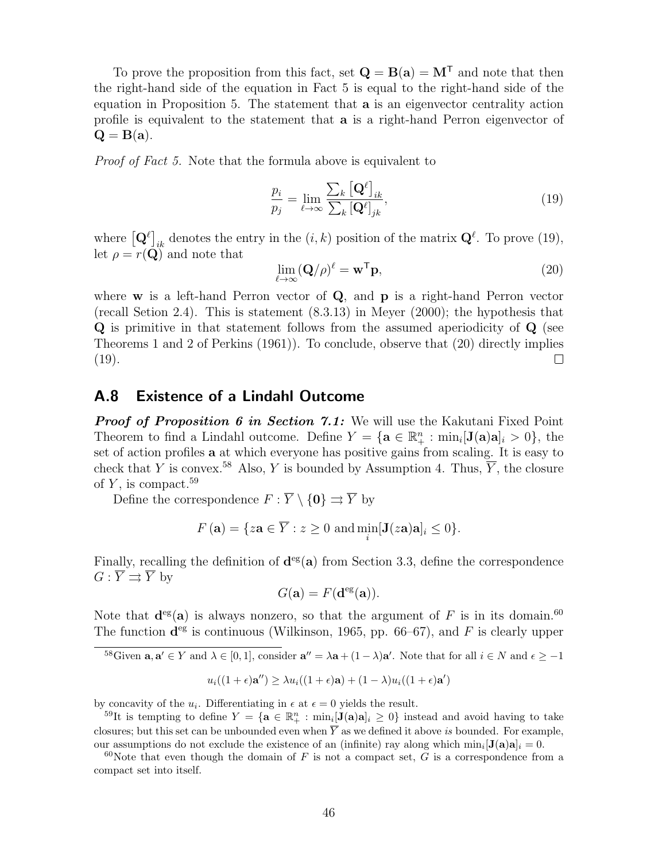To prove the proposition from this fact, set  $\mathbf{Q} = \mathbf{B}(\mathbf{a}) = \mathbf{M}^{\mathsf{T}}$  and note that then the right-hand side of the equation in Fact 5 is equal to the right-hand side of the equation in Proposition 5. The statement that a is an eigenvector centrality action profile is equivalent to the statement that a is a right-hand Perron eigenvector of  $Q = B(a)$ .

Proof of Fact 5. Note that the formula above is equivalent to

$$
\frac{p_i}{p_j} = \lim_{\ell \to \infty} \frac{\sum_k \left[ \mathbf{Q}^{\ell} \right]_{ik}}{\sum_k \left[ \mathbf{Q}^{\ell} \right]_{jk}},\tag{19}
$$

where  $\left[\mathbf{Q}^{\ell}\right]_{ik}$  denotes the entry in the  $(i, k)$  position of the matrix  $\mathbf{Q}^{\ell}$ . To prove (19), let  $\rho = r(Q)$  and note that

$$
\lim_{\ell \to \infty} (\mathbf{Q}/\rho)^{\ell} = \mathbf{w}^{\mathsf{T}} \mathbf{p},\tag{20}
$$

where  $w$  is a left-hand Perron vector of  $Q$ , and  $p$  is a right-hand Perron vector (recall Setion 2.4). This is statement (8.3.13) in Meyer (2000); the hypothesis that Q is primitive in that statement follows from the assumed aperiodicity of Q (see Theorems 1 and 2 of Perkins (1961)). To conclude, observe that (20) directly implies (19).  $\Box$ 

#### A.8 Existence of a Lindahl Outcome

**Proof of Proposition 6 in Section 7.1:** We will use the Kakutani Fixed Point Theorem to find a Lindahl outcome. Define  $Y = {\mathbf{a} \in \mathbb{R}^n_+ : min_i[\mathbf{J}(\mathbf{a})\mathbf{a}]_i > 0}$ , the set of action profiles a at which everyone has positive gains from scaling. It is easy to check that Y is convex.<sup>58</sup> Also, Y is bounded by Assumption 4. Thus,  $\overline{Y}$ , the closure of  $Y$ , is compact.<sup>59</sup>

Define the correspondence  $F : \overline{Y} \setminus \{0\} \rightrightarrows \overline{Y}$  by

$$
F(\mathbf{a}) = \{ z\mathbf{a} \in \overline{Y} : z \ge 0 \text{ and } \min_i[\mathbf{J}(z\mathbf{a})\mathbf{a}]_i \le 0 \}.
$$

Finally, recalling the definition of  $\mathbf{d}^{\text{eg}}(\mathbf{a})$  from Section 3.3, define the correspondence  $G: \overline{Y} \rightrightarrows \overline{Y}$  by

$$
G(\mathbf{a}) = F(\mathbf{d}^{\text{eg}}(\mathbf{a})).
$$

Note that  $\mathbf{d}^{\text{eg}}(\mathbf{a})$  is always nonzero, so that the argument of F is in its domain.<sup>60</sup> The function  $\mathbf{d}^{\text{eg}}$  is continuous (Wilkinson, 1965, pp. 66–67), and F is clearly upper

<sup>58</sup>Given **a**, **a'** 
$$
\in
$$
 Y and  $\lambda \in [0,1]$ , consider **a''** =  $\lambda$ **a** +  $(1 - \lambda)$ **a'**. Note that for all  $i \in N$  and  $\epsilon \ge -1$ 

$$
u_i((1+\epsilon)\mathbf{a}'') \ge \lambda u_i((1+\epsilon)\mathbf{a}) + (1-\lambda)u_i((1+\epsilon)\mathbf{a}')
$$

by concavity of the  $u_i$ . Differentiating in  $\epsilon$  at  $\epsilon = 0$  yields the result.

<sup>&</sup>lt;sup>59</sup>It is tempting to define  $Y = \{ \mathbf{a} \in \mathbb{R}^n_+ : \min_i [\mathbf{J}(\mathbf{a})\mathbf{a}]_i \geq 0 \}$  instead and avoid having to take closures; but this set can be unbounded even when  $\overline{Y}$  as we defined it above is bounded. For example, our assumptions do not exclude the existence of an (infinite) ray along which  $\min_i [\mathbf{J}(\mathbf{a})\mathbf{a}]_i = 0$ .

<sup>&</sup>lt;sup>60</sup>Note that even though the domain of F is not a compact set, G is a correspondence from a compact set into itself.